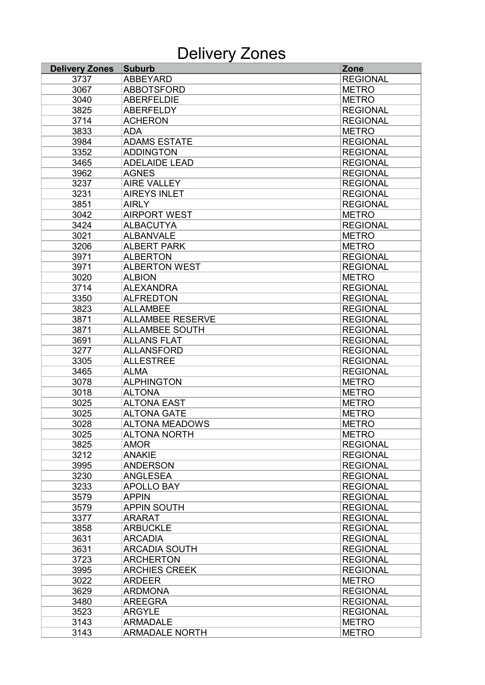## Delivery Zones

| <b>Delivery Zones</b> | <b>Suburb</b>           | Zone            |
|-----------------------|-------------------------|-----------------|
| 3737                  | <b>ABBEYARD</b>         | <b>REGIONAL</b> |
| 3067                  | <b>ABBOTSFORD</b>       | <b>METRO</b>    |
| 3040                  | <b>ABERFELDIE</b>       | <b>METRO</b>    |
| 3825                  | <b>ABERFELDY</b>        | <b>REGIONAL</b> |
| 3714                  | <b>ACHERON</b>          | <b>REGIONAL</b> |
| 3833                  | <b>ADA</b>              | <b>METRO</b>    |
| 3984                  | <b>ADAMS ESTATE</b>     | <b>REGIONAL</b> |
| 3352                  | <b>ADDINGTON</b>        | <b>REGIONAL</b> |
| 3465                  | <b>ADELAIDE LEAD</b>    | <b>REGIONAL</b> |
| 3962                  | <b>AGNES</b>            | <b>REGIONAL</b> |
| 3237                  | <b>AIRE VALLEY</b>      | <b>REGIONAL</b> |
| 3231                  | <b>AIREYS INLET</b>     | <b>REGIONAL</b> |
| 3851                  | <b>AIRLY</b>            | <b>REGIONAL</b> |
| 3042                  | <b>AIRPORT WEST</b>     | <b>METRO</b>    |
| 3424                  | <b>ALBACUTYA</b>        | <b>REGIONAL</b> |
| 3021                  | <b>ALBANVALE</b>        | <b>METRO</b>    |
| 3206                  | <b>ALBERT PARK</b>      | <b>METRO</b>    |
| 3971                  | <b>ALBERTON</b>         | <b>REGIONAL</b> |
| 3971                  | <b>ALBERTON WEST</b>    | <b>REGIONAL</b> |
| 3020                  | <b>ALBION</b>           | <b>METRO</b>    |
| 3714                  | <b>ALEXANDRA</b>        | <b>REGIONAL</b> |
| 3350                  | <b>ALFREDTON</b>        | <b>REGIONAL</b> |
| 3823                  | <b>ALLAMBEE</b>         | <b>REGIONAL</b> |
| 3871                  | <b>ALLAMBEE RESERVE</b> | <b>REGIONAL</b> |
|                       |                         |                 |
| 3871                  | <b>ALLAMBEE SOUTH</b>   | <b>REGIONAL</b> |
| 3691                  | <b>ALLANS FLAT</b>      | <b>REGIONAL</b> |
| 3277                  | <b>ALLANSFORD</b>       | <b>REGIONAL</b> |
| 3305                  | <b>ALLESTREE</b>        | <b>REGIONAL</b> |
| 3465                  | <b>ALMA</b>             | <b>REGIONAL</b> |
| 3078                  | <b>ALPHINGTON</b>       | <b>METRO</b>    |
| 3018                  | <b>ALTONA</b>           | <b>METRO</b>    |
| 3025                  | <b>ALTONA EAST</b>      | <b>METRO</b>    |
| 3025                  | <b>ALTONA GATE</b>      | <b>METRO</b>    |
| 3028                  | <b>ALTONA MEADOWS</b>   | <b>METRO</b>    |
| 3025                  | <b>ALTONA NORTH</b>     | <b>METRO</b>    |
| 3825                  | <b>AMOR</b>             | <b>REGIONAL</b> |
| 3212                  | <b>ANAKIE</b>           | <b>REGIONAL</b> |
| 3995                  | <b>ANDERSON</b>         | <b>REGIONAL</b> |
| 3230                  | <b>ANGLESEA</b>         | <b>REGIONAL</b> |
| 3233                  | <b>APOLLO BAY</b>       | <b>REGIONAL</b> |
| 3579                  | <b>APPIN</b>            | <b>REGIONAL</b> |
| 3579                  | <b>APPIN SOUTH</b>      | <b>REGIONAL</b> |
| 3377                  | <b>ARARAT</b>           | <b>REGIONAL</b> |
| 3858                  | <b>ARBUCKLE</b>         | <b>REGIONAL</b> |
| 3631                  | <b>ARCADIA</b>          | <b>REGIONAL</b> |
| 3631                  | <b>ARCADIA SOUTH</b>    | <b>REGIONAL</b> |
| 3723                  | <b>ARCHERTON</b>        | <b>REGIONAL</b> |
| 3995                  | <b>ARCHIES CREEK</b>    | <b>REGIONAL</b> |
| 3022                  | <b>ARDEER</b>           | <b>METRO</b>    |
| 3629                  | <b>ARDMONA</b>          | <b>REGIONAL</b> |
| 3480                  | <b>AREEGRA</b>          | <b>REGIONAL</b> |
| 3523                  | <b>ARGYLE</b>           | <b>REGIONAL</b> |
| 3143                  | <b>ARMADALE</b>         | <b>METRO</b>    |
| 3143                  | <b>ARMADALE NORTH</b>   | <b>METRO</b>    |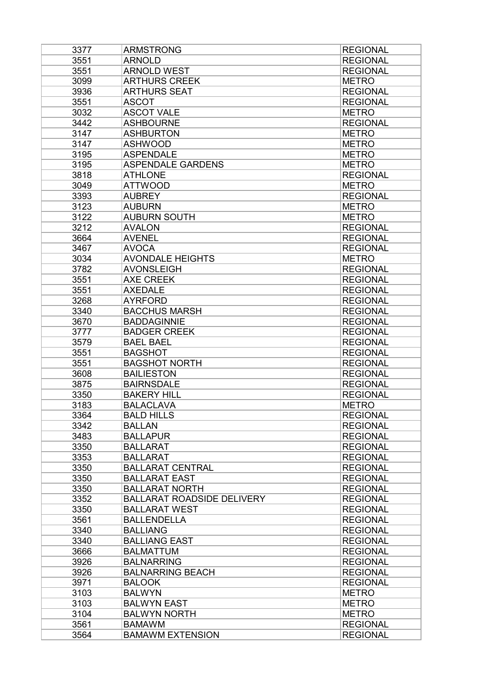| 3377 | <b>ARMSTRONG</b>                  | <b>REGIONAL</b> |
|------|-----------------------------------|-----------------|
| 3551 | <b>ARNOLD</b>                     | <b>REGIONAL</b> |
| 3551 | <b>ARNOLD WEST</b>                | <b>REGIONAL</b> |
| 3099 | <b>ARTHURS CREEK</b>              | <b>METRO</b>    |
| 3936 | <b>ARTHURS SEAT</b>               | <b>REGIONAL</b> |
| 3551 | <b>ASCOT</b>                      | <b>REGIONAL</b> |
| 3032 | <b>ASCOT VALE</b>                 | <b>METRO</b>    |
| 3442 | <b>ASHBOURNE</b>                  | <b>REGIONAL</b> |
| 3147 | <b>ASHBURTON</b>                  | <b>METRO</b>    |
| 3147 | <b>ASHWOOD</b>                    | <b>METRO</b>    |
| 3195 | <b>ASPENDALE</b>                  | <b>METRO</b>    |
| 3195 | <b>ASPENDALE GARDENS</b>          | <b>METRO</b>    |
| 3818 | <b>ATHLONE</b>                    | <b>REGIONAL</b> |
| 3049 | <b>ATTWOOD</b>                    | <b>METRO</b>    |
| 3393 | <b>AUBREY</b>                     | <b>REGIONAL</b> |
| 3123 | <b>AUBURN</b>                     | <b>METRO</b>    |
| 3122 | <b>AUBURN SOUTH</b>               | <b>METRO</b>    |
| 3212 | <b>AVALON</b>                     | <b>REGIONAL</b> |
| 3664 | <b>AVENEL</b>                     | <b>REGIONAL</b> |
| 3467 | <b>AVOCA</b>                      | <b>REGIONAL</b> |
| 3034 | <b>AVONDALE HEIGHTS</b>           | <b>METRO</b>    |
| 3782 | <b>AVONSLEIGH</b>                 | <b>REGIONAL</b> |
| 3551 | <b>AXE CREEK</b>                  | <b>REGIONAL</b> |
| 3551 | <b>AXEDALE</b>                    | <b>REGIONAL</b> |
| 3268 | <b>AYRFORD</b>                    | <b>REGIONAL</b> |
| 3340 | <b>BACCHUS MARSH</b>              | <b>REGIONAL</b> |
| 3670 | <b>BADDAGINNIE</b>                | <b>REGIONAL</b> |
| 3777 | <b>BADGER CREEK</b>               | <b>REGIONAL</b> |
| 3579 | <b>BAEL BAEL</b>                  | <b>REGIONAL</b> |
| 3551 | <b>BAGSHOT</b>                    | <b>REGIONAL</b> |
| 3551 | <b>BAGSHOT NORTH</b>              | <b>REGIONAL</b> |
| 3608 | <b>BAILIESTON</b>                 | <b>REGIONAL</b> |
| 3875 | <b>BAIRNSDALE</b>                 | <b>REGIONAL</b> |
| 3350 | <b>BAKERY HILL</b>                | <b>REGIONAL</b> |
| 3183 | <b>BALACLAVA</b>                  | <b>METRO</b>    |
| 3364 | <b>BALD HILLS</b>                 | <b>REGIONAL</b> |
| 3342 | <b>BALLAN</b>                     | <b>REGIONAL</b> |
|      |                                   |                 |
| 3483 | <b>BALLAPUR</b>                   | <b>REGIONAL</b> |
| 3350 | <b>BALLARAT</b>                   | <b>REGIONAL</b> |
| 3353 | <b>BALLARAT</b>                   | <b>REGIONAL</b> |
| 3350 | <b>BALLARAT CENTRAL</b>           | <b>REGIONAL</b> |
| 3350 | <b>BALLARAT EAST</b>              | <b>REGIONAL</b> |
| 3350 | <b>BALLARAT NORTH</b>             | <b>REGIONAL</b> |
| 3352 | <b>BALLARAT ROADSIDE DELIVERY</b> | <b>REGIONAL</b> |
| 3350 | <b>BALLARAT WEST</b>              | <b>REGIONAL</b> |
| 3561 | <b>BALLENDELLA</b>                | <b>REGIONAL</b> |
| 3340 | <b>BALLIANG</b>                   | <b>REGIONAL</b> |
| 3340 | <b>BALLIANG EAST</b>              | <b>REGIONAL</b> |
| 3666 | <b>BALMATTUM</b>                  | <b>REGIONAL</b> |
| 3926 | <b>BALNARRING</b>                 | <b>REGIONAL</b> |
| 3926 | <b>BALNARRING BEACH</b>           | <b>REGIONAL</b> |
| 3971 | <b>BALOOK</b>                     | <b>REGIONAL</b> |
| 3103 | <b>BALWYN</b>                     | <b>METRO</b>    |
| 3103 | <b>BALWYN EAST</b>                | <b>METRO</b>    |
| 3104 | <b>BALWYN NORTH</b>               | <b>METRO</b>    |
| 3561 | <b>BAMAWM</b>                     | <b>REGIONAL</b> |
| 3564 | <b>BAMAWM EXTENSION</b>           | <b>REGIONAL</b> |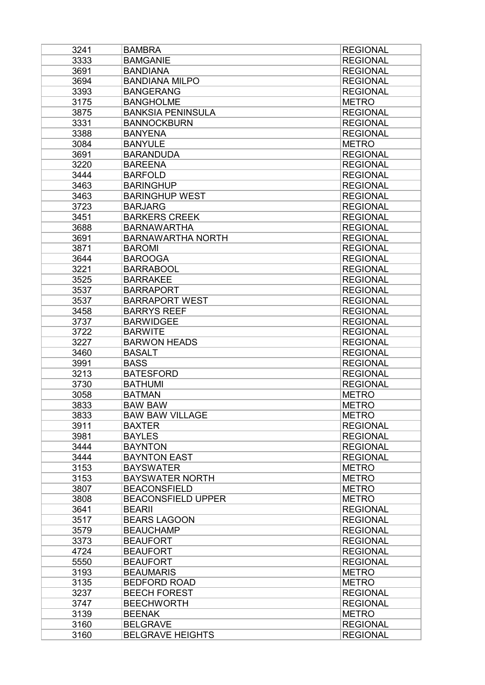| 3241 | <b>BAMBRA</b>                   | <b>REGIONAL</b>                    |
|------|---------------------------------|------------------------------------|
| 3333 | <b>BAMGANIE</b>                 | <b>REGIONAL</b>                    |
| 3691 | <b>BANDIANA</b>                 | <b>REGIONAL</b>                    |
| 3694 | <b>BANDIANA MILPO</b>           | <b>REGIONAL</b>                    |
| 3393 | <b>BANGERANG</b>                | <b>REGIONAL</b>                    |
| 3175 | <b>BANGHOLME</b>                | <b>METRO</b>                       |
| 3875 | <b>BANKSIA PENINSULA</b>        | <b>REGIONAL</b>                    |
| 3331 | <b>BANNOCKBURN</b>              | <b>REGIONAL</b>                    |
| 3388 | <b>BANYENA</b>                  | <b>REGIONAL</b>                    |
| 3084 | <b>BANYULE</b>                  | <b>METRO</b>                       |
| 3691 | <b>BARANDUDA</b>                | <b>REGIONAL</b>                    |
| 3220 | <b>BAREENA</b>                  | <b>REGIONAL</b>                    |
| 3444 | <b>BARFOLD</b>                  | <b>REGIONAL</b>                    |
| 3463 | <b>BARINGHUP</b>                | <b>REGIONAL</b>                    |
| 3463 | <b>BARINGHUP WEST</b>           | <b>REGIONAL</b>                    |
| 3723 | <b>BARJARG</b>                  | <b>REGIONAL</b>                    |
| 3451 | <b>BARKERS CREEK</b>            | <b>REGIONAL</b>                    |
| 3688 | <b>BARNAWARTHA</b>              | <b>REGIONAL</b>                    |
| 3691 | <b>BARNAWARTHA NORTH</b>        | <b>REGIONAL</b>                    |
| 3871 | <b>BAROMI</b>                   | <b>REGIONAL</b>                    |
| 3644 | <b>BAROOGA</b>                  | <b>REGIONAL</b>                    |
| 3221 | <b>BARRABOOL</b>                | <b>REGIONAL</b>                    |
| 3525 | <b>BARRAKEE</b>                 | <b>REGIONAL</b>                    |
| 3537 | <b>BARRAPORT</b>                | <b>REGIONAL</b>                    |
| 3537 | <b>BARRAPORT WEST</b>           | <b>REGIONAL</b>                    |
| 3458 | <b>BARRYS REEF</b>              | <b>REGIONAL</b>                    |
| 3737 | <b>BARWIDGEE</b>                | <b>REGIONAL</b>                    |
| 3722 | <b>BARWITE</b>                  | <b>REGIONAL</b>                    |
| 3227 | <b>BARWON HEADS</b>             | <b>REGIONAL</b>                    |
| 3460 | <b>BASALT</b>                   | <b>REGIONAL</b>                    |
| 3991 | <b>BASS</b>                     | <b>REGIONAL</b>                    |
| 3213 | <b>BATESFORD</b>                | <b>REGIONAL</b>                    |
| 3730 | <b>BATHUMI</b>                  | <b>REGIONAL</b>                    |
| 3058 | <b>BATMAN</b>                   | <b>METRO</b>                       |
| 3833 | <b>BAW BAW</b>                  | <b>METRO</b>                       |
| 3833 | <b>BAW BAW VILLAGE</b>          | <b>METRO</b>                       |
| 3911 | <b>BAXTER</b>                   |                                    |
|      |                                 | <b>REGIONAL</b><br><b>REGIONAL</b> |
| 3981 | <b>BAYLES</b><br><b>BAYNTON</b> |                                    |
| 3444 |                                 | <b>REGIONAL</b>                    |
| 3444 | <b>BAYNTON EAST</b>             | <b>REGIONAL</b>                    |
| 3153 | <b>BAYSWATER</b>                | <b>METRO</b>                       |
| 3153 | <b>BAYSWATER NORTH</b>          | <b>METRO</b>                       |
| 3807 | <b>BEACONSFIELD</b>             | <b>METRO</b>                       |
| 3808 | <b>BEACONSFIELD UPPER</b>       | <b>METRO</b>                       |
| 3641 | <b>BEARII</b>                   | <b>REGIONAL</b>                    |
| 3517 | <b>BEARS LAGOON</b>             | <b>REGIONAL</b>                    |
| 3579 | <b>BEAUCHAMP</b>                | <b>REGIONAL</b>                    |
| 3373 | <b>BEAUFORT</b>                 | <b>REGIONAL</b>                    |
| 4724 | <b>BEAUFORT</b>                 | <b>REGIONAL</b>                    |
| 5550 | <b>BEAUFORT</b>                 | <b>REGIONAL</b>                    |
| 3193 | <b>BEAUMARIS</b>                | <b>METRO</b>                       |
| 3135 | <b>BEDFORD ROAD</b>             | <b>METRO</b>                       |
| 3237 | <b>BEECH FOREST</b>             | <b>REGIONAL</b>                    |
| 3747 | <b>BEECHWORTH</b>               | <b>REGIONAL</b>                    |
| 3139 | <b>BEENAK</b>                   | <b>METRO</b>                       |
| 3160 | <b>BELGRAVE</b>                 | <b>REGIONAL</b>                    |
| 3160 | <b>BELGRAVE HEIGHTS</b>         | <b>REGIONAL</b>                    |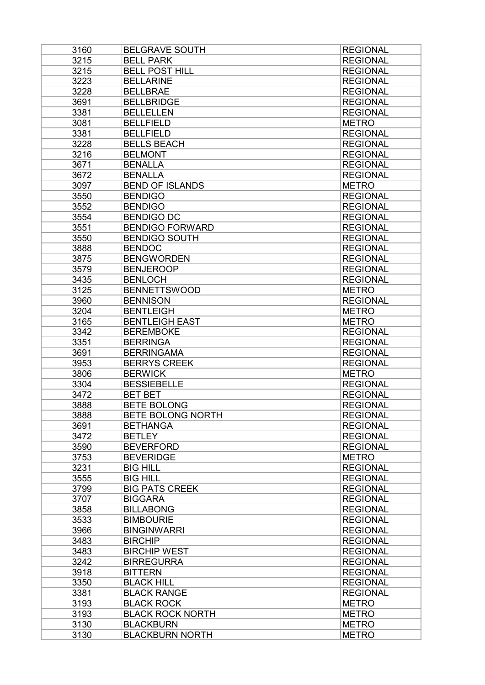| 3160 | <b>BELGRAVE SOUTH</b>    | <b>REGIONAL</b> |
|------|--------------------------|-----------------|
| 3215 | <b>BELL PARK</b>         | <b>REGIONAL</b> |
| 3215 | <b>BELL POST HILL</b>    | <b>REGIONAL</b> |
| 3223 | <b>BELLARINE</b>         | <b>REGIONAL</b> |
| 3228 | <b>BELLBRAE</b>          | <b>REGIONAL</b> |
| 3691 | <b>BELLBRIDGE</b>        | <b>REGIONAL</b> |
| 3381 | <b>BELLELLEN</b>         | <b>REGIONAL</b> |
| 3081 | <b>BELLFIELD</b>         | <b>METRO</b>    |
| 3381 | <b>BELLFIELD</b>         | <b>REGIONAL</b> |
| 3228 | <b>BELLS BEACH</b>       | <b>REGIONAL</b> |
| 3216 | <b>BELMONT</b>           | <b>REGIONAL</b> |
| 3671 | <b>BENALLA</b>           | <b>REGIONAL</b> |
| 3672 | <b>BENALLA</b>           | <b>REGIONAL</b> |
| 3097 | <b>BEND OF ISLANDS</b>   | <b>METRO</b>    |
| 3550 | <b>BENDIGO</b>           | <b>REGIONAL</b> |
| 3552 | <b>BENDIGO</b>           | <b>REGIONAL</b> |
| 3554 | <b>BENDIGO DC</b>        | <b>REGIONAL</b> |
| 3551 | <b>BENDIGO FORWARD</b>   | <b>REGIONAL</b> |
| 3550 | <b>BENDIGO SOUTH</b>     | <b>REGIONAL</b> |
| 3888 | <b>BENDOC</b>            | <b>REGIONAL</b> |
|      | <b>BENGWORDEN</b>        |                 |
| 3875 |                          | <b>REGIONAL</b> |
| 3579 | <b>BENJEROOP</b>         | <b>REGIONAL</b> |
| 3435 | <b>BENLOCH</b>           | <b>REGIONAL</b> |
| 3125 | <b>BENNETTSWOOD</b>      | <b>METRO</b>    |
| 3960 | <b>BENNISON</b>          | <b>REGIONAL</b> |
| 3204 | <b>BENTLEIGH</b>         | <b>METRO</b>    |
| 3165 | <b>BENTLEIGH EAST</b>    | <b>METRO</b>    |
| 3342 | <b>BEREMBOKE</b>         | <b>REGIONAL</b> |
| 3351 | <b>BERRINGA</b>          | <b>REGIONAL</b> |
| 3691 | <b>BERRINGAMA</b>        | <b>REGIONAL</b> |
| 3953 | <b>BERRYS CREEK</b>      | <b>REGIONAL</b> |
| 3806 | <b>BERWICK</b>           | <b>METRO</b>    |
| 3304 | <b>BESSIEBELLE</b>       | <b>REGIONAL</b> |
| 3472 | <b>BET BET</b>           | <b>REGIONAL</b> |
| 3888 | <b>BETE BOLONG</b>       | <b>REGIONAL</b> |
| 3888 | <b>BETE BOLONG NORTH</b> | <b>REGIONAL</b> |
| 3691 | <b>BETHANGA</b>          | <b>REGIONAL</b> |
| 3472 | <b>BETLEY</b>            | <b>REGIONAL</b> |
| 3590 | <b>BEVERFORD</b>         | <b>REGIONAL</b> |
| 3753 | <b>BEVERIDGE</b>         | <b>METRO</b>    |
| 3231 | <b>BIG HILL</b>          | <b>REGIONAL</b> |
| 3555 | <b>BIG HILL</b>          | <b>REGIONAL</b> |
| 3799 | <b>BIG PATS CREEK</b>    | <b>REGIONAL</b> |
| 3707 | <b>BIGGARA</b>           | <b>REGIONAL</b> |
| 3858 | <b>BILLABONG</b>         | <b>REGIONAL</b> |
| 3533 | <b>BIMBOURIE</b>         | <b>REGIONAL</b> |
| 3966 | <b>BINGINWARRI</b>       | <b>REGIONAL</b> |
| 3483 | <b>BIRCHIP</b>           | <b>REGIONAL</b> |
| 3483 | <b>BIRCHIP WEST</b>      | <b>REGIONAL</b> |
| 3242 | <b>BIRREGURRA</b>        | <b>REGIONAL</b> |
| 3918 | <b>BITTERN</b>           | <b>REGIONAL</b> |
| 3350 | <b>BLACK HILL</b>        | <b>REGIONAL</b> |
| 3381 | <b>BLACK RANGE</b>       | <b>REGIONAL</b> |
| 3193 | <b>BLACK ROCK</b>        | <b>METRO</b>    |
| 3193 | <b>BLACK ROCK NORTH</b>  | <b>METRO</b>    |
| 3130 | <b>BLACKBURN</b>         | <b>METRO</b>    |
| 3130 | <b>BLACKBURN NORTH</b>   | <b>METRO</b>    |
|      |                          |                 |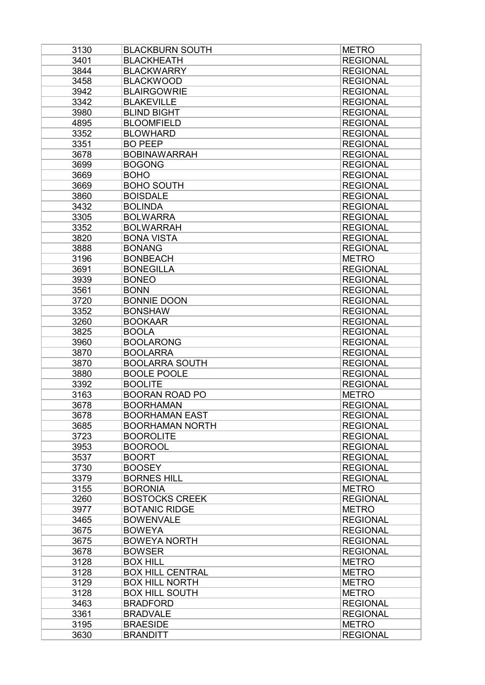| 3130 | <b>BLACKBURN SOUTH</b>  | <b>METRO</b>    |
|------|-------------------------|-----------------|
| 3401 | <b>BLACKHEATH</b>       | <b>REGIONAL</b> |
| 3844 | <b>BLACKWARRY</b>       | <b>REGIONAL</b> |
| 3458 | <b>BLACKWOOD</b>        | <b>REGIONAL</b> |
| 3942 | <b>BLAIRGOWRIE</b>      | <b>REGIONAL</b> |
| 3342 | <b>BLAKEVILLE</b>       | <b>REGIONAL</b> |
| 3980 | <b>BLIND BIGHT</b>      | <b>REGIONAL</b> |
| 4895 | <b>BLOOMFIELD</b>       | <b>REGIONAL</b> |
| 3352 | <b>BLOWHARD</b>         | <b>REGIONAL</b> |
| 3351 | <b>BO PEEP</b>          | <b>REGIONAL</b> |
| 3678 | <b>BOBINAWARRAH</b>     | <b>REGIONAL</b> |
| 3699 | <b>BOGONG</b>           | <b>REGIONAL</b> |
| 3669 | <b>BOHO</b>             | <b>REGIONAL</b> |
| 3669 | <b>BOHO SOUTH</b>       | <b>REGIONAL</b> |
| 3860 | <b>BOISDALE</b>         | <b>REGIONAL</b> |
| 3432 | <b>BOLINDA</b>          | <b>REGIONAL</b> |
| 3305 | <b>BOLWARRA</b>         | <b>REGIONAL</b> |
| 3352 | <b>BOLWARRAH</b>        | <b>REGIONAL</b> |
|      |                         |                 |
| 3820 | <b>BONA VISTA</b>       | <b>REGIONAL</b> |
| 3888 | <b>BONANG</b>           | <b>REGIONAL</b> |
| 3196 | <b>BONBEACH</b>         | <b>METRO</b>    |
| 3691 | <b>BONEGILLA</b>        | <b>REGIONAL</b> |
| 3939 | <b>BONEO</b>            | <b>REGIONAL</b> |
| 3561 | <b>BONN</b>             | <b>REGIONAL</b> |
| 3720 | <b>BONNIE DOON</b>      | <b>REGIONAL</b> |
| 3352 | <b>BONSHAW</b>          | <b>REGIONAL</b> |
| 3260 | <b>BOOKAAR</b>          | <b>REGIONAL</b> |
| 3825 | <b>BOOLA</b>            | <b>REGIONAL</b> |
| 3960 | <b>BOOLARONG</b>        | <b>REGIONAL</b> |
| 3870 | <b>BOOLARRA</b>         | <b>REGIONAL</b> |
| 3870 | <b>BOOLARRA SOUTH</b>   | <b>REGIONAL</b> |
| 3880 | <b>BOOLE POOLE</b>      | <b>REGIONAL</b> |
| 3392 | <b>BOOLITE</b>          | <b>REGIONAL</b> |
| 3163 | <b>BOORAN ROAD PO</b>   | <b>METRO</b>    |
| 3678 | <b>BOORHAMAN</b>        | <b>REGIONAL</b> |
| 3678 | <b>BOORHAMAN EAST</b>   | <b>REGIONAL</b> |
| 3685 | <b>BOORHAMAN NORTH</b>  | <b>REGIONAL</b> |
| 3723 | <b>BOOROLITE</b>        | <b>REGIONAL</b> |
| 3953 | <b>BOOROOL</b>          | <b>REGIONAL</b> |
| 3537 | <b>BOORT</b>            | <b>REGIONAL</b> |
| 3730 | <b>BOOSEY</b>           | <b>REGIONAL</b> |
| 3379 | <b>BORNES HILL</b>      | <b>REGIONAL</b> |
| 3155 | <b>BORONIA</b>          | <b>METRO</b>    |
| 3260 | <b>BOSTOCKS CREEK</b>   | <b>REGIONAL</b> |
| 3977 | <b>BOTANIC RIDGE</b>    | <b>METRO</b>    |
| 3465 | <b>BOWENVALE</b>        | <b>REGIONAL</b> |
| 3675 | <b>BOWEYA</b>           | <b>REGIONAL</b> |
| 3675 | <b>BOWEYA NORTH</b>     | <b>REGIONAL</b> |
| 3678 | <b>BOWSER</b>           | <b>REGIONAL</b> |
| 3128 | <b>BOX HILL</b>         | <b>METRO</b>    |
| 3128 | <b>BOX HILL CENTRAL</b> | <b>METRO</b>    |
| 3129 | <b>BOX HILL NORTH</b>   |                 |
|      |                         | <b>METRO</b>    |
| 3128 | <b>BOX HILL SOUTH</b>   | <b>METRO</b>    |
| 3463 | <b>BRADFORD</b>         | <b>REGIONAL</b> |
| 3361 | <b>BRADVALE</b>         | <b>REGIONAL</b> |
| 3195 | <b>BRAESIDE</b>         | <b>METRO</b>    |
| 3630 | <b>BRANDITT</b>         | <b>REGIONAL</b> |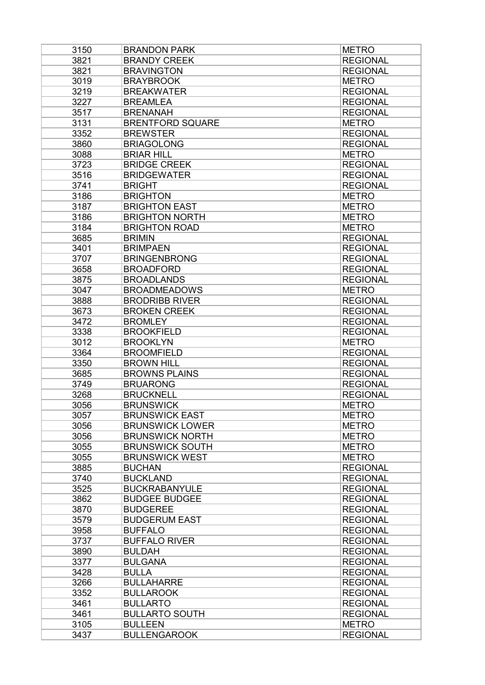| 3150 | <b>BRANDON PARK</b>     | <b>METRO</b>    |
|------|-------------------------|-----------------|
| 3821 | <b>BRANDY CREEK</b>     | <b>REGIONAL</b> |
| 3821 | <b>BRAVINGTON</b>       | <b>REGIONAL</b> |
| 3019 | <b>BRAYBROOK</b>        | <b>METRO</b>    |
| 3219 | <b>BREAKWATER</b>       | <b>REGIONAL</b> |
| 3227 | <b>BREAMLEA</b>         | <b>REGIONAL</b> |
| 3517 | <b>BRENANAH</b>         | <b>REGIONAL</b> |
| 3131 | <b>BRENTFORD SQUARE</b> | <b>METRO</b>    |
| 3352 | <b>BREWSTER</b>         | <b>REGIONAL</b> |
| 3860 | <b>BRIAGOLONG</b>       | <b>REGIONAL</b> |
| 3088 | <b>BRIAR HILL</b>       | <b>METRO</b>    |
| 3723 | <b>BRIDGE CREEK</b>     | <b>REGIONAL</b> |
| 3516 | <b>BRIDGEWATER</b>      | <b>REGIONAL</b> |
| 3741 | <b>BRIGHT</b>           | <b>REGIONAL</b> |
| 3186 | <b>BRIGHTON</b>         | <b>METRO</b>    |
| 3187 | <b>BRIGHTON EAST</b>    | <b>METRO</b>    |
| 3186 | <b>BRIGHTON NORTH</b>   | <b>METRO</b>    |
| 3184 | <b>BRIGHTON ROAD</b>    | <b>METRO</b>    |
| 3685 | <b>BRIMIN</b>           | <b>REGIONAL</b> |
| 3401 | <b>BRIMPAEN</b>         | <b>REGIONAL</b> |
| 3707 | <b>BRINGENBRONG</b>     | <b>REGIONAL</b> |
| 3658 | <b>BROADFORD</b>        | <b>REGIONAL</b> |
| 3875 | <b>BROADLANDS</b>       | <b>REGIONAL</b> |
| 3047 | <b>BROADMEADOWS</b>     | <b>METRO</b>    |
| 3888 | <b>BRODRIBB RIVER</b>   | <b>REGIONAL</b> |
| 3673 | <b>BROKEN CREEK</b>     | <b>REGIONAL</b> |
| 3472 | <b>BROMLEY</b>          | <b>REGIONAL</b> |
| 3338 | <b>BROOKFIELD</b>       | <b>REGIONAL</b> |
| 3012 | <b>BROOKLYN</b>         | <b>METRO</b>    |
| 3364 | <b>BROOMFIELD</b>       | <b>REGIONAL</b> |
| 3350 | <b>BROWN HILL</b>       | <b>REGIONAL</b> |
| 3685 | <b>BROWNS PLAINS</b>    | <b>REGIONAL</b> |
| 3749 | <b>BRUARONG</b>         | <b>REGIONAL</b> |
| 3268 | <b>BRUCKNELL</b>        | <b>REGIONAL</b> |
| 3056 | <b>BRUNSWICK</b>        | <b>METRO</b>    |
| 3057 | <b>BRUNSWICK EAST</b>   | <b>METRO</b>    |
| 3056 | <b>BRUNSWICK LOWER</b>  | <b>METRO</b>    |
| 3056 |                         |                 |
| 3055 | <b>BRUNSWICK NORTH</b>  | <b>METRO</b>    |
|      | <b>BRUNSWICK SOUTH</b>  | <b>METRO</b>    |
| 3055 | <b>BRUNSWICK WEST</b>   | <b>METRO</b>    |
| 3885 | <b>BUCHAN</b>           | <b>REGIONAL</b> |
| 3740 | <b>BUCKLAND</b>         | <b>REGIONAL</b> |
| 3525 | <b>BUCKRABANYULE</b>    | <b>REGIONAL</b> |
| 3862 | <b>BUDGEE BUDGEE</b>    | <b>REGIONAL</b> |
| 3870 | <b>BUDGEREE</b>         | <b>REGIONAL</b> |
| 3579 | <b>BUDGERUM EAST</b>    | <b>REGIONAL</b> |
| 3958 | <b>BUFFALO</b>          | <b>REGIONAL</b> |
| 3737 | <b>BUFFALO RIVER</b>    | <b>REGIONAL</b> |
| 3890 | <b>BULDAH</b>           | <b>REGIONAL</b> |
| 3377 | <b>BULGANA</b>          | <b>REGIONAL</b> |
| 3428 | <b>BULLA</b>            | <b>REGIONAL</b> |
| 3266 | <b>BULLAHARRE</b>       | <b>REGIONAL</b> |
| 3352 | <b>BULLAROOK</b>        | <b>REGIONAL</b> |
| 3461 | <b>BULLARTO</b>         | <b>REGIONAL</b> |
| 3461 | <b>BULLARTO SOUTH</b>   | <b>REGIONAL</b> |
| 3105 | <b>BULLEEN</b>          | <b>METRO</b>    |
| 3437 | <b>BULLENGAROOK</b>     | <b>REGIONAL</b> |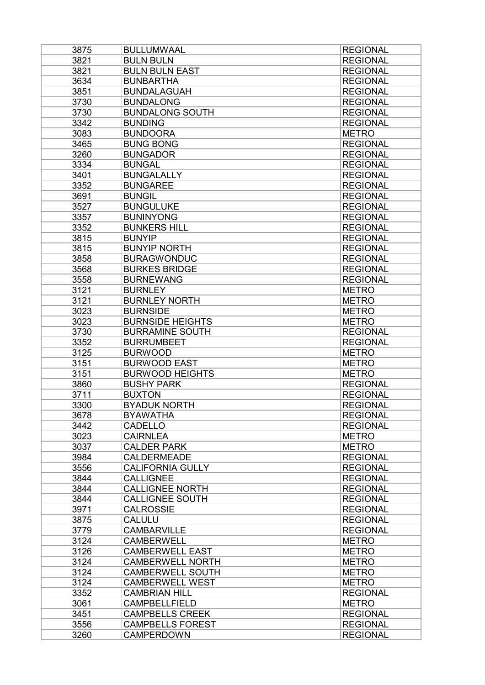| 3875 | <b>BULLUMWAAL</b>       | <b>REGIONAL</b> |
|------|-------------------------|-----------------|
| 3821 | <b>BULN BULN</b>        | <b>REGIONAL</b> |
| 3821 | <b>BULN BULN EAST</b>   | <b>REGIONAL</b> |
| 3634 | <b>BUNBARTHA</b>        | <b>REGIONAL</b> |
| 3851 | <b>BUNDALAGUAH</b>      | <b>REGIONAL</b> |
| 3730 | <b>BUNDALONG</b>        | <b>REGIONAL</b> |
| 3730 | <b>BUNDALONG SOUTH</b>  | <b>REGIONAL</b> |
| 3342 | <b>BUNDING</b>          | <b>REGIONAL</b> |
| 3083 | <b>BUNDOORA</b>         | <b>METRO</b>    |
| 3465 | <b>BUNG BONG</b>        | <b>REGIONAL</b> |
| 3260 | <b>BUNGADOR</b>         | <b>REGIONAL</b> |
| 3334 | <b>BUNGAL</b>           | <b>REGIONAL</b> |
| 3401 | <b>BUNGALALLY</b>       | <b>REGIONAL</b> |
| 3352 | <b>BUNGAREE</b>         | <b>REGIONAL</b> |
| 3691 | <b>BUNGIL</b>           | <b>REGIONAL</b> |
| 3527 | <b>BUNGULUKE</b>        | <b>REGIONAL</b> |
| 3357 | <b>BUNINYONG</b>        | <b>REGIONAL</b> |
| 3352 | <b>BUNKERS HILL</b>     | <b>REGIONAL</b> |
| 3815 | <b>BUNYIP</b>           | <b>REGIONAL</b> |
| 3815 | <b>BUNYIP NORTH</b>     | <b>REGIONAL</b> |
| 3858 | <b>BURAGWONDUC</b>      | <b>REGIONAL</b> |
| 3568 | <b>BURKES BRIDGE</b>    | <b>REGIONAL</b> |
| 3558 | <b>BURNEWANG</b>        | <b>REGIONAL</b> |
| 3121 | <b>BURNLEY</b>          | <b>METRO</b>    |
| 3121 | <b>BURNLEY NORTH</b>    | <b>METRO</b>    |
| 3023 | <b>BURNSIDE</b>         | <b>METRO</b>    |
| 3023 | <b>BURNSIDE HEIGHTS</b> | <b>METRO</b>    |
| 3730 | <b>BURRAMINE SOUTH</b>  | <b>REGIONAL</b> |
| 3352 | <b>BURRUMBEET</b>       | <b>REGIONAL</b> |
| 3125 | <b>BURWOOD</b>          | <b>METRO</b>    |
| 3151 | <b>BURWOOD EAST</b>     | <b>METRO</b>    |
| 3151 | <b>BURWOOD HEIGHTS</b>  | <b>METRO</b>    |
| 3860 | <b>BUSHY PARK</b>       | <b>REGIONAL</b> |
| 3711 | <b>BUXTON</b>           | <b>REGIONAL</b> |
| 3300 | <b>BYADUK NORTH</b>     | <b>REGIONAL</b> |
| 3678 | <b>BYAWATHA</b>         | <b>REGIONAL</b> |
| 3442 | <b>CADELLO</b>          | <b>REGIONAL</b> |
| 3023 | <b>CAIRNLEA</b>         | <b>METRO</b>    |
| 3037 | <b>CALDER PARK</b>      | <b>METRO</b>    |
| 3984 | <b>CALDERMEADE</b>      | <b>REGIONAL</b> |
| 3556 | <b>CALIFORNIA GULLY</b> | <b>REGIONAL</b> |
| 3844 | <b>CALLIGNEE</b>        | <b>REGIONAL</b> |
| 3844 | <b>CALLIGNEE NORTH</b>  | <b>REGIONAL</b> |
| 3844 | <b>CALLIGNEE SOUTH</b>  | <b>REGIONAL</b> |
| 3971 | <b>CALROSSIE</b>        | <b>REGIONAL</b> |
| 3875 | <b>CALULU</b>           | <b>REGIONAL</b> |
| 3779 | <b>CAMBARVILLE</b>      | <b>REGIONAL</b> |
| 3124 | <b>CAMBERWELL</b>       | <b>METRO</b>    |
| 3126 | <b>CAMBERWELL EAST</b>  | <b>METRO</b>    |
| 3124 | <b>CAMBERWELL NORTH</b> | <b>METRO</b>    |
| 3124 | <b>CAMBERWELL SOUTH</b> | <b>METRO</b>    |
| 3124 | <b>CAMBERWELL WEST</b>  | <b>METRO</b>    |
| 3352 | <b>CAMBRIAN HILL</b>    | <b>REGIONAL</b> |
| 3061 | CAMPBELLFIELD           | <b>METRO</b>    |
| 3451 | <b>CAMPBELLS CREEK</b>  | <b>REGIONAL</b> |
| 3556 | <b>CAMPBELLS FOREST</b> | <b>REGIONAL</b> |
| 3260 | <b>CAMPERDOWN</b>       | <b>REGIONAL</b> |
|      |                         |                 |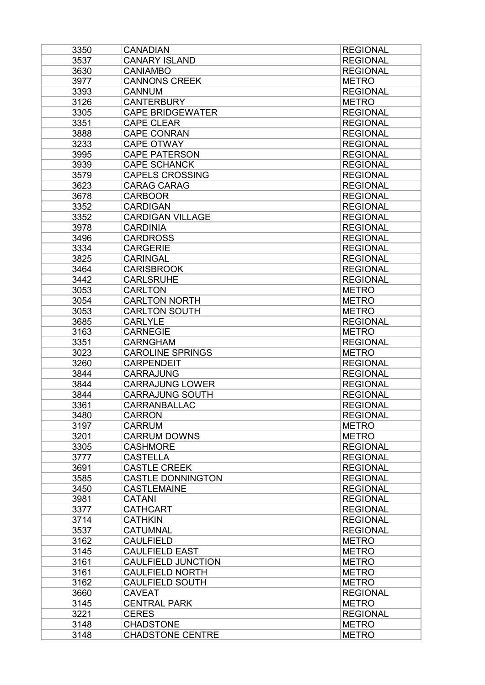| 3350 | <b>CANADIAN</b>           | <b>REGIONAL</b> |
|------|---------------------------|-----------------|
| 3537 | <b>CANARY ISLAND</b>      | <b>REGIONAL</b> |
| 3630 | <b>CANIAMBO</b>           | <b>REGIONAL</b> |
| 3977 | <b>CANNONS CREEK</b>      | <b>METRO</b>    |
| 3393 | <b>CANNUM</b>             | <b>REGIONAL</b> |
| 3126 | <b>CANTERBURY</b>         | <b>METRO</b>    |
| 3305 | <b>CAPE BRIDGEWATER</b>   | <b>REGIONAL</b> |
| 3351 | <b>CAPE CLEAR</b>         | <b>REGIONAL</b> |
| 3888 | <b>CAPE CONRAN</b>        | <b>REGIONAL</b> |
| 3233 | <b>CAPE OTWAY</b>         | <b>REGIONAL</b> |
| 3995 | <b>CAPE PATERSON</b>      | <b>REGIONAL</b> |
| 3939 | <b>CAPE SCHANCK</b>       | <b>REGIONAL</b> |
| 3579 | <b>CAPELS CROSSING</b>    | <b>REGIONAL</b> |
| 3623 | <b>CARAG CARAG</b>        | <b>REGIONAL</b> |
| 3678 | <b>CARBOOR</b>            | <b>REGIONAL</b> |
| 3352 | <b>CARDIGAN</b>           | <b>REGIONAL</b> |
| 3352 | <b>CARDIGAN VILLAGE</b>   | <b>REGIONAL</b> |
| 3978 | <b>CARDINIA</b>           | <b>REGIONAL</b> |
| 3496 | <b>CARDROSS</b>           | <b>REGIONAL</b> |
| 3334 | <b>CARGERIE</b>           | <b>REGIONAL</b> |
| 3825 | <b>CARINGAL</b>           | <b>REGIONAL</b> |
| 3464 | <b>CARISBROOK</b>         | <b>REGIONAL</b> |
| 3442 | <b>CARLSRUHE</b>          | <b>REGIONAL</b> |
| 3053 | <b>CARLTON</b>            | <b>METRO</b>    |
| 3054 | <b>CARLTON NORTH</b>      | <b>METRO</b>    |
| 3053 | <b>CARLTON SOUTH</b>      | <b>METRO</b>    |
| 3685 | <b>CARLYLE</b>            | <b>REGIONAL</b> |
| 3163 | <b>CARNEGIE</b>           | <b>METRO</b>    |
| 3351 | <b>CARNGHAM</b>           | <b>REGIONAL</b> |
| 3023 | <b>CAROLINE SPRINGS</b>   | <b>METRO</b>    |
| 3260 | <b>CARPENDEIT</b>         | <b>REGIONAL</b> |
| 3844 | <b>CARRAJUNG</b>          | <b>REGIONAL</b> |
| 3844 | <b>CARRAJUNG LOWER</b>    | <b>REGIONAL</b> |
| 3844 | <b>CARRAJUNG SOUTH</b>    | <b>REGIONAL</b> |
| 3361 | <b>CARRANBALLAC</b>       | <b>REGIONAL</b> |
| 3480 | <b>CARRON</b>             | <b>REGIONAL</b> |
| 3197 | <b>CARRUM</b>             | <b>METRO</b>    |
| 3201 | <b>CARRUM DOWNS</b>       | <b>METRO</b>    |
| 3305 | <b>CASHMORE</b>           | <b>REGIONAL</b> |
| 3777 | <b>CASTELLA</b>           | <b>REGIONAL</b> |
| 3691 | <b>CASTLE CREEK</b>       | <b>REGIONAL</b> |
| 3585 | <b>CASTLE DONNINGTON</b>  | <b>REGIONAL</b> |
| 3450 | <b>CASTLEMAINE</b>        | <b>REGIONAL</b> |
| 3981 | <b>CATANI</b>             | <b>REGIONAL</b> |
| 3377 | <b>CATHCART</b>           | <b>REGIONAL</b> |
| 3714 | <b>CATHKIN</b>            | <b>REGIONAL</b> |
| 3537 | <b>CATUMNAL</b>           | <b>REGIONAL</b> |
| 3162 | <b>CAULFIELD</b>          | <b>METRO</b>    |
| 3145 | <b>CAULFIELD EAST</b>     | <b>METRO</b>    |
| 3161 | <b>CAULFIELD JUNCTION</b> | <b>METRO</b>    |
| 3161 | <b>CAULFIELD NORTH</b>    | <b>METRO</b>    |
| 3162 | <b>CAULFIELD SOUTH</b>    | <b>METRO</b>    |
| 3660 | <b>CAVEAT</b>             | <b>REGIONAL</b> |
| 3145 | <b>CENTRAL PARK</b>       | <b>METRO</b>    |
| 3221 | <b>CERES</b>              | <b>REGIONAL</b> |
| 3148 | <b>CHADSTONE</b>          | <b>METRO</b>    |
| 3148 | <b>CHADSTONE CENTRE</b>   | <b>METRO</b>    |
|      |                           |                 |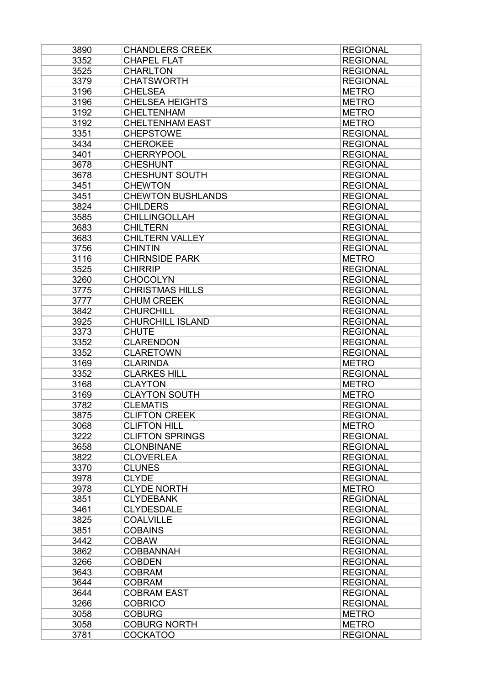| 3890 | <b>CHANDLERS CREEK</b>   | <b>REGIONAL</b> |
|------|--------------------------|-----------------|
| 3352 | <b>CHAPEL FLAT</b>       | <b>REGIONAL</b> |
| 3525 | <b>CHARLTON</b>          | <b>REGIONAL</b> |
| 3379 | <b>CHATSWORTH</b>        | <b>REGIONAL</b> |
| 3196 | <b>CHELSEA</b>           | <b>METRO</b>    |
| 3196 | <b>CHELSEA HEIGHTS</b>   | <b>METRO</b>    |
| 3192 | <b>CHELTENHAM</b>        | <b>METRO</b>    |
| 3192 | <b>CHELTENHAM EAST</b>   | <b>METRO</b>    |
| 3351 | <b>CHEPSTOWE</b>         | <b>REGIONAL</b> |
| 3434 | <b>CHEROKEE</b>          | <b>REGIONAL</b> |
| 3401 | <b>CHERRYPOOL</b>        | <b>REGIONAL</b> |
| 3678 | <b>CHESHUNT</b>          | <b>REGIONAL</b> |
| 3678 | <b>CHESHUNT SOUTH</b>    | <b>REGIONAL</b> |
| 3451 | <b>CHEWTON</b>           | <b>REGIONAL</b> |
| 3451 | <b>CHEWTON BUSHLANDS</b> | <b>REGIONAL</b> |
| 3824 | <b>CHILDERS</b>          | <b>REGIONAL</b> |
| 3585 | <b>CHILLINGOLLAH</b>     | <b>REGIONAL</b> |
| 3683 | <b>CHILTERN</b>          | <b>REGIONAL</b> |
| 3683 | <b>CHILTERN VALLEY</b>   | <b>REGIONAL</b> |
| 3756 | <b>CHINTIN</b>           | <b>REGIONAL</b> |
| 3116 | <b>CHIRNSIDE PARK</b>    | <b>METRO</b>    |
| 3525 | <b>CHIRRIP</b>           | <b>REGIONAL</b> |
| 3260 | <b>CHOCOLYN</b>          | <b>REGIONAL</b> |
| 3775 | <b>CHRISTMAS HILLS</b>   | <b>REGIONAL</b> |
| 3777 | <b>CHUM CREEK</b>        | <b>REGIONAL</b> |
| 3842 | <b>CHURCHILL</b>         | <b>REGIONAL</b> |
| 3925 | <b>CHURCHILL ISLAND</b>  | <b>REGIONAL</b> |
| 3373 | <b>CHUTE</b>             | <b>REGIONAL</b> |
| 3352 | <b>CLARENDON</b>         | <b>REGIONAL</b> |
| 3352 | <b>CLARETOWN</b>         | <b>REGIONAL</b> |
| 3169 | <b>CLARINDA</b>          | <b>METRO</b>    |
| 3352 | <b>CLARKES HILL</b>      | <b>REGIONAL</b> |
| 3168 | <b>CLAYTON</b>           | <b>METRO</b>    |
| 3169 | <b>CLAYTON SOUTH</b>     | <b>METRO</b>    |
| 3782 | <b>CLEMATIS</b>          | <b>REGIONAL</b> |
| 3875 | <b>CLIFTON CREEK</b>     | <b>REGIONAL</b> |
| 3068 | <b>CLIFTON HILL</b>      | <b>METRO</b>    |
| 3222 | <b>CLIFTON SPRINGS</b>   | <b>REGIONAL</b> |
| 3658 | <b>CLONBINANE</b>        | <b>REGIONAL</b> |
| 3822 | <b>CLOVERLEA</b>         | <b>REGIONAL</b> |
| 3370 | <b>CLUNES</b>            | <b>REGIONAL</b> |
| 3978 | <b>CLYDE</b>             | <b>REGIONAL</b> |
| 3978 | <b>CLYDE NORTH</b>       | <b>METRO</b>    |
| 3851 | <b>CLYDEBANK</b>         | <b>REGIONAL</b> |
| 3461 | <b>CLYDESDALE</b>        | <b>REGIONAL</b> |
| 3825 | <b>COALVILLE</b>         | <b>REGIONAL</b> |
| 3851 | <b>COBAINS</b>           | <b>REGIONAL</b> |
| 3442 | <b>COBAW</b>             | <b>REGIONAL</b> |
| 3862 | <b>COBBANNAH</b>         | <b>REGIONAL</b> |
| 3266 | <b>COBDEN</b>            | <b>REGIONAL</b> |
| 3643 | <b>COBRAM</b>            | <b>REGIONAL</b> |
| 3644 | <b>COBRAM</b>            | <b>REGIONAL</b> |
| 3644 | <b>COBRAM EAST</b>       | <b>REGIONAL</b> |
| 3266 | <b>COBRICO</b>           | <b>REGIONAL</b> |
| 3058 | <b>COBURG</b>            | <b>METRO</b>    |
| 3058 | <b>COBURG NORTH</b>      | <b>METRO</b>    |
| 3781 | <b>COCKATOO</b>          | <b>REGIONAL</b> |
|      |                          |                 |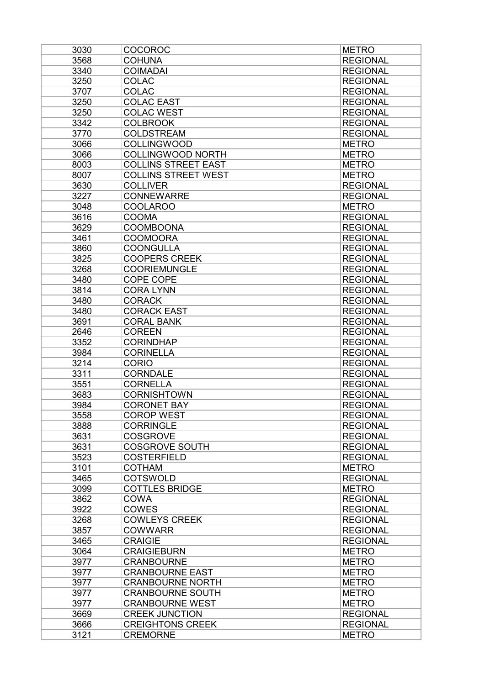| 3030 | <b>COCOROC</b>             | <b>METRO</b>    |
|------|----------------------------|-----------------|
| 3568 | <b>COHUNA</b>              | <b>REGIONAL</b> |
| 3340 | <b>COIMADAI</b>            | <b>REGIONAL</b> |
| 3250 | <b>COLAC</b>               | <b>REGIONAL</b> |
| 3707 | <b>COLAC</b>               | <b>REGIONAL</b> |
| 3250 | <b>COLAC EAST</b>          | <b>REGIONAL</b> |
| 3250 | <b>COLAC WEST</b>          | <b>REGIONAL</b> |
| 3342 | <b>COLBROOK</b>            | <b>REGIONAL</b> |
| 3770 | <b>COLDSTREAM</b>          | <b>REGIONAL</b> |
| 3066 | <b>COLLINGWOOD</b>         | <b>METRO</b>    |
| 3066 | <b>COLLINGWOOD NORTH</b>   | <b>METRO</b>    |
| 8003 | <b>COLLINS STREET EAST</b> | <b>METRO</b>    |
| 8007 | <b>COLLINS STREET WEST</b> | <b>METRO</b>    |
| 3630 | <b>COLLIVER</b>            | <b>REGIONAL</b> |
| 3227 | <b>CONNEWARRE</b>          | <b>REGIONAL</b> |
| 3048 | <b>COOLAROO</b>            | <b>METRO</b>    |
| 3616 | <b>COOMA</b>               | <b>REGIONAL</b> |
| 3629 | <b>COOMBOONA</b>           | <b>REGIONAL</b> |
| 3461 | <b>COOMOORA</b>            | <b>REGIONAL</b> |
| 3860 | <b>COONGULLA</b>           | <b>REGIONAL</b> |
| 3825 | <b>COOPERS CREEK</b>       | <b>REGIONAL</b> |
| 3268 | <b>COORIEMUNGLE</b>        | <b>REGIONAL</b> |
| 3480 | <b>COPE COPE</b>           | <b>REGIONAL</b> |
| 3814 | <b>CORA LYNN</b>           | <b>REGIONAL</b> |
| 3480 | <b>CORACK</b>              | <b>REGIONAL</b> |
| 3480 | <b>CORACK EAST</b>         | <b>REGIONAL</b> |
| 3691 | <b>CORAL BANK</b>          | <b>REGIONAL</b> |
| 2646 | <b>COREEN</b>              | <b>REGIONAL</b> |
| 3352 | <b>CORINDHAP</b>           | <b>REGIONAL</b> |
| 3984 | <b>CORINELLA</b>           | <b>REGIONAL</b> |
| 3214 | <b>CORIO</b>               | <b>REGIONAL</b> |
| 3311 | <b>CORNDALE</b>            | <b>REGIONAL</b> |
| 3551 | <b>CORNELLA</b>            | <b>REGIONAL</b> |
| 3683 | <b>CORNISHTOWN</b>         | <b>REGIONAL</b> |
| 3984 | <b>CORONET BAY</b>         | <b>REGIONAL</b> |
| 3558 | <b>COROP WEST</b>          | <b>REGIONAL</b> |
| 3888 | <b>CORRINGLE</b>           | <b>REGIONAL</b> |
| 3631 | <b>COSGROVE</b>            | <b>REGIONAL</b> |
| 3631 | <b>COSGROVE SOUTH</b>      | <b>REGIONAL</b> |
| 3523 | <b>COSTERFIELD</b>         | <b>REGIONAL</b> |
| 3101 | <b>COTHAM</b>              | <b>METRO</b>    |
| 3465 | <b>COTSWOLD</b>            | <b>REGIONAL</b> |
| 3099 | <b>COTTLES BRIDGE</b>      | <b>METRO</b>    |
| 3862 | <b>COWA</b>                | <b>REGIONAL</b> |
| 3922 | <b>COWES</b>               | <b>REGIONAL</b> |
| 3268 | <b>COWLEYS CREEK</b>       | <b>REGIONAL</b> |
| 3857 | <b>COWWARR</b>             | <b>REGIONAL</b> |
| 3465 | <b>CRAIGIE</b>             | <b>REGIONAL</b> |
| 3064 | <b>CRAIGIEBURN</b>         | <b>METRO</b>    |
| 3977 | <b>CRANBOURNE</b>          | <b>METRO</b>    |
| 3977 | <b>CRANBOURNE EAST</b>     | <b>METRO</b>    |
| 3977 | <b>CRANBOURNE NORTH</b>    | <b>METRO</b>    |
| 3977 | <b>CRANBOURNE SOUTH</b>    | <b>METRO</b>    |
| 3977 | <b>CRANBOURNE WEST</b>     | <b>METRO</b>    |
| 3669 | <b>CREEK JUNCTION</b>      | <b>REGIONAL</b> |
| 3666 | <b>CREIGHTONS CREEK</b>    | <b>REGIONAL</b> |
| 3121 | <b>CREMORNE</b>            | <b>METRO</b>    |
|      |                            |                 |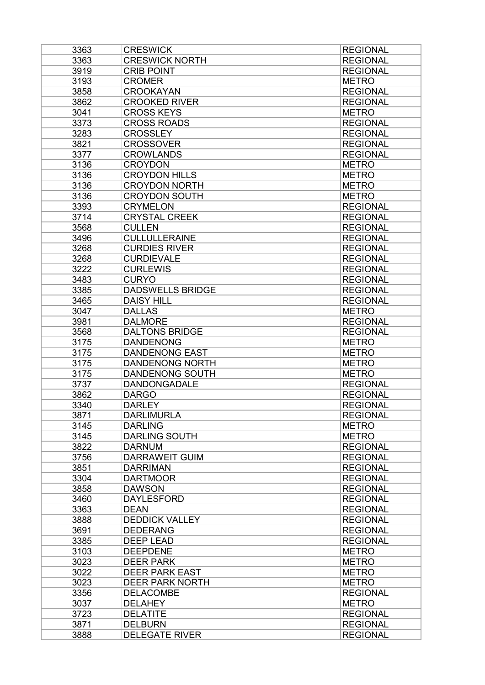| 3363         | <b>CRESWICK</b>                          | <b>REGIONAL</b> |
|--------------|------------------------------------------|-----------------|
| 3363         | <b>CRESWICK NORTH</b>                    | <b>REGIONAL</b> |
| 3919         | <b>CRIB POINT</b>                        | <b>REGIONAL</b> |
| 3193         | <b>CROMER</b>                            | <b>METRO</b>    |
| 3858         | <b>CROOKAYAN</b>                         | <b>REGIONAL</b> |
| 3862         | <b>CROOKED RIVER</b>                     | <b>REGIONAL</b> |
| 3041         | <b>CROSS KEYS</b>                        | <b>METRO</b>    |
| 3373         | <b>CROSS ROADS</b>                       | <b>REGIONAL</b> |
| 3283         | <b>CROSSLEY</b>                          | <b>REGIONAL</b> |
| 3821         | <b>CROSSOVER</b>                         | <b>REGIONAL</b> |
| 3377         | <b>CROWLANDS</b>                         | <b>REGIONAL</b> |
| 3136         | <b>CROYDON</b>                           | <b>METRO</b>    |
| 3136         | <b>CROYDON HILLS</b>                     | <b>METRO</b>    |
| 3136         | <b>CROYDON NORTH</b>                     | <b>METRO</b>    |
| 3136         | <b>CROYDON SOUTH</b>                     | <b>METRO</b>    |
| 3393         | <b>CRYMELON</b>                          | <b>REGIONAL</b> |
| 3714         | <b>CRYSTAL CREEK</b>                     | <b>REGIONAL</b> |
| 3568         | <b>CULLEN</b>                            | <b>REGIONAL</b> |
| 3496         | <b>CULLULLERAINE</b>                     | <b>REGIONAL</b> |
| 3268         | <b>CURDIES RIVER</b>                     | <b>REGIONAL</b> |
| 3268         | <b>CURDIEVALE</b>                        | <b>REGIONAL</b> |
| 3222         | <b>CURLEWIS</b>                          | <b>REGIONAL</b> |
| 3483         | <b>CURYO</b>                             | <b>REGIONAL</b> |
| 3385         | <b>DADSWELLS BRIDGE</b>                  | <b>REGIONAL</b> |
| 3465         | <b>DAISY HILL</b>                        | <b>REGIONAL</b> |
| 3047         | <b>DALLAS</b>                            | <b>METRO</b>    |
| 3981         | <b>DALMORE</b>                           | <b>REGIONAL</b> |
| 3568         | <b>DALTONS BRIDGE</b>                    | <b>REGIONAL</b> |
| 3175         | <b>DANDENONG</b>                         | <b>METRO</b>    |
| 3175         | <b>DANDENONG EAST</b>                    | <b>METRO</b>    |
| 3175         | <b>DANDENONG NORTH</b>                   | <b>METRO</b>    |
| 3175         | <b>DANDENONG SOUTH</b>                   | <b>METRO</b>    |
| 3737         | <b>DANDONGADALE</b>                      | <b>REGIONAL</b> |
| 3862         | <b>DARGO</b>                             | <b>REGIONAL</b> |
| 3340         | <b>DARLEY</b>                            | <b>REGIONAL</b> |
| 3871         | <b>DARLIMURLA</b>                        | <b>REGIONAL</b> |
| 3145         | <b>DARLING</b>                           | <b>METRO</b>    |
|              | <b>DARLING SOUTH</b>                     | <b>METRO</b>    |
| 3145         |                                          |                 |
| 3822         | <b>DARNUM</b>                            | <b>REGIONAL</b> |
| 3756<br>3851 | <b>DARRAWEIT GUIM</b><br><b>DARRIMAN</b> | <b>REGIONAL</b> |
|              |                                          | <b>REGIONAL</b> |
| 3304<br>3858 | <b>DARTMOOR</b>                          | <b>REGIONAL</b> |
|              | <b>DAWSON</b>                            | <b>REGIONAL</b> |
| 3460         | <b>DAYLESFORD</b>                        | <b>REGIONAL</b> |
| 3363         | <b>DEAN</b>                              | <b>REGIONAL</b> |
| 3888         | <b>DEDDICK VALLEY</b>                    | <b>REGIONAL</b> |
| 3691         | <b>DEDERANG</b>                          | <b>REGIONAL</b> |
| 3385         | <b>DEEP LEAD</b>                         | <b>REGIONAL</b> |
| 3103         | <b>DEEPDENE</b>                          | <b>METRO</b>    |
| 3023         | <b>DEER PARK</b>                         | <b>METRO</b>    |
| 3022         | <b>DEER PARK EAST</b>                    | <b>METRO</b>    |
| 3023         | <b>DEER PARK NORTH</b>                   | <b>METRO</b>    |
| 3356         | <b>DELACOMBE</b>                         | <b>REGIONAL</b> |
| 3037         | <b>DELAHEY</b>                           | <b>METRO</b>    |
| 3723         | <b>DELATITE</b>                          | <b>REGIONAL</b> |
| 3871         | <b>DELBURN</b>                           | <b>REGIONAL</b> |
| 3888         | <b>DELEGATE RIVER</b>                    | <b>REGIONAL</b> |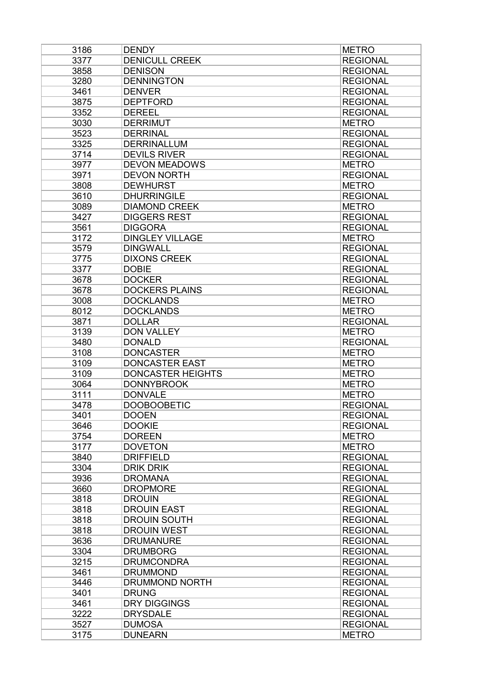| 3186 | <b>DENDY</b>                   | <b>METRO</b>    |
|------|--------------------------------|-----------------|
| 3377 | <b>DENICULL CREEK</b>          | <b>REGIONAL</b> |
| 3858 | <b>DENISON</b>                 | <b>REGIONAL</b> |
| 3280 | <b>DENNINGTON</b>              | <b>REGIONAL</b> |
| 3461 | <b>DENVER</b>                  | <b>REGIONAL</b> |
| 3875 | <b>DEPTFORD</b>                | <b>REGIONAL</b> |
| 3352 | <b>DEREEL</b>                  | <b>REGIONAL</b> |
| 3030 | <b>DERRIMUT</b>                | <b>METRO</b>    |
| 3523 | <b>DERRINAL</b>                | <b>REGIONAL</b> |
| 3325 | <b>DERRINALLUM</b>             | <b>REGIONAL</b> |
| 3714 | <b>DEVILS RIVER</b>            | <b>REGIONAL</b> |
| 3977 | <b>DEVON MEADOWS</b>           | <b>METRO</b>    |
| 3971 | <b>DEVON NORTH</b>             | <b>REGIONAL</b> |
| 3808 | <b>DEWHURST</b>                | <b>METRO</b>    |
| 3610 | <b>DHURRINGILE</b>             | <b>REGIONAL</b> |
| 3089 | <b>DIAMOND CREEK</b>           | <b>METRO</b>    |
| 3427 | <b>DIGGERS REST</b>            | <b>REGIONAL</b> |
| 3561 | <b>DIGGORA</b>                 | <b>REGIONAL</b> |
| 3172 | <b>DINGLEY VILLAGE</b>         | <b>METRO</b>    |
| 3579 | <b>DINGWALL</b>                | <b>REGIONAL</b> |
| 3775 | <b>DIXONS CREEK</b>            | <b>REGIONAL</b> |
| 3377 | <b>DOBIE</b>                   | <b>REGIONAL</b> |
| 3678 | <b>DOCKER</b>                  | <b>REGIONAL</b> |
| 3678 | <b>DOCKERS PLAINS</b>          | <b>REGIONAL</b> |
| 3008 | <b>DOCKLANDS</b>               | <b>METRO</b>    |
| 8012 | <b>DOCKLANDS</b>               | <b>METRO</b>    |
| 3871 | <b>DOLLAR</b>                  | <b>REGIONAL</b> |
| 3139 | <b>DON VALLEY</b>              | <b>METRO</b>    |
| 3480 | <b>DONALD</b>                  | <b>REGIONAL</b> |
| 3108 | <b>DONCASTER</b>               | <b>METRO</b>    |
| 3109 | <b>DONCASTER EAST</b>          | <b>METRO</b>    |
| 3109 | <b>DONCASTER HEIGHTS</b>       | <b>METRO</b>    |
| 3064 | <b>DONNYBROOK</b>              | <b>METRO</b>    |
| 3111 | <b>DONVALE</b>                 | <b>METRO</b>    |
| 3478 | <b>DOOBOOBETIC</b>             | <b>REGIONAL</b> |
| 3401 | <b>DOOEN</b>                   | <b>REGIONAL</b> |
| 3646 |                                | <b>REGIONAL</b> |
|      | <b>DOOKIE</b><br><b>DOREEN</b> |                 |
| 3754 |                                | <b>METRO</b>    |
| 3177 | <b>DOVETON</b>                 | <b>METRO</b>    |
| 3840 | <b>DRIFFIELD</b>               | <b>REGIONAL</b> |
| 3304 | <b>DRIK DRIK</b>               | <b>REGIONAL</b> |
| 3936 | <b>DROMANA</b>                 | <b>REGIONAL</b> |
| 3660 | <b>DROPMORE</b>                | <b>REGIONAL</b> |
| 3818 | <b>DROUIN</b>                  | <b>REGIONAL</b> |
| 3818 | <b>DROUIN EAST</b>             | <b>REGIONAL</b> |
| 3818 | <b>DROUIN SOUTH</b>            | <b>REGIONAL</b> |
| 3818 | <b>DROUIN WEST</b>             | <b>REGIONAL</b> |
| 3636 | <b>DRUMANURE</b>               | <b>REGIONAL</b> |
| 3304 | <b>DRUMBORG</b>                | <b>REGIONAL</b> |
| 3215 | <b>DRUMCONDRA</b>              | <b>REGIONAL</b> |
| 3461 | <b>DRUMMOND</b>                | <b>REGIONAL</b> |
| 3446 | DRUMMOND NORTH                 | <b>REGIONAL</b> |
| 3401 | <b>DRUNG</b>                   | <b>REGIONAL</b> |
| 3461 | <b>DRY DIGGINGS</b>            | <b>REGIONAL</b> |
| 3222 | <b>DRYSDALE</b>                | <b>REGIONAL</b> |
| 3527 | <b>DUMOSA</b>                  | <b>REGIONAL</b> |
| 3175 | <b>DUNEARN</b>                 | <b>METRO</b>    |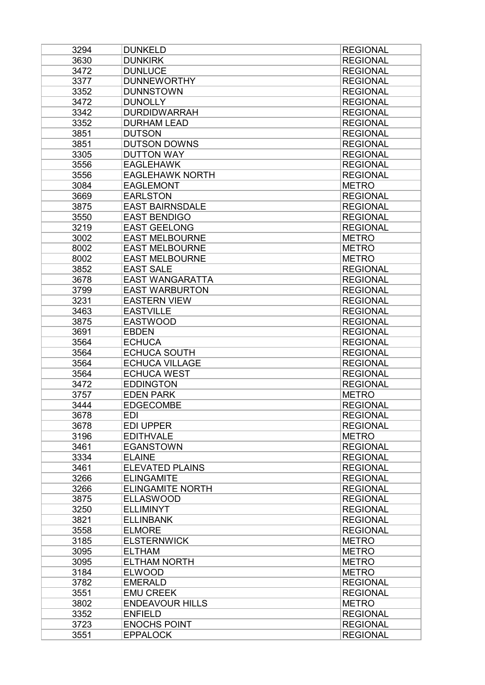| 3294 | <b>DUNKELD</b>          | <b>REGIONAL</b> |
|------|-------------------------|-----------------|
| 3630 | <b>DUNKIRK</b>          | <b>REGIONAL</b> |
| 3472 | <b>DUNLUCE</b>          | <b>REGIONAL</b> |
| 3377 | <b>DUNNEWORTHY</b>      | <b>REGIONAL</b> |
| 3352 | <b>DUNNSTOWN</b>        | <b>REGIONAL</b> |
| 3472 | <b>DUNOLLY</b>          | <b>REGIONAL</b> |
| 3342 | <b>DURDIDWARRAH</b>     | <b>REGIONAL</b> |
| 3352 | <b>DURHAM LEAD</b>      | <b>REGIONAL</b> |
| 3851 | <b>DUTSON</b>           | <b>REGIONAL</b> |
| 3851 | <b>DUTSON DOWNS</b>     | <b>REGIONAL</b> |
| 3305 | <b>DUTTON WAY</b>       | <b>REGIONAL</b> |
| 3556 | <b>EAGLEHAWK</b>        | <b>REGIONAL</b> |
| 3556 | <b>EAGLEHAWK NORTH</b>  | <b>REGIONAL</b> |
| 3084 | <b>EAGLEMONT</b>        | <b>METRO</b>    |
| 3669 | <b>EARLSTON</b>         | <b>REGIONAL</b> |
| 3875 | <b>EAST BAIRNSDALE</b>  | <b>REGIONAL</b> |
| 3550 | <b>EAST BENDIGO</b>     | <b>REGIONAL</b> |
| 3219 | <b>EAST GEELONG</b>     | <b>REGIONAL</b> |
| 3002 | <b>EAST MELBOURNE</b>   | <b>METRO</b>    |
| 8002 | <b>EAST MELBOURNE</b>   | <b>METRO</b>    |
| 8002 | <b>EAST MELBOURNE</b>   | <b>METRO</b>    |
| 3852 | <b>EAST SALE</b>        | <b>REGIONAL</b> |
| 3678 | <b>EAST WANGARATTA</b>  | <b>REGIONAL</b> |
| 3799 | <b>EAST WARBURTON</b>   | <b>REGIONAL</b> |
| 3231 | <b>EASTERN VIEW</b>     | <b>REGIONAL</b> |
| 3463 | <b>EASTVILLE</b>        | <b>REGIONAL</b> |
| 3875 | <b>EASTWOOD</b>         | <b>REGIONAL</b> |
| 3691 | <b>EBDEN</b>            | <b>REGIONAL</b> |
| 3564 | <b>ECHUCA</b>           | <b>REGIONAL</b> |
| 3564 | <b>ECHUCA SOUTH</b>     | <b>REGIONAL</b> |
| 3564 | <b>ECHUCA VILLAGE</b>   | <b>REGIONAL</b> |
| 3564 | <b>ECHUCA WEST</b>      | <b>REGIONAL</b> |
| 3472 | <b>EDDINGTON</b>        | <b>REGIONAL</b> |
| 3757 | <b>EDEN PARK</b>        | <b>METRO</b>    |
| 3444 | <b>EDGECOMBE</b>        | <b>REGIONAL</b> |
| 3678 | <b>EDI</b>              | <b>REGIONAL</b> |
| 3678 | <b>EDI UPPER</b>        | <b>REGIONAL</b> |
| 3196 | <b>EDITHVALE</b>        | <b>METRO</b>    |
| 3461 | <b>EGANSTOWN</b>        | <b>REGIONAL</b> |
| 3334 | <b>ELAINE</b>           | <b>REGIONAL</b> |
| 3461 | <b>ELEVATED PLAINS</b>  | <b>REGIONAL</b> |
| 3266 | <b>ELINGAMITE</b>       | <b>REGIONAL</b> |
| 3266 | <b>ELINGAMITE NORTH</b> | <b>REGIONAL</b> |
| 3875 | <b>ELLASWOOD</b>        | <b>REGIONAL</b> |
| 3250 | <b>ELLIMINYT</b>        | <b>REGIONAL</b> |
| 3821 | <b>ELLINBANK</b>        | <b>REGIONAL</b> |
| 3558 | <b>ELMORE</b>           | <b>REGIONAL</b> |
| 3185 | <b>ELSTERNWICK</b>      | <b>METRO</b>    |
| 3095 | <b>ELTHAM</b>           | <b>METRO</b>    |
| 3095 | <b>ELTHAM NORTH</b>     | <b>METRO</b>    |
| 3184 | <b>ELWOOD</b>           | <b>METRO</b>    |
| 3782 | <b>EMERALD</b>          | <b>REGIONAL</b> |
| 3551 | <b>EMU CREEK</b>        | <b>REGIONAL</b> |
| 3802 | <b>ENDEAVOUR HILLS</b>  | <b>METRO</b>    |
| 3352 | <b>ENFIELD</b>          | <b>REGIONAL</b> |
| 3723 | <b>ENOCHS POINT</b>     | <b>REGIONAL</b> |
| 3551 | <b>EPPALOCK</b>         | <b>REGIONAL</b> |
|      |                         |                 |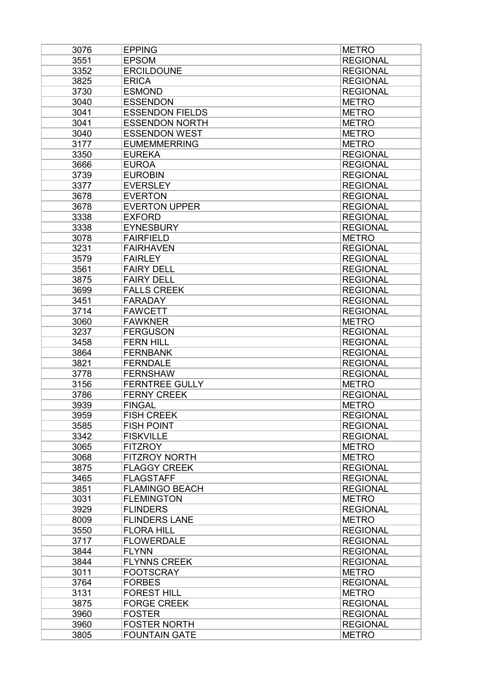| 3076 | <b>EPPING</b>          | <b>METRO</b>    |
|------|------------------------|-----------------|
| 3551 | <b>EPSOM</b>           | <b>REGIONAL</b> |
| 3352 | <b>ERCILDOUNE</b>      | <b>REGIONAL</b> |
| 3825 | <b>ERICA</b>           | <b>REGIONAL</b> |
| 3730 | <b>ESMOND</b>          | <b>REGIONAL</b> |
| 3040 | <b>ESSENDON</b>        | <b>METRO</b>    |
| 3041 | <b>ESSENDON FIELDS</b> | <b>METRO</b>    |
| 3041 | <b>ESSENDON NORTH</b>  | <b>METRO</b>    |
| 3040 | <b>ESSENDON WEST</b>   | <b>METRO</b>    |
| 3177 | <b>EUMEMMERRING</b>    | <b>METRO</b>    |
| 3350 | <b>EUREKA</b>          | <b>REGIONAL</b> |
| 3666 | <b>EUROA</b>           | <b>REGIONAL</b> |
| 3739 | <b>EUROBIN</b>         | <b>REGIONAL</b> |
| 3377 | <b>EVERSLEY</b>        | <b>REGIONAL</b> |
| 3678 | <b>EVERTON</b>         | <b>REGIONAL</b> |
| 3678 | <b>EVERTON UPPER</b>   | <b>REGIONAL</b> |
| 3338 | <b>EXFORD</b>          | <b>REGIONAL</b> |
| 3338 | <b>EYNESBURY</b>       | <b>REGIONAL</b> |
| 3078 | <b>FAIRFIELD</b>       | <b>METRO</b>    |
|      |                        |                 |
| 3231 | <b>FAIRHAVEN</b>       | <b>REGIONAL</b> |
| 3579 | <b>FAIRLEY</b>         | <b>REGIONAL</b> |
| 3561 | <b>FAIRY DELL</b>      | <b>REGIONAL</b> |
| 3875 | <b>FAIRY DELL</b>      | <b>REGIONAL</b> |
| 3699 | <b>FALLS CREEK</b>     | <b>REGIONAL</b> |
| 3451 | <b>FARADAY</b>         | <b>REGIONAL</b> |
| 3714 | <b>FAWCETT</b>         | <b>REGIONAL</b> |
| 3060 | <b>FAWKNER</b>         | <b>METRO</b>    |
| 3237 | <b>FERGUSON</b>        | <b>REGIONAL</b> |
| 3458 | <b>FERN HILL</b>       | <b>REGIONAL</b> |
| 3864 | <b>FERNBANK</b>        | <b>REGIONAL</b> |
| 3821 | <b>FERNDALE</b>        | <b>REGIONAL</b> |
| 3778 | <b>FERNSHAW</b>        | <b>REGIONAL</b> |
| 3156 | <b>FERNTREE GULLY</b>  | <b>METRO</b>    |
| 3786 | <b>FERNY CREEK</b>     | <b>REGIONAL</b> |
| 3939 | <b>FINGAL</b>          | <b>METRO</b>    |
| 3959 | <b>FISH CREEK</b>      | <b>REGIONAL</b> |
| 3585 | <b>FISH POINT</b>      | <b>REGIONAL</b> |
| 3342 | <b>FISKVILLE</b>       | <b>REGIONAL</b> |
| 3065 | <b>FITZROY</b>         | <b>METRO</b>    |
| 3068 | <b>FITZROY NORTH</b>   | <b>METRO</b>    |
| 3875 | <b>FLAGGY CREEK</b>    | <b>REGIONAL</b> |
| 3465 | <b>FLAGSTAFF</b>       | <b>REGIONAL</b> |
| 3851 | <b>FLAMINGO BEACH</b>  | <b>REGIONAL</b> |
| 3031 | <b>FLEMINGTON</b>      | <b>METRO</b>    |
| 3929 | <b>FLINDERS</b>        | <b>REGIONAL</b> |
| 8009 | <b>FLINDERS LANE</b>   | <b>METRO</b>    |
| 3550 | <b>FLORA HILL</b>      | <b>REGIONAL</b> |
| 3717 | <b>FLOWERDALE</b>      | <b>REGIONAL</b> |
| 3844 | <b>FLYNN</b>           | <b>REGIONAL</b> |
| 3844 | <b>FLYNNS CREEK</b>    | <b>REGIONAL</b> |
| 3011 | <b>FOOTSCRAY</b>       | <b>METRO</b>    |
| 3764 | <b>FORBES</b>          | <b>REGIONAL</b> |
| 3131 | <b>FOREST HILL</b>     | <b>METRO</b>    |
| 3875 | <b>FORGE CREEK</b>     | <b>REGIONAL</b> |
| 3960 | <b>FOSTER</b>          | <b>REGIONAL</b> |
| 3960 | <b>FOSTER NORTH</b>    | <b>REGIONAL</b> |
| 3805 | <b>FOUNTAIN GATE</b>   | <b>METRO</b>    |
|      |                        |                 |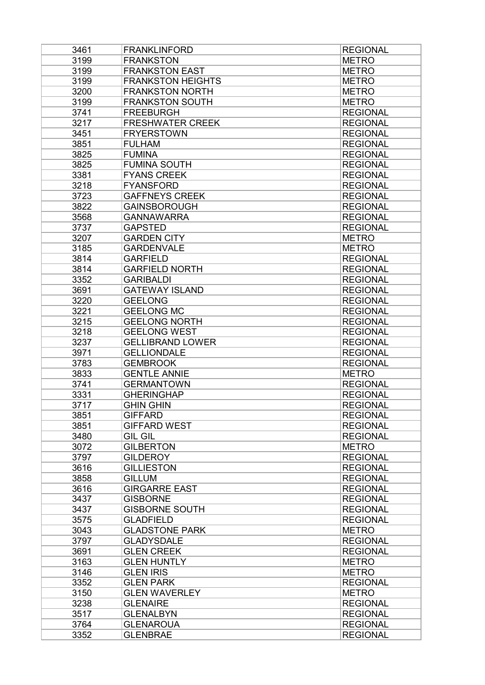| 3461         | <b>FRANKLINFORD</b>                    | <b>REGIONAL</b> |
|--------------|----------------------------------------|-----------------|
| 3199         | <b>FRANKSTON</b>                       | <b>METRO</b>    |
| 3199         | <b>FRANKSTON EAST</b>                  | <b>METRO</b>    |
| 3199         | <b>FRANKSTON HEIGHTS</b>               | <b>METRO</b>    |
| 3200         | <b>FRANKSTON NORTH</b>                 | <b>METRO</b>    |
| 3199         | <b>FRANKSTON SOUTH</b>                 | <b>METRO</b>    |
| 3741         | <b>FREEBURGH</b>                       | <b>REGIONAL</b> |
| 3217         | <b>FRESHWATER CREEK</b>                | <b>REGIONAL</b> |
| 3451         | <b>FRYERSTOWN</b>                      | <b>REGIONAL</b> |
| 3851         | <b>FULHAM</b>                          | <b>REGIONAL</b> |
| 3825         | <b>FUMINA</b>                          | <b>REGIONAL</b> |
| 3825         | <b>FUMINA SOUTH</b>                    | <b>REGIONAL</b> |
| 3381         | <b>FYANS CREEK</b>                     | <b>REGIONAL</b> |
| 3218         | <b>FYANSFORD</b>                       | <b>REGIONAL</b> |
| 3723         | <b>GAFFNEYS CREEK</b>                  | <b>REGIONAL</b> |
| 3822         | <b>GAINSBOROUGH</b>                    | <b>REGIONAL</b> |
| 3568         | <b>GANNAWARRA</b>                      | <b>REGIONAL</b> |
| 3737         | <b>GAPSTED</b>                         | <b>REGIONAL</b> |
| 3207         | <b>GARDEN CITY</b>                     | <b>METRO</b>    |
| 3185         | <b>GARDENVALE</b>                      | <b>METRO</b>    |
| 3814         | <b>GARFIELD</b>                        | <b>REGIONAL</b> |
| 3814         | <b>GARFIELD NORTH</b>                  | <b>REGIONAL</b> |
| 3352         | <b>GARIBALDI</b>                       | <b>REGIONAL</b> |
| 3691         | <b>GATEWAY ISLAND</b>                  | <b>REGIONAL</b> |
| 3220         | <b>GEELONG</b>                         | <b>REGIONAL</b> |
| 3221         | <b>GEELONG MC</b>                      | <b>REGIONAL</b> |
| 3215         | <b>GEELONG NORTH</b>                   | <b>REGIONAL</b> |
| 3218         | <b>GEELONG WEST</b>                    | <b>REGIONAL</b> |
| 3237         | <b>GELLIBRAND LOWER</b>                | <b>REGIONAL</b> |
| 3971         | <b>GELLIONDALE</b>                     | <b>REGIONAL</b> |
| 3783         | <b>GEMBROOK</b>                        | <b>REGIONAL</b> |
|              | <b>GENTLE ANNIE</b>                    |                 |
| 3833         |                                        | <b>METRO</b>    |
| 3741<br>3331 | <b>GERMANTOWN</b><br><b>GHERINGHAP</b> | <b>REGIONAL</b> |
|              |                                        | <b>REGIONAL</b> |
| 3717         | <b>GHIN GHIN</b>                       | <b>REGIONAL</b> |
| 3851         | <b>GIFFARD</b>                         | <b>REGIONAL</b> |
| 3851         | <b>GIFFARD WEST</b>                    | <b>REGIONAL</b> |
| 3480         | <b>GIL GIL</b>                         | <b>REGIONAL</b> |
| 3072         | <b>GILBERTON</b>                       | <b>METRO</b>    |
| 3797         | <b>GILDEROY</b>                        | <b>REGIONAL</b> |
| 3616         | <b>GILLIESTON</b>                      | <b>REGIONAL</b> |
| 3858         | <b>GILLUM</b>                          | <b>REGIONAL</b> |
| 3616         | <b>GIRGARRE EAST</b>                   | <b>REGIONAL</b> |
| 3437         | <b>GISBORNE</b>                        | <b>REGIONAL</b> |
| 3437         | <b>GISBORNE SOUTH</b>                  | <b>REGIONAL</b> |
| 3575         | <b>GLADFIELD</b>                       | <b>REGIONAL</b> |
| 3043         | <b>GLADSTONE PARK</b>                  | <b>METRO</b>    |
| 3797         | <b>GLADYSDALE</b>                      | <b>REGIONAL</b> |
| 3691         | <b>GLEN CREEK</b>                      | <b>REGIONAL</b> |
| 3163         | <b>GLEN HUNTLY</b>                     | <b>METRO</b>    |
| 3146         | <b>GLEN IRIS</b>                       | <b>METRO</b>    |
| 3352         | <b>GLEN PARK</b>                       | <b>REGIONAL</b> |
| 3150         | <b>GLEN WAVERLEY</b>                   | <b>METRO</b>    |
| 3238         | <b>GLENAIRE</b>                        | <b>REGIONAL</b> |
| 3517         | <b>GLENALBYN</b>                       | <b>REGIONAL</b> |
| 3764         | <b>GLENAROUA</b>                       | <b>REGIONAL</b> |
| 3352         | <b>GLENBRAE</b>                        | <b>REGIONAL</b> |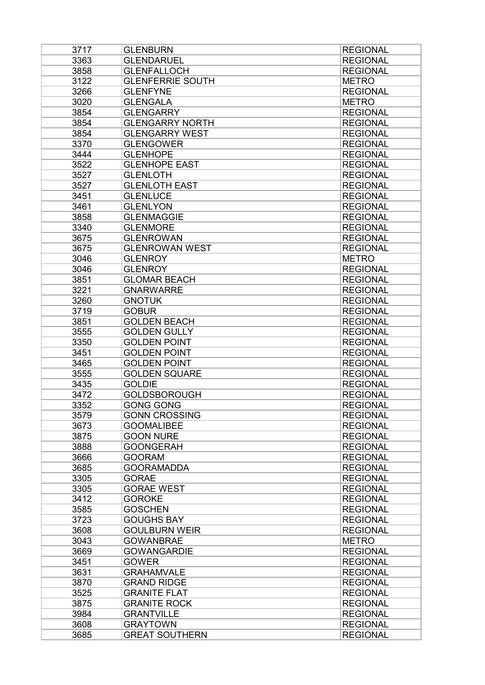| 3717 | <b>GLENBURN</b>         | <b>REGIONAL</b> |
|------|-------------------------|-----------------|
| 3363 | <b>GLENDARUEL</b>       | <b>REGIONAL</b> |
| 3858 | <b>GLENFALLOCH</b>      | <b>REGIONAL</b> |
| 3122 | <b>GLENFERRIE SOUTH</b> | <b>METRO</b>    |
| 3266 | <b>GLENFYNE</b>         | <b>REGIONAL</b> |
| 3020 | <b>GLENGALA</b>         | <b>METRO</b>    |
| 3854 | <b>GLENGARRY</b>        | <b>REGIONAL</b> |
| 3854 | <b>GLENGARRY NORTH</b>  | <b>REGIONAL</b> |
| 3854 | <b>GLENGARRY WEST</b>   | <b>REGIONAL</b> |
| 3370 | <b>GLENGOWER</b>        | <b>REGIONAL</b> |
| 3444 | <b>GLENHOPE</b>         | <b>REGIONAL</b> |
| 3522 | <b>GLENHOPE EAST</b>    | <b>REGIONAL</b> |
| 3527 | <b>GLENLOTH</b>         | <b>REGIONAL</b> |
| 3527 | <b>GLENLOTH EAST</b>    | <b>REGIONAL</b> |
| 3451 | <b>GLENLUCE</b>         | <b>REGIONAL</b> |
| 3461 | <b>GLENLYON</b>         | <b>REGIONAL</b> |
| 3858 | <b>GLENMAGGIE</b>       | <b>REGIONAL</b> |
| 3340 | <b>GLENMORE</b>         | <b>REGIONAL</b> |
| 3675 | <b>GLENROWAN</b>        | <b>REGIONAL</b> |
| 3675 | <b>GLENROWAN WEST</b>   | <b>REGIONAL</b> |
| 3046 | <b>GLENROY</b>          | <b>METRO</b>    |
| 3046 | <b>GLENROY</b>          | <b>REGIONAL</b> |
| 3851 | <b>GLOMAR BEACH</b>     | <b>REGIONAL</b> |
| 3221 | <b>GNARWARRE</b>        | <b>REGIONAL</b> |
| 3260 | <b>GNOTUK</b>           | <b>REGIONAL</b> |
| 3719 | <b>GOBUR</b>            | <b>REGIONAL</b> |
| 3851 | <b>GOLDEN BEACH</b>     | <b>REGIONAL</b> |
| 3555 | <b>GOLDEN GULLY</b>     | <b>REGIONAL</b> |
| 3350 | <b>GOLDEN POINT</b>     | <b>REGIONAL</b> |
| 3451 | <b>GOLDEN POINT</b>     | <b>REGIONAL</b> |
| 3465 | <b>GOLDEN POINT</b>     | <b>REGIONAL</b> |
| 3555 | <b>GOLDEN SQUARE</b>    | <b>REGIONAL</b> |
| 3435 | <b>GOLDIE</b>           | <b>REGIONAL</b> |
| 3472 | <b>GOLDSBOROUGH</b>     | <b>REGIONAL</b> |
| 3352 | <b>GONG GONG</b>        | <b>REGIONAL</b> |
| 3579 | <b>GONN CROSSING</b>    | <b>REGIONAL</b> |
| 3673 | <b>GOOMALIBEE</b>       | <b>REGIONAL</b> |
| 3875 | <b>GOON NURE</b>        | <b>REGIONAL</b> |
| 3888 | <b>GOONGERAH</b>        | <b>REGIONAL</b> |
| 3666 | <b>GOORAM</b>           | <b>REGIONAL</b> |
| 3685 | <b>GOORAMADDA</b>       | <b>REGIONAL</b> |
| 3305 | <b>GORAE</b>            | <b>REGIONAL</b> |
| 3305 | <b>GORAE WEST</b>       | <b>REGIONAL</b> |
| 3412 | <b>GOROKE</b>           | <b>REGIONAL</b> |
| 3585 | <b>GOSCHEN</b>          | <b>REGIONAL</b> |
| 3723 | <b>GOUGHS BAY</b>       | <b>REGIONAL</b> |
| 3608 | <b>GOULBURN WEIR</b>    | <b>REGIONAL</b> |
| 3043 | <b>GOWANBRAE</b>        | <b>METRO</b>    |
| 3669 | <b>GOWANGARDIE</b>      | <b>REGIONAL</b> |
| 3451 | <b>GOWER</b>            | <b>REGIONAL</b> |
| 3631 | <b>GRAHAMVALE</b>       | <b>REGIONAL</b> |
| 3870 | <b>GRAND RIDGE</b>      | <b>REGIONAL</b> |
| 3525 | <b>GRANITE FLAT</b>     | <b>REGIONAL</b> |
| 3875 | <b>GRANITE ROCK</b>     | <b>REGIONAL</b> |
| 3984 | <b>GRANTVILLE</b>       | <b>REGIONAL</b> |
| 3608 | <b>GRAYTOWN</b>         | <b>REGIONAL</b> |
| 3685 | <b>GREAT SOUTHERN</b>   | <b>REGIONAL</b> |
|      |                         |                 |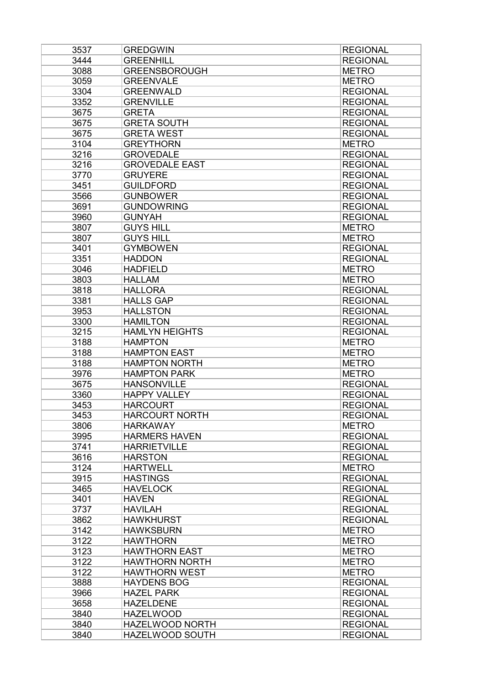| 3537 | <b>GREDGWIN</b>       | <b>REGIONAL</b> |
|------|-----------------------|-----------------|
| 3444 | <b>GREENHILL</b>      | <b>REGIONAL</b> |
| 3088 | <b>GREENSBOROUGH</b>  | <b>METRO</b>    |
| 3059 | <b>GREENVALE</b>      | <b>METRO</b>    |
| 3304 | <b>GREENWALD</b>      | <b>REGIONAL</b> |
| 3352 | <b>GRENVILLE</b>      | <b>REGIONAL</b> |
| 3675 | <b>GRETA</b>          | <b>REGIONAL</b> |
| 3675 | <b>GRETA SOUTH</b>    | <b>REGIONAL</b> |
| 3675 | <b>GRETA WEST</b>     | <b>REGIONAL</b> |
| 3104 | <b>GREYTHORN</b>      | <b>METRO</b>    |
| 3216 | <b>GROVEDALE</b>      | <b>REGIONAL</b> |
| 3216 | <b>GROVEDALE EAST</b> | <b>REGIONAL</b> |
| 3770 | <b>GRUYERE</b>        | <b>REGIONAL</b> |
| 3451 | <b>GUILDFORD</b>      | <b>REGIONAL</b> |
| 3566 | <b>GUNBOWER</b>       | <b>REGIONAL</b> |
| 3691 | <b>GUNDOWRING</b>     | <b>REGIONAL</b> |
| 3960 | <b>GUNYAH</b>         | <b>REGIONAL</b> |
| 3807 | <b>GUYS HILL</b>      | <b>METRO</b>    |
| 3807 | <b>GUYS HILL</b>      | <b>METRO</b>    |
| 3401 | <b>GYMBOWEN</b>       | <b>REGIONAL</b> |
| 3351 | <b>HADDON</b>         | <b>REGIONAL</b> |
| 3046 | <b>HADFIELD</b>       | <b>METRO</b>    |
| 3803 | <b>HALLAM</b>         | <b>METRO</b>    |
| 3818 | <b>HALLORA</b>        | <b>REGIONAL</b> |
| 3381 | <b>HALLS GAP</b>      | <b>REGIONAL</b> |
| 3953 | <b>HALLSTON</b>       | <b>REGIONAL</b> |
| 3300 | <b>HAMILTON</b>       | <b>REGIONAL</b> |
| 3215 | <b>HAMLYN HEIGHTS</b> | <b>REGIONAL</b> |
| 3188 | <b>HAMPTON</b>        | <b>METRO</b>    |
| 3188 | <b>HAMPTON EAST</b>   | <b>METRO</b>    |
| 3188 | <b>HAMPTON NORTH</b>  | <b>METRO</b>    |
| 3976 | <b>HAMPTON PARK</b>   | <b>METRO</b>    |
| 3675 | <b>HANSONVILLE</b>    | <b>REGIONAL</b> |
| 3360 | <b>HAPPY VALLEY</b>   | <b>REGIONAL</b> |
| 3453 | <b>HARCOURT</b>       | <b>REGIONAL</b> |
| 3453 | <b>HARCOURT NORTH</b> | <b>REGIONAL</b> |
| 3806 | <b>HARKAWAY</b>       | <b>METRO</b>    |
| 3995 | <b>HARMERS HAVEN</b>  | <b>REGIONAL</b> |
| 3741 | <b>HARRIETVILLE</b>   | <b>REGIONAL</b> |
| 3616 | <b>HARSTON</b>        | <b>REGIONAL</b> |
| 3124 | <b>HARTWELL</b>       | <b>METRO</b>    |
| 3915 | <b>HASTINGS</b>       | <b>REGIONAL</b> |
| 3465 | <b>HAVELOCK</b>       | <b>REGIONAL</b> |
| 3401 | <b>HAVEN</b>          | <b>REGIONAL</b> |
| 3737 | <b>HAVILAH</b>        | <b>REGIONAL</b> |
| 3862 | <b>HAWKHURST</b>      | <b>REGIONAL</b> |
| 3142 | <b>HAWKSBURN</b>      | <b>METRO</b>    |
| 3122 | <b>HAWTHORN</b>       | <b>METRO</b>    |
| 3123 | <b>HAWTHORN EAST</b>  | <b>METRO</b>    |
| 3122 | <b>HAWTHORN NORTH</b> | <b>METRO</b>    |
| 3122 | <b>HAWTHORN WEST</b>  | <b>METRO</b>    |
| 3888 | <b>HAYDENS BOG</b>    | <b>REGIONAL</b> |
| 3966 | <b>HAZEL PARK</b>     | <b>REGIONAL</b> |
| 3658 | <b>HAZELDENE</b>      | <b>REGIONAL</b> |
| 3840 | <b>HAZELWOOD</b>      | <b>REGIONAL</b> |
| 3840 | HAZELWOOD NORTH       | <b>REGIONAL</b> |
| 3840 | HAZELWOOD SOUTH       | <b>REGIONAL</b> |
|      |                       |                 |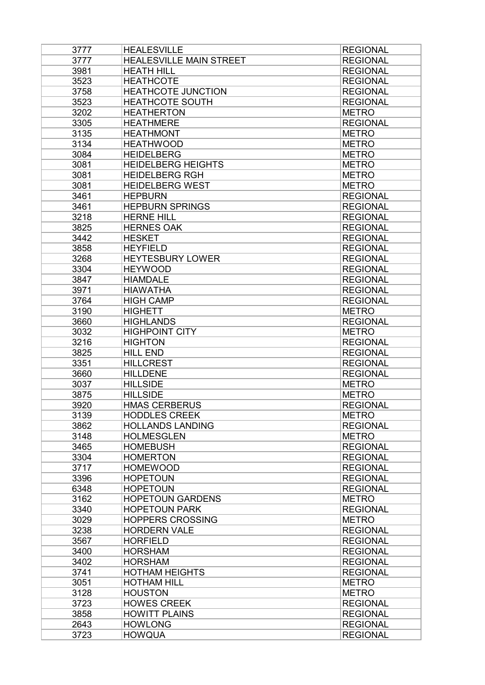| 3777 | <b>HEALESVILLE</b>             | <b>REGIONAL</b> |
|------|--------------------------------|-----------------|
| 3777 | <b>HEALESVILLE MAIN STREET</b> | <b>REGIONAL</b> |
| 3981 | <b>HEATH HILL</b>              | <b>REGIONAL</b> |
| 3523 | <b>HEATHCOTE</b>               | <b>REGIONAL</b> |
| 3758 | <b>HEATHCOTE JUNCTION</b>      | <b>REGIONAL</b> |
| 3523 | <b>HEATHCOTE SOUTH</b>         | <b>REGIONAL</b> |
| 3202 | <b>HEATHERTON</b>              | <b>METRO</b>    |
| 3305 | <b>HEATHMERE</b>               | <b>REGIONAL</b> |
| 3135 | <b>HEATHMONT</b>               | <b>METRO</b>    |
| 3134 | <b>HEATHWOOD</b>               | <b>METRO</b>    |
| 3084 | <b>HEIDELBERG</b>              | <b>METRO</b>    |
|      | <b>HEIDELBERG HEIGHTS</b>      |                 |
| 3081 |                                | <b>METRO</b>    |
| 3081 | <b>HEIDELBERG RGH</b>          | <b>METRO</b>    |
| 3081 | <b>HEIDELBERG WEST</b>         | <b>METRO</b>    |
| 3461 | <b>HEPBURN</b>                 | <b>REGIONAL</b> |
| 3461 | <b>HEPBURN SPRINGS</b>         | <b>REGIONAL</b> |
| 3218 | <b>HERNE HILL</b>              | <b>REGIONAL</b> |
| 3825 | <b>HERNES OAK</b>              | <b>REGIONAL</b> |
| 3442 | <b>HESKET</b>                  | <b>REGIONAL</b> |
| 3858 | <b>HEYFIELD</b>                | <b>REGIONAL</b> |
| 3268 | <b>HEYTESBURY LOWER</b>        | <b>REGIONAL</b> |
| 3304 | <b>HEYWOOD</b>                 | <b>REGIONAL</b> |
| 3847 | <b>HIAMDALE</b>                | <b>REGIONAL</b> |
| 3971 | <b>HIAWATHA</b>                | <b>REGIONAL</b> |
| 3764 | <b>HIGH CAMP</b>               | <b>REGIONAL</b> |
| 3190 | <b>HIGHETT</b>                 | <b>METRO</b>    |
| 3660 | <b>HIGHLANDS</b>               | <b>REGIONAL</b> |
|      |                                |                 |
| 3032 | <b>HIGHPOINT CITY</b>          | <b>METRO</b>    |
| 3216 | <b>HIGHTON</b>                 | <b>REGIONAL</b> |
| 3825 | <b>HILL END</b>                | <b>REGIONAL</b> |
| 3351 | <b>HILLCREST</b>               | <b>REGIONAL</b> |
| 3660 | <b>HILLDENE</b>                | <b>REGIONAL</b> |
| 3037 | <b>HILLSIDE</b>                | <b>METRO</b>    |
| 3875 | <b>HILLSIDE</b>                | <b>METRO</b>    |
| 3920 | <b>HMAS CERBERUS</b>           | <b>REGIONAL</b> |
| 3139 | <b>HODDLES CREEK</b>           | <b>METRO</b>    |
| 3862 | <b>HOLLANDS LANDING</b>        | <b>REGIONAL</b> |
| 3148 | <b>HOLMESGLEN</b>              | <b>METRO</b>    |
| 3465 | <b>HOMEBUSH</b>                | <b>REGIONAL</b> |
| 3304 | <b>HOMERTON</b>                | <b>REGIONAL</b> |
| 3717 | <b>HOMEWOOD</b>                | <b>REGIONAL</b> |
| 3396 | <b>HOPETOUN</b>                | <b>REGIONAL</b> |
| 6348 | <b>HOPETOUN</b>                | <b>REGIONAL</b> |
| 3162 | <b>HOPETOUN GARDENS</b>        | <b>METRO</b>    |
| 3340 | <b>HOPETOUN PARK</b>           | <b>REGIONAL</b> |
| 3029 | <b>HOPPERS CROSSING</b>        | <b>METRO</b>    |
| 3238 | <b>HORDERN VALE</b>            | <b>REGIONAL</b> |
|      |                                |                 |
| 3567 | <b>HORFIELD</b>                | <b>REGIONAL</b> |
| 3400 | <b>HORSHAM</b>                 | <b>REGIONAL</b> |
| 3402 | <b>HORSHAM</b>                 | <b>REGIONAL</b> |
| 3741 | <b>HOTHAM HEIGHTS</b>          | <b>REGIONAL</b> |
| 3051 | <b>HOTHAM HILL</b>             | <b>METRO</b>    |
| 3128 | <b>HOUSTON</b>                 | <b>METRO</b>    |
| 3723 | <b>HOWES CREEK</b>             | <b>REGIONAL</b> |
| 3858 | <b>HOWITT PLAINS</b>           | <b>REGIONAL</b> |
| 2643 | <b>HOWLONG</b>                 | <b>REGIONAL</b> |
| 3723 | <b>HOWQUA</b>                  | <b>REGIONAL</b> |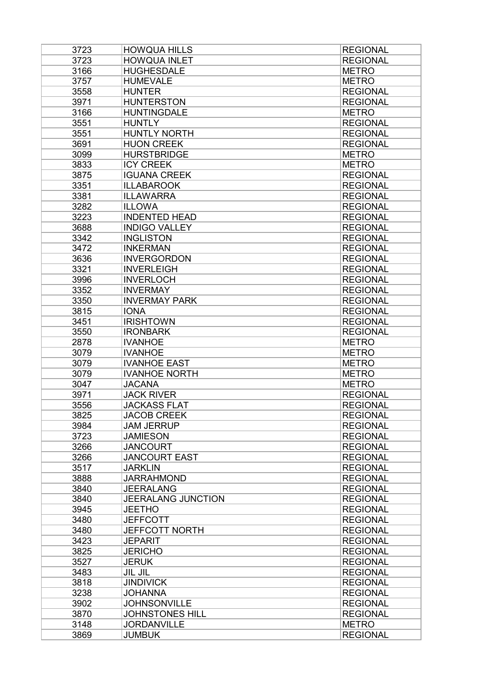| 3723 | <b>HOWQUA HILLS</b>       | <b>REGIONAL</b> |
|------|---------------------------|-----------------|
| 3723 | <b>HOWQUA INLET</b>       | <b>REGIONAL</b> |
| 3166 | <b>HUGHESDALE</b>         | <b>METRO</b>    |
| 3757 | <b>HUMEVALE</b>           | <b>METRO</b>    |
| 3558 | <b>HUNTER</b>             | <b>REGIONAL</b> |
| 3971 | <b>HUNTERSTON</b>         | <b>REGIONAL</b> |
| 3166 | <b>HUNTINGDALE</b>        | <b>METRO</b>    |
| 3551 | <b>HUNTLY</b>             | <b>REGIONAL</b> |
| 3551 | <b>HUNTLY NORTH</b>       | <b>REGIONAL</b> |
| 3691 | <b>HUON CREEK</b>         | <b>REGIONAL</b> |
| 3099 | <b>HURSTBRIDGE</b>        | <b>METRO</b>    |
| 3833 | <b>ICY CREEK</b>          | <b>METRO</b>    |
| 3875 | <b>IGUANA CREEK</b>       | <b>REGIONAL</b> |
| 3351 | <b>ILLABAROOK</b>         | <b>REGIONAL</b> |
| 3381 | <b>ILLAWARRA</b>          | <b>REGIONAL</b> |
| 3282 | <b>ILLOWA</b>             | <b>REGIONAL</b> |
| 3223 | <b>INDENTED HEAD</b>      | <b>REGIONAL</b> |
| 3688 | <b>INDIGO VALLEY</b>      | <b>REGIONAL</b> |
| 3342 | <b>INGLISTON</b>          | <b>REGIONAL</b> |
| 3472 | <b>INKERMAN</b>           | <b>REGIONAL</b> |
| 3636 | <b>INVERGORDON</b>        | <b>REGIONAL</b> |
|      | <b>INVERLEIGH</b>         |                 |
| 3321 |                           | <b>REGIONAL</b> |
| 3996 | <b>INVERLOCH</b>          | <b>REGIONAL</b> |
| 3352 | <b>INVERMAY</b>           | <b>REGIONAL</b> |
| 3350 | <b>INVERMAY PARK</b>      | <b>REGIONAL</b> |
| 3815 | <b>IONA</b>               | <b>REGIONAL</b> |
| 3451 | <b>IRISHTOWN</b>          | <b>REGIONAL</b> |
| 3550 | <b>IRONBARK</b>           | <b>REGIONAL</b> |
| 2878 | <b>IVANHOE</b>            | <b>METRO</b>    |
| 3079 | <b>IVANHOE</b>            | <b>METRO</b>    |
| 3079 | <b>IVANHOE EAST</b>       | <b>METRO</b>    |
| 3079 | <b>IVANHOE NORTH</b>      | <b>METRO</b>    |
| 3047 | <b>JACANA</b>             | <b>METRO</b>    |
| 3971 | <b>JACK RIVER</b>         | <b>REGIONAL</b> |
| 3556 | <b>JACKASS FLAT</b>       | <b>REGIONAL</b> |
| 3825 | <b>JACOB CREEK</b>        | <b>REGIONAL</b> |
| 3984 | <b>JAM JERRUP</b>         | <b>REGIONAL</b> |
| 3723 | <b>JAMIESON</b>           | <b>REGIONAL</b> |
| 3266 | <b>JANCOURT</b>           | <b>REGIONAL</b> |
| 3266 | <b>JANCOURT EAST</b>      | <b>REGIONAL</b> |
| 3517 | <b>JARKLIN</b>            | <b>REGIONAL</b> |
| 3888 | <b>JARRAHMOND</b>         | <b>REGIONAL</b> |
| 3840 | <b>JEERALANG</b>          | <b>REGIONAL</b> |
| 3840 | <b>JEERALANG JUNCTION</b> | <b>REGIONAL</b> |
| 3945 | <b>JEETHO</b>             | <b>REGIONAL</b> |
| 3480 | <b>JEFFCOTT</b>           | <b>REGIONAL</b> |
| 3480 | <b>JEFFCOTT NORTH</b>     | <b>REGIONAL</b> |
| 3423 | <b>JEPARIT</b>            | <b>REGIONAL</b> |
| 3825 | <b>JERICHO</b>            | <b>REGIONAL</b> |
| 3527 | <b>JERUK</b>              | <b>REGIONAL</b> |
| 3483 | <b>JIL JIL</b>            | <b>REGIONAL</b> |
| 3818 | <b>JINDIVICK</b>          | <b>REGIONAL</b> |
| 3238 | <b>JOHANNA</b>            | <b>REGIONAL</b> |
| 3902 | <b>JOHNSONVILLE</b>       | <b>REGIONAL</b> |
| 3870 | <b>JOHNSTONES HILL</b>    | <b>REGIONAL</b> |
| 3148 | <b>JORDANVILLE</b>        | <b>METRO</b>    |
| 3869 | <b>JUMBUK</b>             | <b>REGIONAL</b> |
|      |                           |                 |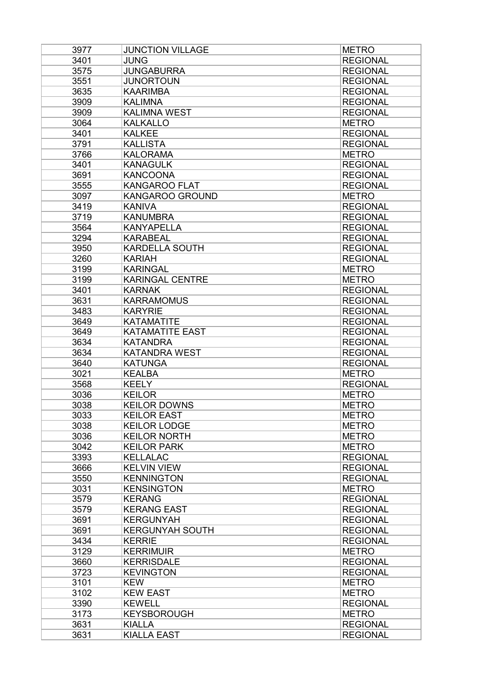| 3977 | <b>JUNCTION VILLAGE</b> | <b>METRO</b>                 |
|------|-------------------------|------------------------------|
| 3401 | <b>JUNG</b>             | <b>REGIONAL</b>              |
| 3575 | <b>JUNGABURRA</b>       | <b>REGIONAL</b>              |
| 3551 | <b>JUNORTOUN</b>        | <b>REGIONAL</b>              |
| 3635 | <b>KAARIMBA</b>         | <b>REGIONAL</b>              |
| 3909 | <b>KALIMNA</b>          | <b>REGIONAL</b>              |
| 3909 | <b>KALIMNA WEST</b>     | <b>REGIONAL</b>              |
| 3064 | <b>KALKALLO</b>         | <b>METRO</b>                 |
| 3401 | <b>KALKEE</b>           | <b>REGIONAL</b>              |
| 3791 | <b>KALLISTA</b>         | <b>REGIONAL</b>              |
| 3766 | <b>KALORAMA</b>         | <b>METRO</b>                 |
| 3401 | <b>KANAGULK</b>         | <b>REGIONAL</b>              |
| 3691 | <b>KANCOONA</b>         | <b>REGIONAL</b>              |
| 3555 | <b>KANGAROO FLAT</b>    | <b>REGIONAL</b>              |
| 3097 | KANGAROO GROUND         | <b>METRO</b>                 |
| 3419 | <b>KANIVA</b>           | <b>REGIONAL</b>              |
| 3719 | <b>KANUMBRA</b>         | <b>REGIONAL</b>              |
| 3564 | <b>KANYAPELLA</b>       | <b>REGIONAL</b>              |
| 3294 | <b>KARABEAL</b>         | <b>REGIONAL</b>              |
| 3950 | <b>KARDELLA SOUTH</b>   | <b>REGIONAL</b>              |
| 3260 | <b>KARIAH</b>           | <b>REGIONAL</b>              |
| 3199 | <b>KARINGAL</b>         | <b>METRO</b>                 |
| 3199 | <b>KARINGAL CENTRE</b>  | <b>METRO</b>                 |
| 3401 | <b>KARNAK</b>           | <b>REGIONAL</b>              |
| 3631 | <b>KARRAMOMUS</b>       | <b>REGIONAL</b>              |
| 3483 | <b>KARYRIE</b>          | <b>REGIONAL</b>              |
| 3649 | <b>KATAMATITE</b>       | <b>REGIONAL</b>              |
| 3649 | <b>KATAMATITE EAST</b>  | <b>REGIONAL</b>              |
| 3634 | <b>KATANDRA</b>         | <b>REGIONAL</b>              |
| 3634 | <b>KATANDRA WEST</b>    | <b>REGIONAL</b>              |
| 3640 | <b>KATUNGA</b>          | <b>REGIONAL</b>              |
| 3021 | <b>KEALBA</b>           | <b>METRO</b>                 |
| 3568 | <b>KEELY</b>            | <b>REGIONAL</b>              |
| 3036 | <b>KEILOR</b>           | <b>METRO</b>                 |
| 3038 | <b>KEILOR DOWNS</b>     | <b>METRO</b>                 |
| 3033 | <b>KEILOR EAST</b>      | <b>METRO</b>                 |
| 3038 |                         | <b>METRO</b>                 |
| 3036 | <b>KEILOR LODGE</b>     |                              |
|      | <b>KEILOR NORTH</b>     | <b>METRO</b><br><b>METRO</b> |
| 3042 | <b>KEILOR PARK</b>      |                              |
| 3393 | <b>KELLALAC</b>         | <b>REGIONAL</b>              |
| 3666 | <b>KELVIN VIEW</b>      | <b>REGIONAL</b>              |
| 3550 | <b>KENNINGTON</b>       | <b>REGIONAL</b>              |
| 3031 | <b>KENSINGTON</b>       | <b>METRO</b>                 |
| 3579 | <b>KERANG</b>           | <b>REGIONAL</b>              |
| 3579 | <b>KERANG EAST</b>      | <b>REGIONAL</b>              |
| 3691 | <b>KERGUNYAH</b>        | <b>REGIONAL</b>              |
| 3691 | <b>KERGUNYAH SOUTH</b>  | <b>REGIONAL</b>              |
| 3434 | <b>KERRIE</b>           | <b>REGIONAL</b>              |
| 3129 | <b>KERRIMUIR</b>        | <b>METRO</b>                 |
| 3660 | <b>KERRISDALE</b>       | <b>REGIONAL</b>              |
| 3723 | <b>KEVINGTON</b>        | <b>REGIONAL</b>              |
| 3101 | <b>KEW</b>              | <b>METRO</b>                 |
| 3102 | <b>KEW EAST</b>         | <b>METRO</b>                 |
| 3390 | <b>KEWELL</b>           | <b>REGIONAL</b>              |
| 3173 | <b>KEYSBOROUGH</b>      | <b>METRO</b>                 |
| 3631 | <b>KIALLA</b>           | <b>REGIONAL</b>              |
| 3631 | <b>KIALLA EAST</b>      | <b>REGIONAL</b>              |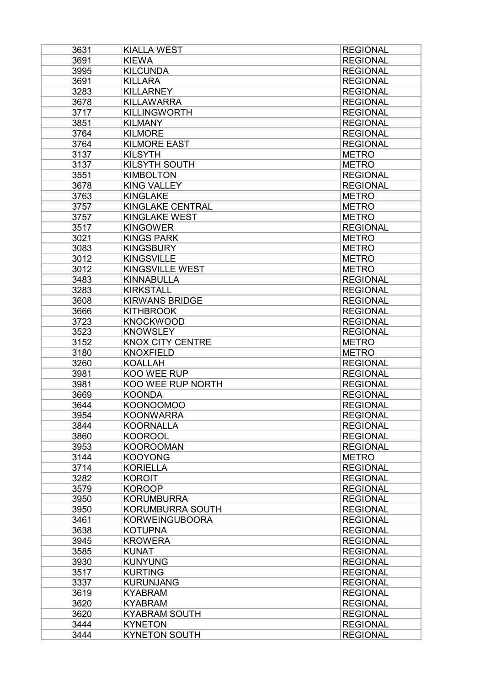| 3631 | <b>KIALLA WEST</b>               | <b>REGIONAL</b> |
|------|----------------------------------|-----------------|
| 3691 | <b>KIEWA</b>                     | <b>REGIONAL</b> |
| 3995 | <b>KILCUNDA</b>                  | <b>REGIONAL</b> |
| 3691 | <b>KILLARA</b>                   | <b>REGIONAL</b> |
| 3283 | <b>KILLARNEY</b>                 | <b>REGIONAL</b> |
| 3678 | <b>KILLAWARRA</b>                | <b>REGIONAL</b> |
| 3717 | <b>KILLINGWORTH</b>              | <b>REGIONAL</b> |
| 3851 | <b>KILMANY</b>                   | <b>REGIONAL</b> |
| 3764 | <b>KILMORE</b>                   | <b>REGIONAL</b> |
| 3764 | <b>KILMORE EAST</b>              | <b>REGIONAL</b> |
| 3137 | <b>KILSYTH</b>                   | <b>METRO</b>    |
| 3137 | <b>KILSYTH SOUTH</b>             | <b>METRO</b>    |
| 3551 | <b>KIMBOLTON</b>                 | <b>REGIONAL</b> |
| 3678 | <b>KING VALLEY</b>               | <b>REGIONAL</b> |
| 3763 | <b>KINGLAKE</b>                  | <b>METRO</b>    |
| 3757 | KINGLAKE CENTRAL                 | <b>METRO</b>    |
| 3757 | <b>KINGLAKE WEST</b>             | <b>METRO</b>    |
| 3517 | <b>KINGOWER</b>                  | <b>REGIONAL</b> |
| 3021 | <b>KINGS PARK</b>                | <b>METRO</b>    |
| 3083 | <b>KINGSBURY</b>                 | <b>METRO</b>    |
| 3012 | <b>KINGSVILLE</b>                | <b>METRO</b>    |
| 3012 | <b>KINGSVILLE WEST</b>           | <b>METRO</b>    |
| 3483 | <b>KINNABULLA</b>                | <b>REGIONAL</b> |
| 3283 | <b>KIRKSTALL</b>                 | <b>REGIONAL</b> |
| 3608 | <b>KIRWANS BRIDGE</b>            | <b>REGIONAL</b> |
| 3666 | <b>KITHBROOK</b>                 | <b>REGIONAL</b> |
| 3723 | <b>KNOCKWOOD</b>                 | <b>REGIONAL</b> |
| 3523 | <b>KNOWSLEY</b>                  | <b>REGIONAL</b> |
| 3152 | <b>KNOX CITY CENTRE</b>          | <b>METRO</b>    |
| 3180 | <b>KNOXFIELD</b>                 | <b>METRO</b>    |
| 3260 | <b>KOALLAH</b>                   | <b>REGIONAL</b> |
| 3981 | KOO WEE RUP                      | <b>REGIONAL</b> |
| 3981 | KOO WEE RUP NORTH                | <b>REGIONAL</b> |
| 3669 | <b>KOONDA</b>                    | <b>REGIONAL</b> |
| 3644 | <b>KOONOOMOO</b>                 | <b>REGIONAL</b> |
| 3954 | <b>KOONWARRA</b>                 | <b>REGIONAL</b> |
| 3844 | <b>KOORNALLA</b>                 | <b>REGIONAL</b> |
| 3860 | <b>KOOROOL</b>                   | <b>REGIONAL</b> |
| 3953 | <b>KOOROOMAN</b>                 | <b>REGIONAL</b> |
| 3144 | <b>KOOYONG</b>                   | <b>METRO</b>    |
| 3714 | <b>KORIELLA</b>                  | <b>REGIONAL</b> |
| 3282 | <b>KOROIT</b>                    | <b>REGIONAL</b> |
| 3579 | <b>KOROOP</b>                    | <b>REGIONAL</b> |
| 3950 | <b>KORUMBURRA</b>                | <b>REGIONAL</b> |
| 3950 | <b>KORUMBURRA SOUTH</b>          | <b>REGIONAL</b> |
|      |                                  | <b>REGIONAL</b> |
| 3461 | <b>KORWEINGUBOORA</b>            | <b>REGIONAL</b> |
| 3638 | <b>KOTUPNA</b><br><b>KROWERA</b> | <b>REGIONAL</b> |
| 3945 |                                  |                 |
| 3585 | <b>KUNAT</b>                     | <b>REGIONAL</b> |
| 3930 | <b>KUNYUNG</b>                   | <b>REGIONAL</b> |
| 3517 | <b>KURTING</b>                   | <b>REGIONAL</b> |
| 3337 | <b>KURUNJANG</b>                 | <b>REGIONAL</b> |
| 3619 | <b>KYABRAM</b>                   | <b>REGIONAL</b> |
| 3620 | <b>KYABRAM</b>                   | <b>REGIONAL</b> |
| 3620 | <b>KYABRAM SOUTH</b>             | <b>REGIONAL</b> |
| 3444 | <b>KYNETON</b>                   | <b>REGIONAL</b> |
| 3444 | <b>KYNETON SOUTH</b>             | <b>REGIONAL</b> |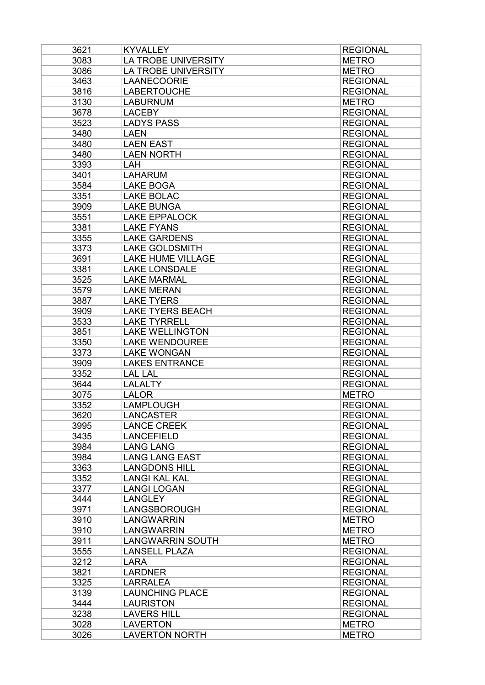| 3621 | <b>KYVALLEY</b>          | <b>REGIONAL</b> |
|------|--------------------------|-----------------|
| 3083 | LA TROBE UNIVERSITY      | <b>METRO</b>    |
| 3086 | LA TROBE UNIVERSITY      | <b>METRO</b>    |
| 3463 | <b>LAANECOORIE</b>       | <b>REGIONAL</b> |
| 3816 | <b>LABERTOUCHE</b>       | <b>REGIONAL</b> |
| 3130 | <b>LABURNUM</b>          | <b>METRO</b>    |
| 3678 | <b>LACEBY</b>            | <b>REGIONAL</b> |
| 3523 | <b>LADYS PASS</b>        | <b>REGIONAL</b> |
| 3480 | <b>LAEN</b>              | <b>REGIONAL</b> |
| 3480 | <b>LAEN EAST</b>         | <b>REGIONAL</b> |
| 3480 | <b>LAEN NORTH</b>        | <b>REGIONAL</b> |
| 3393 | LAH                      | <b>REGIONAL</b> |
| 3401 | <b>LAHARUM</b>           | <b>REGIONAL</b> |
| 3584 | <b>LAKE BOGA</b>         | <b>REGIONAL</b> |
| 3351 | <b>LAKE BOLAC</b>        | <b>REGIONAL</b> |
| 3909 | <b>LAKE BUNGA</b>        | <b>REGIONAL</b> |
| 3551 | <b>LAKE EPPALOCK</b>     | <b>REGIONAL</b> |
| 3381 | <b>LAKE FYANS</b>        | <b>REGIONAL</b> |
| 3355 | <b>LAKE GARDENS</b>      | <b>REGIONAL</b> |
| 3373 | <b>LAKE GOLDSMITH</b>    | <b>REGIONAL</b> |
| 3691 | <b>LAKE HUME VILLAGE</b> | <b>REGIONAL</b> |
| 3381 | <b>LAKE LONSDALE</b>     | <b>REGIONAL</b> |
| 3525 | <b>LAKE MARMAL</b>       | <b>REGIONAL</b> |
| 3579 | <b>LAKE MERAN</b>        | <b>REGIONAL</b> |
| 3887 | <b>LAKE TYERS</b>        | <b>REGIONAL</b> |
| 3909 | <b>LAKE TYERS BEACH</b>  | <b>REGIONAL</b> |
| 3533 | <b>LAKE TYRRELL</b>      | <b>REGIONAL</b> |
| 3851 | <b>LAKE WELLINGTON</b>   | <b>REGIONAL</b> |
| 3350 | <b>LAKE WENDOUREE</b>    | <b>REGIONAL</b> |
| 3373 | <b>LAKE WONGAN</b>       | <b>REGIONAL</b> |
| 3909 | <b>LAKES ENTRANCE</b>    | <b>REGIONAL</b> |
| 3352 | <b>LAL LAL</b>           | <b>REGIONAL</b> |
| 3644 | <b>LALALTY</b>           | <b>REGIONAL</b> |
| 3075 | <b>LALOR</b>             | <b>METRO</b>    |
| 3352 | <b>LAMPLOUGH</b>         | <b>REGIONAL</b> |
| 3620 | <b>LANCASTER</b>         | <b>REGIONAL</b> |
| 3995 | <b>LANCE CREEK</b>       | <b>REGIONAL</b> |
| 3435 | <b>LANCEFIELD</b>        | <b>REGIONAL</b> |
| 3984 | <b>LANG LANG</b>         | <b>REGIONAL</b> |
| 3984 | <b>LANG LANG EAST</b>    | <b>REGIONAL</b> |
| 3363 | <b>LANGDONS HILL</b>     | <b>REGIONAL</b> |
| 3352 | <b>LANGI KAL KAL</b>     | <b>REGIONAL</b> |
| 3377 | <b>LANGI LOGAN</b>       | <b>REGIONAL</b> |
| 3444 | <b>LANGLEY</b>           | <b>REGIONAL</b> |
| 3971 | LANGSBOROUGH             | <b>REGIONAL</b> |
| 3910 | <b>LANGWARRIN</b>        | <b>METRO</b>    |
| 3910 | <b>LANGWARRIN</b>        | <b>METRO</b>    |
| 3911 | <b>LANGWARRIN SOUTH</b>  | <b>METRO</b>    |
| 3555 | <b>LANSELL PLAZA</b>     | <b>REGIONAL</b> |
| 3212 | <b>LARA</b>              | <b>REGIONAL</b> |
| 3821 | <b>LARDNER</b>           | <b>REGIONAL</b> |
| 3325 | <b>LARRALEA</b>          | <b>REGIONAL</b> |
| 3139 | <b>LAUNCHING PLACE</b>   | <b>REGIONAL</b> |
| 3444 | <b>LAURISTON</b>         | <b>REGIONAL</b> |
| 3238 | <b>LAVERS HILL</b>       | <b>REGIONAL</b> |
| 3028 | <b>LAVERTON</b>          | <b>METRO</b>    |
| 3026 | <b>LAVERTON NORTH</b>    | <b>METRO</b>    |
|      |                          |                 |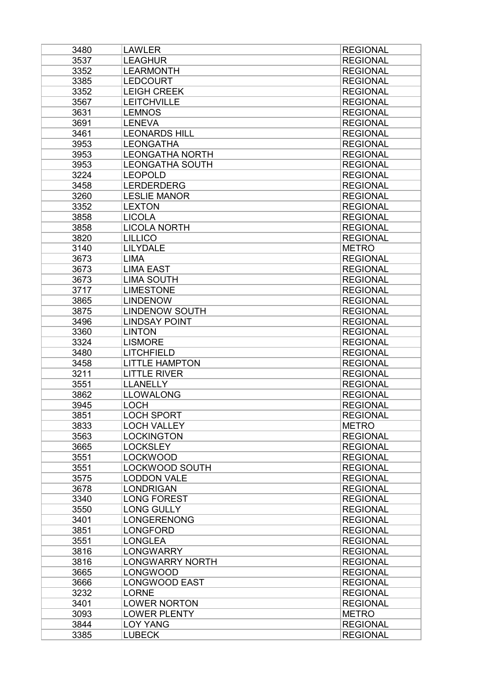| 3480 | <b>LAWLER</b>          | <b>REGIONAL</b> |
|------|------------------------|-----------------|
| 3537 | <b>LEAGHUR</b>         | <b>REGIONAL</b> |
| 3352 | <b>LEARMONTH</b>       | <b>REGIONAL</b> |
| 3385 | <b>LEDCOURT</b>        | <b>REGIONAL</b> |
| 3352 | <b>LEIGH CREEK</b>     | <b>REGIONAL</b> |
| 3567 | <b>LEITCHVILLE</b>     | <b>REGIONAL</b> |
| 3631 | <b>LEMNOS</b>          | <b>REGIONAL</b> |
| 3691 | <b>LENEVA</b>          | <b>REGIONAL</b> |
| 3461 | <b>LEONARDS HILL</b>   | <b>REGIONAL</b> |
| 3953 | <b>LEONGATHA</b>       | <b>REGIONAL</b> |
| 3953 | <b>LEONGATHA NORTH</b> | <b>REGIONAL</b> |
| 3953 | <b>LEONGATHA SOUTH</b> | <b>REGIONAL</b> |
| 3224 | <b>LEOPOLD</b>         | <b>REGIONAL</b> |
| 3458 | <b>LERDERDERG</b>      | <b>REGIONAL</b> |
| 3260 | <b>LESLIE MANOR</b>    | <b>REGIONAL</b> |
| 3352 | <b>LEXTON</b>          | <b>REGIONAL</b> |
| 3858 | <b>LICOLA</b>          | <b>REGIONAL</b> |
|      | <b>LICOLA NORTH</b>    | <b>REGIONAL</b> |
| 3858 |                        |                 |
| 3820 | <b>LILLICO</b>         | <b>REGIONAL</b> |
| 3140 | <b>LILYDALE</b>        | <b>METRO</b>    |
| 3673 | <b>LIMA</b>            | <b>REGIONAL</b> |
| 3673 | <b>LIMA EAST</b>       | <b>REGIONAL</b> |
| 3673 | <b>LIMA SOUTH</b>      | <b>REGIONAL</b> |
| 3717 | <b>LIMESTONE</b>       | <b>REGIONAL</b> |
| 3865 | <b>LINDENOW</b>        | <b>REGIONAL</b> |
| 3875 | <b>LINDENOW SOUTH</b>  | <b>REGIONAL</b> |
| 3496 | <b>LINDSAY POINT</b>   | <b>REGIONAL</b> |
| 3360 | <b>LINTON</b>          | <b>REGIONAL</b> |
| 3324 | <b>LISMORE</b>         | <b>REGIONAL</b> |
| 3480 | <b>LITCHFIELD</b>      | <b>REGIONAL</b> |
| 3458 | <b>LITTLE HAMPTON</b>  | <b>REGIONAL</b> |
| 3211 | <b>LITTLE RIVER</b>    | <b>REGIONAL</b> |
| 3551 | <b>LLANELLY</b>        | <b>REGIONAL</b> |
| 3862 | <b>LLOWALONG</b>       | <b>REGIONAL</b> |
| 3945 | <b>LOCH</b>            | <b>REGIONAL</b> |
| 3851 | <b>LOCH SPORT</b>      | <b>REGIONAL</b> |
| 3833 | <b>LOCH VALLEY</b>     | <b>METRO</b>    |
| 3563 | <b>LOCKINGTON</b>      | <b>REGIONAL</b> |
| 3665 | <b>LOCKSLEY</b>        | <b>REGIONAL</b> |
| 3551 | <b>LOCKWOOD</b>        | <b>REGIONAL</b> |
| 3551 | <b>LOCKWOOD SOUTH</b>  | <b>REGIONAL</b> |
| 3575 | <b>LODDON VALE</b>     | <b>REGIONAL</b> |
| 3678 | <b>LONDRIGAN</b>       | <b>REGIONAL</b> |
| 3340 | <b>LONG FOREST</b>     | <b>REGIONAL</b> |
| 3550 | <b>LONG GULLY</b>      | <b>REGIONAL</b> |
| 3401 | <b>LONGERENONG</b>     | <b>REGIONAL</b> |
| 3851 | <b>LONGFORD</b>        | <b>REGIONAL</b> |
| 3551 | <b>LONGLEA</b>         | <b>REGIONAL</b> |
| 3816 | <b>LONGWARRY</b>       | <b>REGIONAL</b> |
| 3816 | <b>LONGWARRY NORTH</b> | <b>REGIONAL</b> |
| 3665 | <b>LONGWOOD</b>        | <b>REGIONAL</b> |
| 3666 | <b>LONGWOOD EAST</b>   | <b>REGIONAL</b> |
| 3232 | <b>LORNE</b>           | <b>REGIONAL</b> |
|      |                        |                 |
| 3401 | <b>LOWER NORTON</b>    | <b>REGIONAL</b> |
| 3093 | <b>LOWER PLENTY</b>    | <b>METRO</b>    |
| 3844 | <b>LOY YANG</b>        | <b>REGIONAL</b> |
| 3385 | <b>LUBECK</b>          | <b>REGIONAL</b> |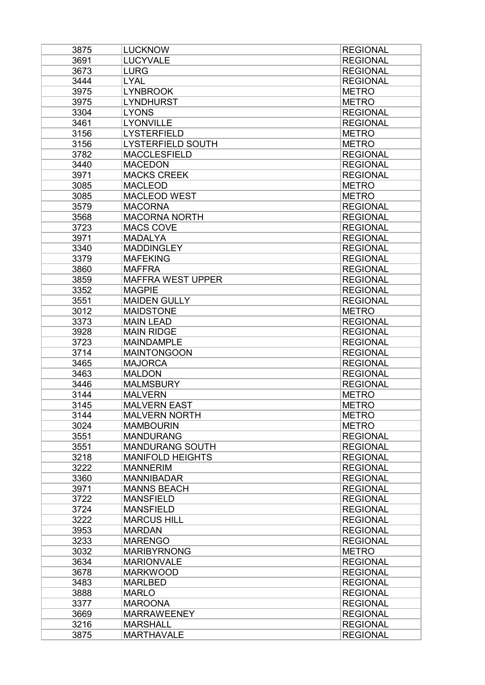| 3875 | <b>LUCKNOW</b>           | <b>REGIONAL</b> |
|------|--------------------------|-----------------|
| 3691 | <b>LUCYVALE</b>          | <b>REGIONAL</b> |
| 3673 | <b>LURG</b>              | <b>REGIONAL</b> |
| 3444 | <b>LYAL</b>              | <b>REGIONAL</b> |
| 3975 | <b>LYNBROOK</b>          | <b>METRO</b>    |
| 3975 | <b>LYNDHURST</b>         | <b>METRO</b>    |
| 3304 | <b>LYONS</b>             | <b>REGIONAL</b> |
| 3461 | <b>LYONVILLE</b>         | <b>REGIONAL</b> |
| 3156 | <b>LYSTERFIELD</b>       | <b>METRO</b>    |
| 3156 | <b>LYSTERFIELD SOUTH</b> | <b>METRO</b>    |
| 3782 | <b>MACCLESFIELD</b>      | <b>REGIONAL</b> |
| 3440 | <b>MACEDON</b>           | <b>REGIONAL</b> |
| 3971 | <b>MACKS CREEK</b>       | <b>REGIONAL</b> |
| 3085 | <b>MACLEOD</b>           | <b>METRO</b>    |
| 3085 | <b>MACLEOD WEST</b>      | <b>METRO</b>    |
| 3579 | <b>MACORNA</b>           | <b>REGIONAL</b> |
| 3568 | <b>MACORNA NORTH</b>     | <b>REGIONAL</b> |
| 3723 | <b>MACS COVE</b>         | <b>REGIONAL</b> |
| 3971 | <b>MADALYA</b>           | <b>REGIONAL</b> |
| 3340 | <b>MADDINGLEY</b>        | <b>REGIONAL</b> |
| 3379 | <b>MAFEKING</b>          | <b>REGIONAL</b> |
| 3860 | <b>MAFFRA</b>            | <b>REGIONAL</b> |
| 3859 | <b>MAFFRA WEST UPPER</b> | <b>REGIONAL</b> |
| 3352 | <b>MAGPIE</b>            | <b>REGIONAL</b> |
| 3551 | <b>MAIDEN GULLY</b>      | <b>REGIONAL</b> |
| 3012 | <b>MAIDSTONE</b>         | <b>METRO</b>    |
| 3373 | <b>MAIN LEAD</b>         | <b>REGIONAL</b> |
| 3928 | <b>MAIN RIDGE</b>        | <b>REGIONAL</b> |
| 3723 | <b>MAINDAMPLE</b>        | <b>REGIONAL</b> |
| 3714 | <b>MAINTONGOON</b>       | <b>REGIONAL</b> |
| 3465 | <b>MAJORCA</b>           | <b>REGIONAL</b> |
| 3463 | <b>MALDON</b>            | <b>REGIONAL</b> |
| 3446 | <b>MALMSBURY</b>         | <b>REGIONAL</b> |
| 3144 | <b>MALVERN</b>           | <b>METRO</b>    |
| 3145 | <b>MALVERN EAST</b>      | <b>METRO</b>    |
| 3144 | <b>MALVERN NORTH</b>     | <b>METRO</b>    |
| 3024 | <b>MAMBOURIN</b>         | <b>METRO</b>    |
| 3551 | <b>MANDURANG</b>         | <b>REGIONAL</b> |
| 3551 | <b>MANDURANG SOUTH</b>   | <b>REGIONAL</b> |
| 3218 | <b>MANIFOLD HEIGHTS</b>  | <b>REGIONAL</b> |
| 3222 | <b>MANNERIM</b>          | <b>REGIONAL</b> |
| 3360 | <b>MANNIBADAR</b>        | <b>REGIONAL</b> |
| 3971 | <b>MANNS BEACH</b>       | <b>REGIONAL</b> |
| 3722 | <b>MANSFIELD</b>         | <b>REGIONAL</b> |
| 3724 | <b>MANSFIELD</b>         | <b>REGIONAL</b> |
| 3222 | <b>MARCUS HILL</b>       | <b>REGIONAL</b> |
| 3953 | <b>MARDAN</b>            | <b>REGIONAL</b> |
| 3233 | <b>MARENGO</b>           | <b>REGIONAL</b> |
| 3032 | <b>MARIBYRNONG</b>       | <b>METRO</b>    |
| 3634 | <b>MARIONVALE</b>        | <b>REGIONAL</b> |
| 3678 | <b>MARKWOOD</b>          | <b>REGIONAL</b> |
| 3483 | <b>MARLBED</b>           | <b>REGIONAL</b> |
| 3888 | <b>MARLO</b>             | <b>REGIONAL</b> |
| 3377 | <b>MAROONA</b>           | <b>REGIONAL</b> |
| 3669 | <b>MARRAWEENEY</b>       | <b>REGIONAL</b> |
| 3216 | <b>MARSHALL</b>          | <b>REGIONAL</b> |
| 3875 | <b>MARTHAVALE</b>        | <b>REGIONAL</b> |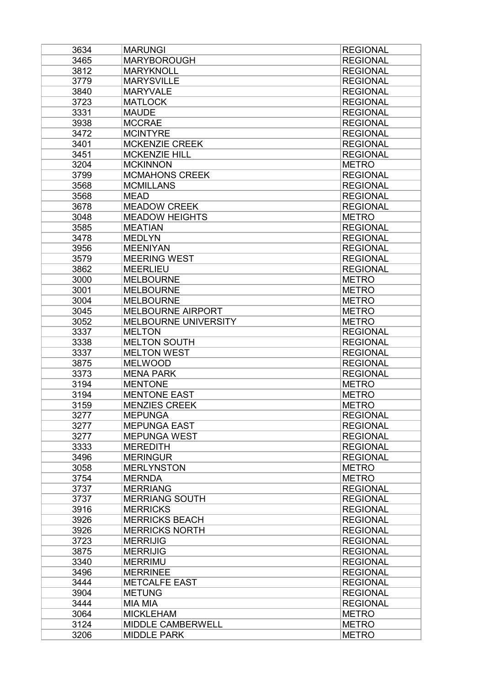| 3634 | <b>MARUNGI</b>                         | <b>REGIONAL</b> |
|------|----------------------------------------|-----------------|
| 3465 | <b>MARYBOROUGH</b>                     | <b>REGIONAL</b> |
| 3812 | <b>MARYKNOLL</b>                       | <b>REGIONAL</b> |
| 3779 | <b>MARYSVILLE</b>                      | <b>REGIONAL</b> |
| 3840 | <b>MARYVALE</b>                        | <b>REGIONAL</b> |
| 3723 | <b>MATLOCK</b>                         | <b>REGIONAL</b> |
| 3331 | <b>MAUDE</b>                           | <b>REGIONAL</b> |
| 3938 | <b>MCCRAE</b>                          | <b>REGIONAL</b> |
| 3472 | <b>MCINTYRE</b>                        | <b>REGIONAL</b> |
| 3401 | <b>MCKENZIE CREEK</b>                  | <b>REGIONAL</b> |
| 3451 | <b>MCKENZIE HILL</b>                   | <b>REGIONAL</b> |
| 3204 | <b>MCKINNON</b>                        | <b>METRO</b>    |
| 3799 | <b>MCMAHONS CREEK</b>                  | <b>REGIONAL</b> |
| 3568 | <b>MCMILLANS</b>                       | <b>REGIONAL</b> |
| 3568 | <b>MEAD</b>                            | <b>REGIONAL</b> |
| 3678 | <b>MEADOW CREEK</b>                    | <b>REGIONAL</b> |
| 3048 | <b>MEADOW HEIGHTS</b>                  | <b>METRO</b>    |
| 3585 | <b>MEATIAN</b>                         | <b>REGIONAL</b> |
| 3478 | <b>MEDLYN</b>                          | <b>REGIONAL</b> |
|      |                                        |                 |
| 3956 | <b>MEENIYAN</b><br><b>MEERING WEST</b> | <b>REGIONAL</b> |
| 3579 |                                        | <b>REGIONAL</b> |
| 3862 | <b>MEERLIEU</b>                        | <b>REGIONAL</b> |
| 3000 | <b>MELBOURNE</b>                       | <b>METRO</b>    |
| 3001 | <b>MELBOURNE</b>                       | <b>METRO</b>    |
| 3004 | <b>MELBOURNE</b>                       | <b>METRO</b>    |
| 3045 | <b>MELBOURNE AIRPORT</b>               | <b>METRO</b>    |
| 3052 | MELBOURNE UNIVERSITY                   | <b>METRO</b>    |
| 3337 | <b>MELTON</b>                          | <b>REGIONAL</b> |
| 3338 | <b>MELTON SOUTH</b>                    | <b>REGIONAL</b> |
| 3337 | <b>MELTON WEST</b>                     | <b>REGIONAL</b> |
| 3875 | <b>MELWOOD</b>                         | <b>REGIONAL</b> |
| 3373 | <b>MENA PARK</b>                       | <b>REGIONAL</b> |
| 3194 | <b>MENTONE</b>                         | <b>METRO</b>    |
| 3194 | <b>MENTONE EAST</b>                    | <b>METRO</b>    |
| 3159 | <b>MENZIES CREEK</b>                   | <b>METRO</b>    |
| 3277 | <b>MEPUNGA</b>                         | <b>REGIONAL</b> |
| 3277 | <b>MEPUNGA EAST</b>                    | <b>REGIONAL</b> |
| 3277 | <b>MEPUNGA WEST</b>                    | <b>REGIONAL</b> |
| 3333 | <b>MEREDITH</b>                        | <b>REGIONAL</b> |
| 3496 | <b>MERINGUR</b>                        | <b>REGIONAL</b> |
| 3058 | <b>MERLYNSTON</b>                      | <b>METRO</b>    |
| 3754 | <b>MERNDA</b>                          | <b>METRO</b>    |
| 3737 | <b>MERRIANG</b>                        | <b>REGIONAL</b> |
| 3737 | <b>MERRIANG SOUTH</b>                  | <b>REGIONAL</b> |
| 3916 | <b>MERRICKS</b>                        | <b>REGIONAL</b> |
| 3926 | <b>MERRICKS BEACH</b>                  | <b>REGIONAL</b> |
| 3926 | <b>MERRICKS NORTH</b>                  | <b>REGIONAL</b> |
| 3723 | <b>MERRIJIG</b>                        | <b>REGIONAL</b> |
| 3875 | <b>MERRIJIG</b>                        | <b>REGIONAL</b> |
| 3340 | <b>MERRIMU</b>                         | <b>REGIONAL</b> |
| 3496 | <b>MERRINEE</b>                        | <b>REGIONAL</b> |
| 3444 | <b>METCALFE EAST</b>                   | <b>REGIONAL</b> |
| 3904 | <b>METUNG</b>                          | <b>REGIONAL</b> |
| 3444 | <b>MIA MIA</b>                         | <b>REGIONAL</b> |
| 3064 | <b>MICKLEHAM</b>                       | <b>METRO</b>    |
| 3124 | MIDDLE CAMBERWELL                      | <b>METRO</b>    |
| 3206 | <b>MIDDLE PARK</b>                     | <b>METRO</b>    |
|      |                                        |                 |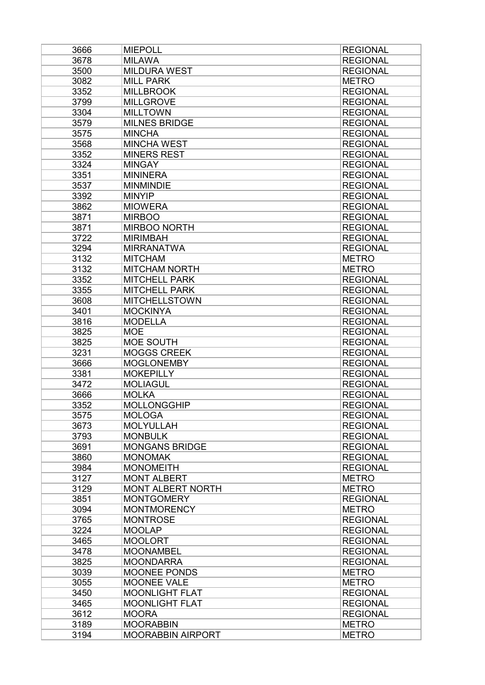| 3666         | <b>MIEPOLL</b>                       | <b>REGIONAL</b>                    |
|--------------|--------------------------------------|------------------------------------|
| 3678         | <b>MILAWA</b>                        | <b>REGIONAL</b>                    |
| 3500         | <b>MILDURA WEST</b>                  | <b>REGIONAL</b>                    |
| 3082         | <b>MILL PARK</b>                     | <b>METRO</b>                       |
| 3352         | <b>MILLBROOK</b>                     | <b>REGIONAL</b>                    |
| 3799         | <b>MILLGROVE</b>                     | <b>REGIONAL</b>                    |
| 3304         | <b>MILLTOWN</b>                      | <b>REGIONAL</b>                    |
| 3579         | <b>MILNES BRIDGE</b>                 | <b>REGIONAL</b>                    |
| 3575         | <b>MINCHA</b>                        | <b>REGIONAL</b>                    |
| 3568         | <b>MINCHA WEST</b>                   | <b>REGIONAL</b>                    |
| 3352         | <b>MINERS REST</b>                   | <b>REGIONAL</b>                    |
| 3324         | <b>MINGAY</b>                        | <b>REGIONAL</b>                    |
| 3351         | <b>MININERA</b>                      | <b>REGIONAL</b>                    |
| 3537         | <b>MINMINDIE</b>                     | <b>REGIONAL</b>                    |
| 3392         | <b>MINYIP</b>                        | <b>REGIONAL</b>                    |
| 3862         | <b>MIOWERA</b>                       | <b>REGIONAL</b>                    |
| 3871         | <b>MIRBOO</b>                        | <b>REGIONAL</b>                    |
| 3871         | <b>MIRBOO NORTH</b>                  | <b>REGIONAL</b>                    |
| 3722         | <b>MIRIMBAH</b>                      | <b>REGIONAL</b>                    |
| 3294         | <b>MIRRANATWA</b>                    | <b>REGIONAL</b>                    |
| 3132         | <b>MITCHAM</b>                       | <b>METRO</b>                       |
| 3132         | <b>MITCHAM NORTH</b>                 | <b>METRO</b>                       |
| 3352         | <b>MITCHELL PARK</b>                 | <b>REGIONAL</b>                    |
| 3355         | <b>MITCHELL PARK</b>                 | <b>REGIONAL</b>                    |
| 3608         | <b>MITCHELLSTOWN</b>                 | <b>REGIONAL</b>                    |
| 3401         | <b>MOCKINYA</b>                      | <b>REGIONAL</b>                    |
| 3816         | <b>MODELLA</b>                       | <b>REGIONAL</b>                    |
| 3825         | <b>MOE</b>                           | <b>REGIONAL</b>                    |
| 3825         | MOE SOUTH                            | <b>REGIONAL</b>                    |
| 3231         | <b>MOGGS CREEK</b>                   | <b>REGIONAL</b>                    |
| 3666         | <b>MOGLONEMBY</b>                    | <b>REGIONAL</b>                    |
| 3381         | <b>MOKEPILLY</b>                     | <b>REGIONAL</b>                    |
| 3472         | <b>MOLIAGUL</b>                      | <b>REGIONAL</b>                    |
| 3666         | <b>MOLKA</b>                         | <b>REGIONAL</b>                    |
| 3352         | <b>MOLLONGGHIP</b>                   | <b>REGIONAL</b>                    |
| 3575         | <b>MOLOGA</b>                        | <b>REGIONAL</b>                    |
| 3673         | <b>MOLYULLAH</b>                     | <b>REGIONAL</b>                    |
| 3793         | <b>MONBULK</b>                       | <b>REGIONAL</b>                    |
| 3691         | <b>MONGANS BRIDGE</b>                | <b>REGIONAL</b>                    |
| 3860         | <b>MONOMAK</b>                       | <b>REGIONAL</b>                    |
| 3984         | <b>MONOMEITH</b>                     | <b>REGIONAL</b>                    |
| 3127         | <b>MONT ALBERT</b>                   | <b>METRO</b>                       |
| 3129         | <b>MONT ALBERT NORTH</b>             | <b>METRO</b>                       |
| 3851         | <b>MONTGOMERY</b>                    | <b>REGIONAL</b>                    |
| 3094         | <b>MONTMORENCY</b>                   | <b>METRO</b>                       |
|              |                                      | <b>REGIONAL</b>                    |
| 3765         | <b>MONTROSE</b>                      |                                    |
| 3224         | <b>MOOLAP</b>                        | <b>REGIONAL</b>                    |
| 3465         | <b>MOOLORT</b>                       | <b>REGIONAL</b>                    |
| 3478<br>3825 | <b>MOONAMBEL</b><br><b>MOONDARRA</b> | <b>REGIONAL</b><br><b>REGIONAL</b> |
|              |                                      |                                    |
| 3039         | <b>MOONEE PONDS</b>                  | <b>METRO</b>                       |
| 3055         | <b>MOONEE VALE</b>                   | <b>METRO</b>                       |
| 3450         | <b>MOONLIGHT FLAT</b>                | <b>REGIONAL</b>                    |
| 3465         | <b>MOONLIGHT FLAT</b>                | <b>REGIONAL</b>                    |
| 3612         | <b>MOORA</b>                         | <b>REGIONAL</b>                    |
| 3189         | <b>MOORABBIN</b>                     | <b>METRO</b>                       |
| 3194         | <b>MOORABBIN AIRPORT</b>             | <b>METRO</b>                       |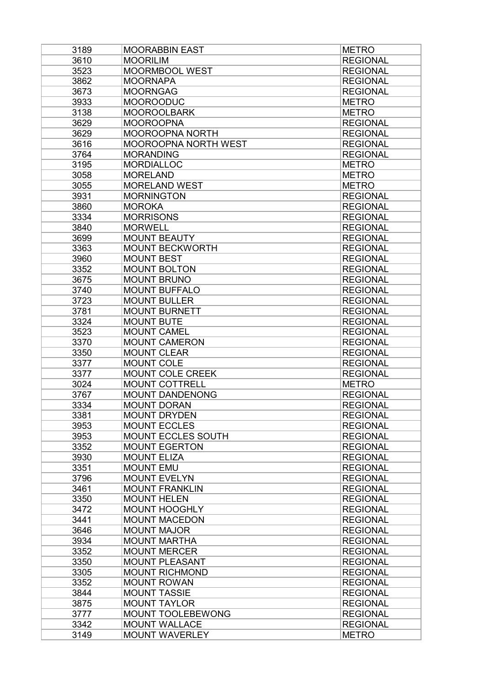| 3189 | <b>MOORABBIN EAST</b>     | <b>METRO</b>    |
|------|---------------------------|-----------------|
| 3610 | <b>MOORILIM</b>           | <b>REGIONAL</b> |
| 3523 | MOORMBOOL WEST            | <b>REGIONAL</b> |
| 3862 | <b>MOORNAPA</b>           | <b>REGIONAL</b> |
| 3673 | <b>MOORNGAG</b>           | <b>REGIONAL</b> |
| 3933 | <b>MOOROODUC</b>          | <b>METRO</b>    |
| 3138 | <b>MOOROOLBARK</b>        | <b>METRO</b>    |
| 3629 | <b>MOOROOPNA</b>          | <b>REGIONAL</b> |
| 3629 | <b>MOOROOPNA NORTH</b>    | <b>REGIONAL</b> |
| 3616 | MOOROOPNA NORTH WEST      | <b>REGIONAL</b> |
| 3764 | <b>MORANDING</b>          | <b>REGIONAL</b> |
| 3195 | <b>MORDIALLOC</b>         | <b>METRO</b>    |
| 3058 | <b>MORELAND</b>           | <b>METRO</b>    |
| 3055 | <b>MORELAND WEST</b>      | <b>METRO</b>    |
| 3931 | <b>MORNINGTON</b>         | <b>REGIONAL</b> |
| 3860 | <b>MOROKA</b>             | <b>REGIONAL</b> |
| 3334 | <b>MORRISONS</b>          | <b>REGIONAL</b> |
| 3840 | <b>MORWELL</b>            | <b>REGIONAL</b> |
| 3699 | <b>MOUNT BEAUTY</b>       | <b>REGIONAL</b> |
| 3363 | <b>MOUNT BECKWORTH</b>    | <b>REGIONAL</b> |
| 3960 | <b>MOUNT BEST</b>         | <b>REGIONAL</b> |
| 3352 | <b>MOUNT BOLTON</b>       | <b>REGIONAL</b> |
| 3675 | <b>MOUNT BRUNO</b>        | <b>REGIONAL</b> |
| 3740 | <b>MOUNT BUFFALO</b>      | <b>REGIONAL</b> |
| 3723 | <b>MOUNT BULLER</b>       | <b>REGIONAL</b> |
| 3781 | <b>MOUNT BURNETT</b>      | <b>REGIONAL</b> |
| 3324 | <b>MOUNT BUTE</b>         | <b>REGIONAL</b> |
| 3523 | <b>MOUNT CAMEL</b>        | <b>REGIONAL</b> |
| 3370 | <b>MOUNT CAMERON</b>      | <b>REGIONAL</b> |
| 3350 | <b>MOUNT CLEAR</b>        | <b>REGIONAL</b> |
| 3377 | MOUNT COLE                | <b>REGIONAL</b> |
| 3377 | MOUNT COLE CREEK          | <b>REGIONAL</b> |
| 3024 | <b>MOUNT COTTRELL</b>     | <b>METRO</b>    |
| 3767 | <b>MOUNT DANDENONG</b>    | <b>REGIONAL</b> |
| 3334 | <b>MOUNT DORAN</b>        | <b>REGIONAL</b> |
| 3381 | <b>MOUNT DRYDEN</b>       | <b>REGIONAL</b> |
| 3953 | <b>MOUNT ECCLES</b>       | <b>REGIONAL</b> |
| 3953 | <b>MOUNT ECCLES SOUTH</b> | <b>REGIONAL</b> |
| 3352 | <b>MOUNT EGERTON</b>      | <b>REGIONAL</b> |
| 3930 | <b>MOUNT ELIZA</b>        | <b>REGIONAL</b> |
| 3351 | <b>MOUNT EMU</b>          | <b>REGIONAL</b> |
| 3796 | <b>MOUNT EVELYN</b>       | <b>REGIONAL</b> |
| 3461 | <b>MOUNT FRANKLIN</b>     | <b>REGIONAL</b> |
| 3350 | <b>MOUNT HELEN</b>        | <b>REGIONAL</b> |
| 3472 | <b>MOUNT HOOGHLY</b>      | <b>REGIONAL</b> |
| 3441 | <b>MOUNT MACEDON</b>      | <b>REGIONAL</b> |
| 3646 | <b>MOUNT MAJOR</b>        | <b>REGIONAL</b> |
| 3934 | <b>MOUNT MARTHA</b>       | <b>REGIONAL</b> |
| 3352 | <b>MOUNT MERCER</b>       | <b>REGIONAL</b> |
| 3350 | <b>MOUNT PLEASANT</b>     | <b>REGIONAL</b> |
| 3305 | <b>MOUNT RICHMOND</b>     | <b>REGIONAL</b> |
| 3352 | <b>MOUNT ROWAN</b>        | <b>REGIONAL</b> |
| 3844 | <b>MOUNT TASSIE</b>       | <b>REGIONAL</b> |
| 3875 | <b>MOUNT TAYLOR</b>       | <b>REGIONAL</b> |
| 3777 | <b>MOUNT TOOLEBEWONG</b>  | <b>REGIONAL</b> |
| 3342 | <b>MOUNT WALLACE</b>      | <b>REGIONAL</b> |
| 3149 | <b>MOUNT WAVERLEY</b>     | <b>METRO</b>    |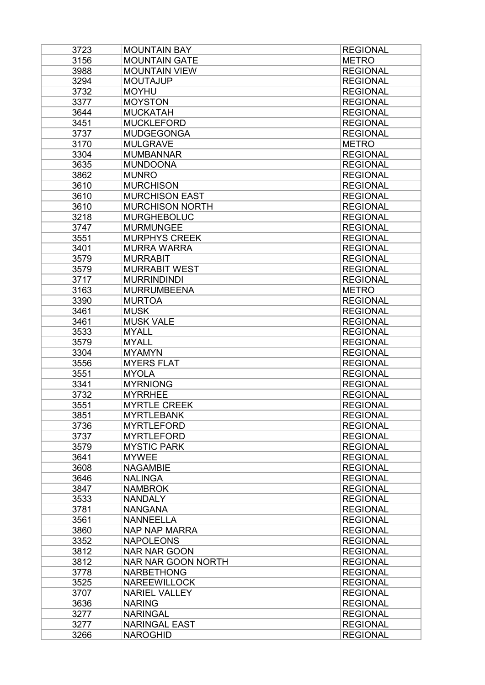| 3723 | <b>MOUNTAIN BAY</b>       | <b>REGIONAL</b> |
|------|---------------------------|-----------------|
| 3156 | <b>MOUNTAIN GATE</b>      | <b>METRO</b>    |
| 3988 | <b>MOUNTAIN VIEW</b>      | <b>REGIONAL</b> |
| 3294 | <b>MOUTAJUP</b>           | <b>REGIONAL</b> |
| 3732 | <b>MOYHU</b>              | <b>REGIONAL</b> |
| 3377 | <b>MOYSTON</b>            | <b>REGIONAL</b> |
| 3644 | <b>MUCKATAH</b>           | <b>REGIONAL</b> |
| 3451 | <b>MUCKLEFORD</b>         | <b>REGIONAL</b> |
| 3737 | <b>MUDGEGONGA</b>         | <b>REGIONAL</b> |
| 3170 | <b>MULGRAVE</b>           | <b>METRO</b>    |
| 3304 | <b>MUMBANNAR</b>          | <b>REGIONAL</b> |
| 3635 | <b>MUNDOONA</b>           | <b>REGIONAL</b> |
| 3862 | <b>MUNRO</b>              | <b>REGIONAL</b> |
| 3610 | <b>MURCHISON</b>          | <b>REGIONAL</b> |
| 3610 | <b>MURCHISON EAST</b>     | <b>REGIONAL</b> |
| 3610 | <b>MURCHISON NORTH</b>    | <b>REGIONAL</b> |
| 3218 | <b>MURGHEBOLUC</b>        | <b>REGIONAL</b> |
| 3747 | <b>MURMUNGEE</b>          | <b>REGIONAL</b> |
| 3551 | <b>MURPHYS CREEK</b>      | <b>REGIONAL</b> |
|      |                           |                 |
| 3401 | <b>MURRA WARRA</b>        | <b>REGIONAL</b> |
| 3579 | <b>MURRABIT</b>           | <b>REGIONAL</b> |
| 3579 | <b>MURRABIT WEST</b>      | <b>REGIONAL</b> |
| 3717 | <b>MURRINDINDI</b>        | <b>REGIONAL</b> |
| 3163 | <b>MURRUMBEENA</b>        | <b>METRO</b>    |
| 3390 | <b>MURTOA</b>             | <b>REGIONAL</b> |
| 3461 | <b>MUSK</b>               | <b>REGIONAL</b> |
| 3461 | <b>MUSK VALE</b>          | <b>REGIONAL</b> |
| 3533 | <b>MYALL</b>              | <b>REGIONAL</b> |
| 3579 | <b>MYALL</b>              | <b>REGIONAL</b> |
| 3304 | <b>MYAMYN</b>             | <b>REGIONAL</b> |
| 3556 | <b>MYERS FLAT</b>         | <b>REGIONAL</b> |
| 3551 | <b>MYOLA</b>              | <b>REGIONAL</b> |
| 3341 | <b>MYRNIONG</b>           | <b>REGIONAL</b> |
| 3732 | <b>MYRRHEE</b>            | <b>REGIONAL</b> |
| 3551 | <b>MYRTLE CREEK</b>       | <b>REGIONAL</b> |
| 3851 | <b>MYRTLEBANK</b>         | <b>REGIONAL</b> |
| 3736 | <b>MYRTLEFORD</b>         | <b>REGIONAL</b> |
| 3737 | <b>MYRTLEFORD</b>         | <b>REGIONAL</b> |
| 3579 | <b>MYSTIC PARK</b>        | <b>REGIONAL</b> |
| 3641 | <b>MYWEE</b>              | <b>REGIONAL</b> |
| 3608 | <b>NAGAMBIE</b>           | <b>REGIONAL</b> |
| 3646 | <b>NALINGA</b>            | <b>REGIONAL</b> |
| 3847 | <b>NAMBROK</b>            | <b>REGIONAL</b> |
| 3533 | <b>NANDALY</b>            | <b>REGIONAL</b> |
| 3781 | <b>NANGANA</b>            | <b>REGIONAL</b> |
| 3561 | <b>NANNEELLA</b>          | <b>REGIONAL</b> |
| 3860 | <b>NAP NAP MARRA</b>      | <b>REGIONAL</b> |
| 3352 | <b>NAPOLEONS</b>          | <b>REGIONAL</b> |
| 3812 | <b>NAR NAR GOON</b>       | <b>REGIONAL</b> |
| 3812 | <b>NAR NAR GOON NORTH</b> | <b>REGIONAL</b> |
| 3778 | <b>NARBETHONG</b>         | <b>REGIONAL</b> |
| 3525 |                           |                 |
|      | <b>NAREEWILLOCK</b>       | <b>REGIONAL</b> |
| 3707 | <b>NARIEL VALLEY</b>      | <b>REGIONAL</b> |
| 3636 | <b>NARING</b>             | <b>REGIONAL</b> |
| 3277 | <b>NARINGAL</b>           | <b>REGIONAL</b> |
| 3277 | <b>NARINGAL EAST</b>      | <b>REGIONAL</b> |
| 3266 | <b>NAROGHID</b>           | <b>REGIONAL</b> |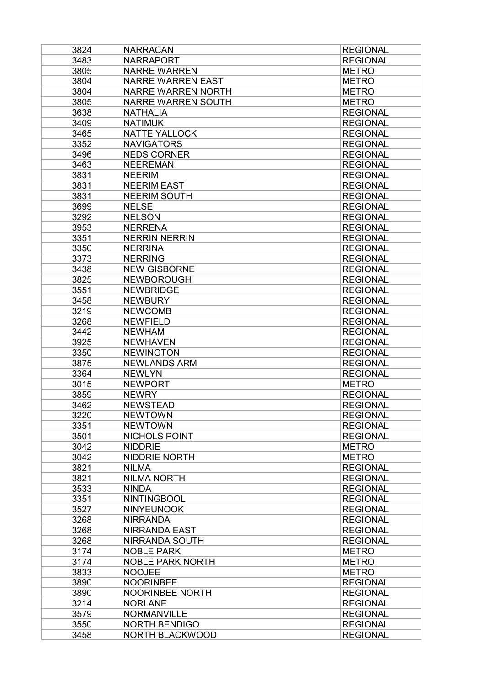| 3824 | <b>NARRACAN</b>           | <b>REGIONAL</b> |
|------|---------------------------|-----------------|
| 3483 | <b>NARRAPORT</b>          | <b>REGIONAL</b> |
| 3805 | <b>NARRE WARREN</b>       | <b>METRO</b>    |
| 3804 | <b>NARRE WARREN EAST</b>  | <b>METRO</b>    |
| 3804 | <b>NARRE WARREN NORTH</b> | <b>METRO</b>    |
| 3805 | <b>NARRE WARREN SOUTH</b> | <b>METRO</b>    |
| 3638 | <b>NATHALIA</b>           | <b>REGIONAL</b> |
| 3409 | <b>NATIMUK</b>            | <b>REGIONAL</b> |
| 3465 | <b>NATTE YALLOCK</b>      | <b>REGIONAL</b> |
| 3352 | <b>NAVIGATORS</b>         | <b>REGIONAL</b> |
| 3496 | <b>NEDS CORNER</b>        | <b>REGIONAL</b> |
| 3463 | <b>NEEREMAN</b>           | <b>REGIONAL</b> |
| 3831 | <b>NEERIM</b>             | <b>REGIONAL</b> |
| 3831 | <b>NEERIM EAST</b>        | <b>REGIONAL</b> |
| 3831 | <b>NEERIM SOUTH</b>       | <b>REGIONAL</b> |
| 3699 | <b>NELSE</b>              | <b>REGIONAL</b> |
| 3292 | <b>NELSON</b>             | <b>REGIONAL</b> |
| 3953 | <b>NERRENA</b>            | <b>REGIONAL</b> |
| 3351 | <b>NERRIN NERRIN</b>      | <b>REGIONAL</b> |
| 3350 | <b>NERRINA</b>            | <b>REGIONAL</b> |
| 3373 | <b>NERRING</b>            | <b>REGIONAL</b> |
| 3438 | <b>NEW GISBORNE</b>       | <b>REGIONAL</b> |
| 3825 | <b>NEWBOROUGH</b>         | <b>REGIONAL</b> |
| 3551 | <b>NEWBRIDGE</b>          | <b>REGIONAL</b> |
| 3458 | <b>NEWBURY</b>            | <b>REGIONAL</b> |
| 3219 | <b>NEWCOMB</b>            | <b>REGIONAL</b> |
| 3268 | <b>NEWFIELD</b>           | <b>REGIONAL</b> |
| 3442 | <b>NEWHAM</b>             | <b>REGIONAL</b> |
| 3925 | <b>NEWHAVEN</b>           | <b>REGIONAL</b> |
| 3350 | <b>NEWINGTON</b>          | <b>REGIONAL</b> |
| 3875 | <b>NEWLANDS ARM</b>       | <b>REGIONAL</b> |
| 3364 | <b>NEWLYN</b>             | <b>REGIONAL</b> |
| 3015 | <b>NEWPORT</b>            | <b>METRO</b>    |
| 3859 | <b>NEWRY</b>              | <b>REGIONAL</b> |
| 3462 | <b>NEWSTEAD</b>           | <b>REGIONAL</b> |
| 3220 | <b>NEWTOWN</b>            | <b>REGIONAL</b> |
| 3351 | <b>NEWTOWN</b>            | <b>REGIONAL</b> |
| 3501 | <b>NICHOLS POINT</b>      | <b>REGIONAL</b> |
| 3042 | <b>NIDDRIE</b>            | <b>METRO</b>    |
| 3042 | <b>NIDDRIE NORTH</b>      | <b>METRO</b>    |
| 3821 | <b>NILMA</b>              | <b>REGIONAL</b> |
| 3821 | <b>NILMA NORTH</b>        | <b>REGIONAL</b> |
| 3533 | <b>NINDA</b>              | <b>REGIONAL</b> |
| 3351 | <b>NINTINGBOOL</b>        | <b>REGIONAL</b> |
| 3527 | <b>NINYEUNOOK</b>         | <b>REGIONAL</b> |
| 3268 | <b>NIRRANDA</b>           | <b>REGIONAL</b> |
| 3268 | <b>NIRRANDA EAST</b>      | <b>REGIONAL</b> |
| 3268 | <b>NIRRANDA SOUTH</b>     | <b>REGIONAL</b> |
| 3174 | <b>NOBLE PARK</b>         | <b>METRO</b>    |
| 3174 | <b>NOBLE PARK NORTH</b>   | <b>METRO</b>    |
| 3833 | <b>NOOJEE</b>             | <b>METRO</b>    |
| 3890 | <b>NOORINBEE</b>          | <b>REGIONAL</b> |
| 3890 | NOORINBEE NORTH           | <b>REGIONAL</b> |
| 3214 | <b>NORLANE</b>            | <b>REGIONAL</b> |
| 3579 | <b>NORMANVILLE</b>        | <b>REGIONAL</b> |
| 3550 | <b>NORTH BENDIGO</b>      | <b>REGIONAL</b> |
| 3458 | NORTH BLACKWOOD           | <b>REGIONAL</b> |
|      |                           |                 |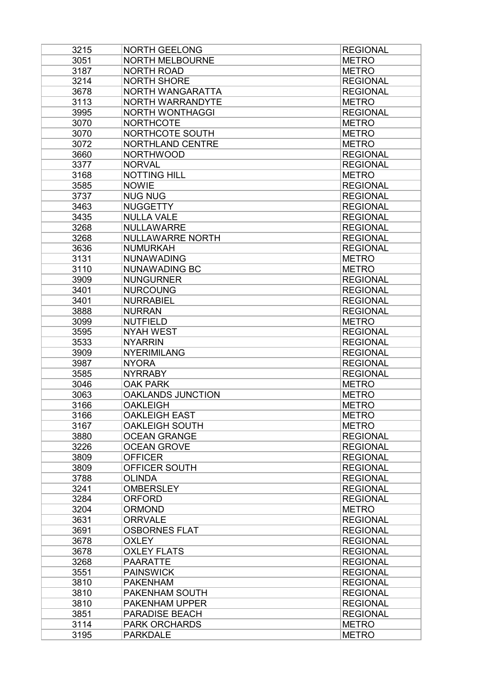| 3215 | <b>NORTH GEELONG</b>     | <b>REGIONAL</b> |
|------|--------------------------|-----------------|
| 3051 | <b>NORTH MELBOURNE</b>   | <b>METRO</b>    |
| 3187 | <b>NORTH ROAD</b>        | <b>METRO</b>    |
| 3214 | <b>NORTH SHORE</b>       | <b>REGIONAL</b> |
| 3678 | NORTH WANGARATTA         | <b>REGIONAL</b> |
| 3113 | NORTH WARRANDYTE         | <b>METRO</b>    |
| 3995 | <b>NORTH WONTHAGGI</b>   | <b>REGIONAL</b> |
| 3070 | <b>NORTHCOTE</b>         | <b>METRO</b>    |
| 3070 | NORTHCOTE SOUTH          | <b>METRO</b>    |
| 3072 | NORTHLAND CENTRE         | <b>METRO</b>    |
| 3660 | <b>NORTHWOOD</b>         | <b>REGIONAL</b> |
| 3377 | <b>NORVAL</b>            | <b>REGIONAL</b> |
| 3168 | <b>NOTTING HILL</b>      | <b>METRO</b>    |
| 3585 | <b>NOWIE</b>             | <b>REGIONAL</b> |
| 3737 | <b>NUG NUG</b>           | <b>REGIONAL</b> |
| 3463 | <b>NUGGETTY</b>          | <b>REGIONAL</b> |
| 3435 | <b>NULLA VALE</b>        | <b>REGIONAL</b> |
|      | <b>NULLAWARRE</b>        |                 |
| 3268 |                          | <b>REGIONAL</b> |
| 3268 | <b>NULLAWARRE NORTH</b>  | <b>REGIONAL</b> |
| 3636 | <b>NUMURKAH</b>          | <b>REGIONAL</b> |
| 3131 | <b>NUNAWADING</b>        | <b>METRO</b>    |
| 3110 | <b>NUNAWADING BC</b>     | <b>METRO</b>    |
| 3909 | <b>NUNGURNER</b>         | <b>REGIONAL</b> |
| 3401 | <b>NURCOUNG</b>          | <b>REGIONAL</b> |
| 3401 | <b>NURRABIEL</b>         | <b>REGIONAL</b> |
| 3888 | <b>NURRAN</b>            | <b>REGIONAL</b> |
| 3099 | <b>NUTFIELD</b>          | <b>METRO</b>    |
| 3595 | <b>NYAH WEST</b>         | <b>REGIONAL</b> |
| 3533 | <b>NYARRIN</b>           | <b>REGIONAL</b> |
| 3909 | <b>NYERIMILANG</b>       | <b>REGIONAL</b> |
| 3987 | <b>NYORA</b>             | <b>REGIONAL</b> |
| 3585 | <b>NYRRABY</b>           | <b>REGIONAL</b> |
| 3046 | <b>OAK PARK</b>          | <b>METRO</b>    |
| 3063 | <b>OAKLANDS JUNCTION</b> | <b>METRO</b>    |
| 3166 | <b>OAKLEIGH</b>          | <b>METRO</b>    |
| 3166 | <b>OAKLEIGH EAST</b>     | <b>METRO</b>    |
| 3167 | <b>OAKLEIGH SOUTH</b>    | <b>METRO</b>    |
| 3880 | <b>OCEAN GRANGE</b>      | <b>REGIONAL</b> |
| 3226 | <b>OCEAN GROVE</b>       | <b>REGIONAL</b> |
| 3809 | <b>OFFICER</b>           | <b>REGIONAL</b> |
| 3809 | OFFICER SOUTH            | <b>REGIONAL</b> |
| 3788 | <b>OLINDA</b>            | <b>REGIONAL</b> |
| 3241 | <b>OMBERSLEY</b>         | <b>REGIONAL</b> |
| 3284 | <b>ORFORD</b>            | <b>REGIONAL</b> |
| 3204 | <b>ORMOND</b>            | <b>METRO</b>    |
| 3631 | <b>ORRVALE</b>           | <b>REGIONAL</b> |
| 3691 | <b>OSBORNES FLAT</b>     | <b>REGIONAL</b> |
| 3678 | <b>OXLEY</b>             | <b>REGIONAL</b> |
| 3678 | <b>OXLEY FLATS</b>       | <b>REGIONAL</b> |
| 3268 | <b>PAARATTE</b>          | <b>REGIONAL</b> |
|      |                          |                 |
| 3551 | <b>PAINSWICK</b>         | <b>REGIONAL</b> |
| 3810 | <b>PAKENHAM</b>          | <b>REGIONAL</b> |
| 3810 | PAKENHAM SOUTH           | <b>REGIONAL</b> |
| 3810 | PAKENHAM UPPER           | <b>REGIONAL</b> |
| 3851 | <b>PARADISE BEACH</b>    | <b>REGIONAL</b> |
| 3114 | <b>PARK ORCHARDS</b>     | <b>METRO</b>    |
| 3195 | <b>PARKDALE</b>          | <b>METRO</b>    |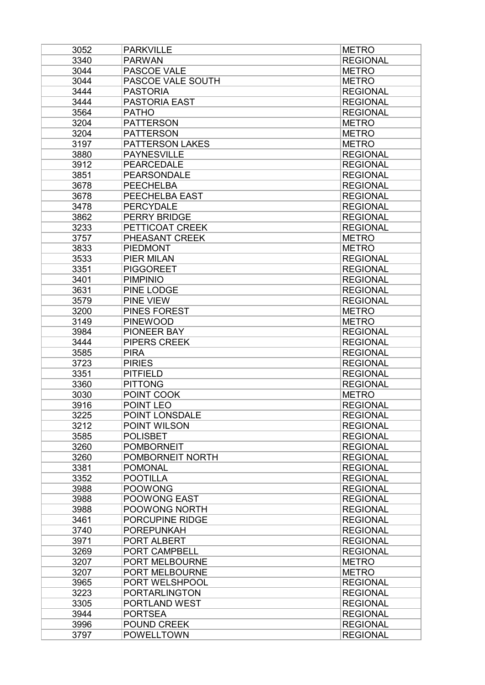| 3052 | <b>PARKVILLE</b>       | <b>METRO</b>    |
|------|------------------------|-----------------|
| 3340 | <b>PARWAN</b>          | <b>REGIONAL</b> |
| 3044 | PASCOE VALE            | <b>METRO</b>    |
| 3044 | PASCOE VALE SOUTH      | <b>METRO</b>    |
| 3444 | <b>PASTORIA</b>        | <b>REGIONAL</b> |
| 3444 | <b>PASTORIA EAST</b>   | <b>REGIONAL</b> |
| 3564 | <b>PATHO</b>           | <b>REGIONAL</b> |
| 3204 | <b>PATTERSON</b>       | <b>METRO</b>    |
| 3204 | <b>PATTERSON</b>       | <b>METRO</b>    |
| 3197 | <b>PATTERSON LAKES</b> | <b>METRO</b>    |
| 3880 | <b>PAYNESVILLE</b>     | <b>REGIONAL</b> |
| 3912 | <b>PEARCEDALE</b>      | <b>REGIONAL</b> |
| 3851 | <b>PEARSONDALE</b>     | <b>REGIONAL</b> |
| 3678 | <b>PEECHELBA</b>       | <b>REGIONAL</b> |
| 3678 | PEECHELBA EAST         | <b>REGIONAL</b> |
| 3478 | <b>PERCYDALE</b>       | <b>REGIONAL</b> |
| 3862 | <b>PERRY BRIDGE</b>    | <b>REGIONAL</b> |
| 3233 | PETTICOAT CREEK        | <b>REGIONAL</b> |
| 3757 | PHEASANT CREEK         | <b>METRO</b>    |
| 3833 | <b>PIEDMONT</b>        | <b>METRO</b>    |
| 3533 | <b>PIER MILAN</b>      | <b>REGIONAL</b> |
| 3351 | <b>PIGGOREET</b>       | <b>REGIONAL</b> |
| 3401 | <b>PIMPINIO</b>        | <b>REGIONAL</b> |
| 3631 | PINE LODGE             | <b>REGIONAL</b> |
| 3579 | PINE VIEW              | <b>REGIONAL</b> |
| 3200 | PINES FOREST           | <b>METRO</b>    |
| 3149 | <b>PINEWOOD</b>        | <b>METRO</b>    |
| 3984 | PIONEER BAY            | <b>REGIONAL</b> |
| 3444 | PIPERS CREEK           | <b>REGIONAL</b> |
| 3585 | <b>PIRA</b>            | <b>REGIONAL</b> |
| 3723 | <b>PIRIES</b>          | <b>REGIONAL</b> |
| 3351 | <b>PITFIELD</b>        | <b>REGIONAL</b> |
| 3360 | <b>PITTONG</b>         | <b>REGIONAL</b> |
| 3030 | POINT COOK             | <b>METRO</b>    |
| 3916 | POINT LEO              | <b>REGIONAL</b> |
| 3225 | POINT LONSDALE         | <b>REGIONAL</b> |
| 3212 | POINT WILSON           | <b>REGIONAL</b> |
| 3585 | <b>POLISBET</b>        | <b>REGIONAL</b> |
| 3260 | <b>POMBORNEIT</b>      | <b>REGIONAL</b> |
| 3260 | POMBORNEIT NORTH       | <b>REGIONAL</b> |
| 3381 | <b>POMONAL</b>         | <b>REGIONAL</b> |
| 3352 | <b>POOTILLA</b>        | <b>REGIONAL</b> |
| 3988 | <b>POOWONG</b>         | <b>REGIONAL</b> |
| 3988 | POOWONG EAST           | <b>REGIONAL</b> |
| 3988 | POOWONG NORTH          | <b>REGIONAL</b> |
| 3461 | PORCUPINE RIDGE        | <b>REGIONAL</b> |
| 3740 | <b>POREPUNKAH</b>      | <b>REGIONAL</b> |
| 3971 | PORT ALBERT            | <b>REGIONAL</b> |
| 3269 | PORT CAMPBELL          | <b>REGIONAL</b> |
| 3207 | PORT MELBOURNE         | <b>METRO</b>    |
| 3207 | PORT MELBOURNE         | <b>METRO</b>    |
| 3965 | PORT WELSHPOOL         | <b>REGIONAL</b> |
| 3223 | <b>PORTARLINGTON</b>   | <b>REGIONAL</b> |
| 3305 | PORTLAND WEST          | <b>REGIONAL</b> |
| 3944 | <b>PORTSEA</b>         | <b>REGIONAL</b> |
| 3996 | POUND CREEK            | <b>REGIONAL</b> |
| 3797 | <b>POWELLTOWN</b>      | <b>REGIONAL</b> |
|      |                        |                 |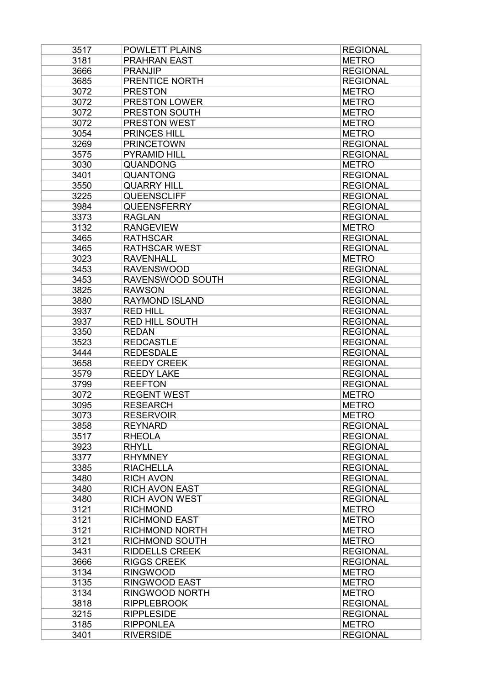| 3517         | <b>POWLETT PLAINS</b> | <b>REGIONAL</b> |
|--------------|-----------------------|-----------------|
| 3181         | <b>PRAHRAN EAST</b>   | <b>METRO</b>    |
| 3666         | <b>PRANJIP</b>        | <b>REGIONAL</b> |
| 3685         | PRENTICE NORTH        | <b>REGIONAL</b> |
| 3072         | <b>PRESTON</b>        | <b>METRO</b>    |
| 3072         | <b>PRESTON LOWER</b>  | <b>METRO</b>    |
| 3072         | PRESTON SOUTH         | <b>METRO</b>    |
| 3072         | <b>PRESTON WEST</b>   | <b>METRO</b>    |
| 3054         | PRINCES HILL          | <b>METRO</b>    |
| 3269         | <b>PRINCETOWN</b>     | <b>REGIONAL</b> |
| 3575         | <b>PYRAMID HILL</b>   | <b>REGIONAL</b> |
| 3030         | <b>QUANDONG</b>       | <b>METRO</b>    |
| 3401         | <b>QUANTONG</b>       | <b>REGIONAL</b> |
| 3550         | <b>QUARRY HILL</b>    | <b>REGIONAL</b> |
| 3225         | QUEENSCLIFF           | <b>REGIONAL</b> |
| 3984         | <b>QUEENSFERRY</b>    | <b>REGIONAL</b> |
| 3373         | <b>RAGLAN</b>         | <b>REGIONAL</b> |
| 3132         | <b>RANGEVIEW</b>      | <b>METRO</b>    |
| 3465         | <b>RATHSCAR</b>       | <b>REGIONAL</b> |
| 3465         | <b>RATHSCAR WEST</b>  | <b>REGIONAL</b> |
| 3023         | <b>RAVENHALL</b>      | <b>METRO</b>    |
| 3453         | <b>RAVENSWOOD</b>     | <b>REGIONAL</b> |
| 3453         | RAVENSWOOD SOUTH      | <b>REGIONAL</b> |
| 3825         | <b>RAWSON</b>         | <b>REGIONAL</b> |
| 3880         | <b>RAYMOND ISLAND</b> | <b>REGIONAL</b> |
| 3937         | <b>RED HILL</b>       | <b>REGIONAL</b> |
| 3937         | <b>RED HILL SOUTH</b> | <b>REGIONAL</b> |
| 3350         | <b>REDAN</b>          | <b>REGIONAL</b> |
| 3523         | <b>REDCASTLE</b>      | <b>REGIONAL</b> |
| 3444         | <b>REDESDALE</b>      | <b>REGIONAL</b> |
| 3658         | <b>REEDY CREEK</b>    | <b>REGIONAL</b> |
| 3579         | <b>REEDY LAKE</b>     | <b>REGIONAL</b> |
| 3799         | <b>REEFTON</b>        | <b>REGIONAL</b> |
| 3072         | <b>REGENT WEST</b>    | <b>METRO</b>    |
| 3095         | <b>RESEARCH</b>       | <b>METRO</b>    |
|              | <b>RESERVOIR</b>      | <b>METRO</b>    |
| 3073<br>3858 | <b>REYNARD</b>        | <b>REGIONAL</b> |
| 3517         | <b>RHEOLA</b>         | <b>REGIONAL</b> |
| 3923         |                       |                 |
|              | <b>RHYLL</b>          | <b>REGIONAL</b> |
| 3377<br>3385 | <b>RHYMNEY</b>        | <b>REGIONAL</b> |
|              | <b>RIACHELLA</b>      | <b>REGIONAL</b> |
| 3480         | <b>RICH AVON</b>      | <b>REGIONAL</b> |
| 3480         | <b>RICH AVON EAST</b> | <b>REGIONAL</b> |
| 3480         | <b>RICH AVON WEST</b> | <b>REGIONAL</b> |
| 3121         | <b>RICHMOND</b>       | <b>METRO</b>    |
| 3121         | <b>RICHMOND EAST</b>  | <b>METRO</b>    |
| 3121         | RICHMOND NORTH        | <b>METRO</b>    |
| 3121         | <b>RICHMOND SOUTH</b> | <b>METRO</b>    |
| 3431         | <b>RIDDELLS CREEK</b> | <b>REGIONAL</b> |
| 3666         | <b>RIGGS CREEK</b>    | <b>REGIONAL</b> |
| 3134         | <b>RINGWOOD</b>       | <b>METRO</b>    |
| 3135         | <b>RINGWOOD EAST</b>  | <b>METRO</b>    |
| 3134         | RINGWOOD NORTH        | <b>METRO</b>    |
| 3818         | <b>RIPPLEBROOK</b>    | <b>REGIONAL</b> |
| 3215         | <b>RIPPLESIDE</b>     | <b>REGIONAL</b> |
| 3185         | <b>RIPPONLEA</b>      | <b>METRO</b>    |
| 3401         | <b>RIVERSIDE</b>      | <b>REGIONAL</b> |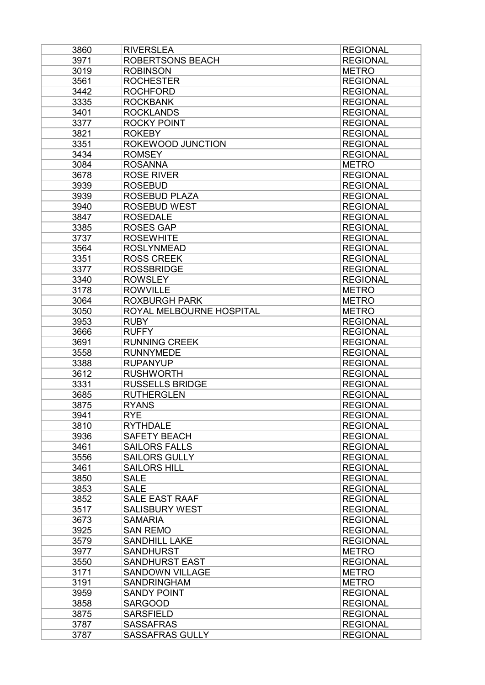| 3860         | <b>RIVERSLEA</b>                   | <b>REGIONAL</b>                    |
|--------------|------------------------------------|------------------------------------|
| 3971         | ROBERTSONS BEACH                   | <b>REGIONAL</b>                    |
| 3019         | <b>ROBINSON</b>                    | <b>METRO</b>                       |
| 3561         | <b>ROCHESTER</b>                   | <b>REGIONAL</b>                    |
| 3442         | <b>ROCHFORD</b>                    | <b>REGIONAL</b>                    |
| 3335         | <b>ROCKBANK</b>                    | <b>REGIONAL</b>                    |
| 3401         | <b>ROCKLANDS</b>                   | <b>REGIONAL</b>                    |
| 3377         | <b>ROCKY POINT</b>                 | <b>REGIONAL</b>                    |
| 3821         | <b>ROKEBY</b>                      | <b>REGIONAL</b>                    |
| 3351         | ROKEWOOD JUNCTION                  | <b>REGIONAL</b>                    |
| 3434         | <b>ROMSEY</b>                      | <b>REGIONAL</b>                    |
| 3084         | <b>ROSANNA</b>                     | <b>METRO</b>                       |
| 3678         | <b>ROSE RIVER</b>                  | <b>REGIONAL</b>                    |
| 3939         | <b>ROSEBUD</b>                     | <b>REGIONAL</b>                    |
| 3939         | <b>ROSEBUD PLAZA</b>               | <b>REGIONAL</b>                    |
| 3940         | <b>ROSEBUD WEST</b>                | <b>REGIONAL</b>                    |
| 3847         | <b>ROSEDALE</b>                    | <b>REGIONAL</b>                    |
| 3385         | <b>ROSES GAP</b>                   | <b>REGIONAL</b>                    |
| 3737         | <b>ROSEWHITE</b>                   | <b>REGIONAL</b>                    |
| 3564         | <b>ROSLYNMEAD</b>                  | <b>REGIONAL</b>                    |
| 3351         | <b>ROSS CREEK</b>                  | <b>REGIONAL</b>                    |
| 3377         | <b>ROSSBRIDGE</b>                  | <b>REGIONAL</b>                    |
| 3340         | <b>ROWSLEY</b>                     | <b>REGIONAL</b>                    |
| 3178         | <b>ROWVILLE</b>                    | <b>METRO</b>                       |
| 3064         | <b>ROXBURGH PARK</b>               | <b>METRO</b>                       |
| 3050         | ROYAL MELBOURNE HOSPITAL           | <b>METRO</b>                       |
| 3953         | <b>RUBY</b>                        | <b>REGIONAL</b>                    |
| 3666         | <b>RUFFY</b>                       | <b>REGIONAL</b>                    |
| 3691         | <b>RUNNING CREEK</b>               | <b>REGIONAL</b>                    |
| 3558         | <b>RUNNYMEDE</b>                   | <b>REGIONAL</b>                    |
| 3388         | <b>RUPANYUP</b>                    | <b>REGIONAL</b>                    |
| 3612         | <b>RUSHWORTH</b>                   | <b>REGIONAL</b>                    |
| 3331         | <b>RUSSELLS BRIDGE</b>             | <b>REGIONAL</b>                    |
| 3685         | <b>RUTHERGLEN</b>                  | <b>REGIONAL</b>                    |
| 3875         | <b>RYANS</b>                       | <b>REGIONAL</b>                    |
| 3941         | <b>RYE</b>                         | <b>REGIONAL</b>                    |
| 3810         | <b>RYTHDALE</b>                    | <b>REGIONAL</b>                    |
| 3936         | <b>SAFETY BEACH</b>                | <b>REGIONAL</b>                    |
| 3461         | <b>SAILORS FALLS</b>               | <b>REGIONAL</b>                    |
| 3556         | <b>SAILORS GULLY</b>               | <b>REGIONAL</b>                    |
| 3461         | <b>SAILORS HILL</b>                | <b>REGIONAL</b>                    |
| 3850         | <b>SALE</b>                        | <b>REGIONAL</b>                    |
| 3853         | <b>SALE</b>                        | <b>REGIONAL</b>                    |
| 3852         | <b>SALE EAST RAAF</b>              | <b>REGIONAL</b>                    |
| 3517         | <b>SALISBURY WEST</b>              | <b>REGIONAL</b>                    |
| 3673         | <b>SAMARIA</b>                     | <b>REGIONAL</b>                    |
| 3925         | <b>SAN REMO</b>                    | <b>REGIONAL</b>                    |
| 3579         | <b>SANDHILL LAKE</b>               | <b>REGIONAL</b>                    |
| 3977         | <b>SANDHURST</b>                   | <b>METRO</b>                       |
| 3550         | <b>SANDHURST EAST</b>              | <b>REGIONAL</b>                    |
| 3171         | <b>SANDOWN VILLAGE</b>             | <b>METRO</b>                       |
| 3191         | <b>SANDRINGHAM</b>                 |                                    |
| 3959         | <b>SANDY POINT</b>                 | <b>METRO</b><br><b>REGIONAL</b>    |
|              |                                    |                                    |
| 3858<br>3875 | <b>SARGOOD</b><br><b>SARSFIELD</b> | <b>REGIONAL</b><br><b>REGIONAL</b> |
|              | <b>SASSAFRAS</b>                   | <b>REGIONAL</b>                    |
| 3787         |                                    |                                    |
| 3787         | <b>SASSAFRAS GULLY</b>             | <b>REGIONAL</b>                    |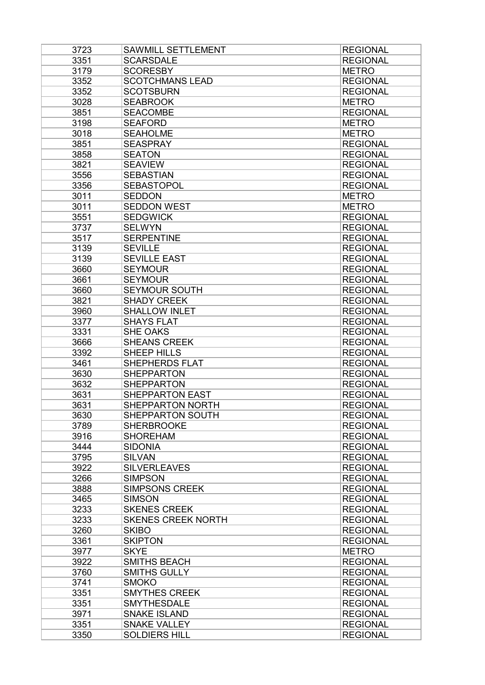| 3723 | SAWMILL SETTLEMENT        | <b>REGIONAL</b>                    |
|------|---------------------------|------------------------------------|
| 3351 | <b>SCARSDALE</b>          | <b>REGIONAL</b>                    |
| 3179 | <b>SCORESBY</b>           | <b>METRO</b>                       |
| 3352 | <b>SCOTCHMANS LEAD</b>    | <b>REGIONAL</b>                    |
| 3352 | <b>SCOTSBURN</b>          | <b>REGIONAL</b>                    |
| 3028 | <b>SEABROOK</b>           | <b>METRO</b>                       |
| 3851 | <b>SEACOMBE</b>           | <b>REGIONAL</b>                    |
| 3198 | <b>SEAFORD</b>            | <b>METRO</b>                       |
| 3018 | <b>SEAHOLME</b>           | <b>METRO</b>                       |
| 3851 | <b>SEASPRAY</b>           | <b>REGIONAL</b>                    |
| 3858 | <b>SEATON</b>             | <b>REGIONAL</b>                    |
| 3821 | <b>SEAVIEW</b>            | <b>REGIONAL</b>                    |
| 3556 | <b>SEBASTIAN</b>          | <b>REGIONAL</b>                    |
| 3356 | <b>SEBASTOPOL</b>         | <b>REGIONAL</b>                    |
| 3011 | <b>SEDDON</b>             | <b>METRO</b>                       |
| 3011 | <b>SEDDON WEST</b>        | <b>METRO</b>                       |
| 3551 | <b>SEDGWICK</b>           | <b>REGIONAL</b>                    |
| 3737 | <b>SELWYN</b>             | <b>REGIONAL</b>                    |
| 3517 | <b>SERPENTINE</b>         | <b>REGIONAL</b>                    |
| 3139 | <b>SEVILLE</b>            | <b>REGIONAL</b>                    |
| 3139 | <b>SEVILLE EAST</b>       | <b>REGIONAL</b>                    |
| 3660 | <b>SEYMOUR</b>            | <b>REGIONAL</b>                    |
| 3661 | <b>SEYMOUR</b>            | <b>REGIONAL</b>                    |
| 3660 | <b>SEYMOUR SOUTH</b>      | <b>REGIONAL</b>                    |
| 3821 | <b>SHADY CREEK</b>        | <b>REGIONAL</b>                    |
| 3960 | <b>SHALLOW INLET</b>      | <b>REGIONAL</b>                    |
| 3377 | <b>SHAYS FLAT</b>         | <b>REGIONAL</b>                    |
| 3331 | SHE OAKS                  | <b>REGIONAL</b>                    |
| 3666 | <b>SHEANS CREEK</b>       | <b>REGIONAL</b>                    |
| 3392 | SHEEP HILLS               | <b>REGIONAL</b>                    |
| 3461 | <b>SHEPHERDS FLAT</b>     | <b>REGIONAL</b>                    |
| 3630 | <b>SHEPPARTON</b>         | <b>REGIONAL</b>                    |
| 3632 | <b>SHEPPARTON</b>         | <b>REGIONAL</b>                    |
| 3631 | <b>SHEPPARTON EAST</b>    | <b>REGIONAL</b>                    |
| 3631 | <b>SHEPPARTON NORTH</b>   | <b>REGIONAL</b>                    |
| 3630 | SHEPPARTON SOUTH          | <b>REGIONAL</b>                    |
| 3789 | <b>SHERBROOKE</b>         | <b>REGIONAL</b>                    |
| 3916 | <b>SHOREHAM</b>           | <b>REGIONAL</b>                    |
| 3444 | <b>SIDONIA</b>            | <b>REGIONAL</b>                    |
| 3795 | <b>SILVAN</b>             | <b>REGIONAL</b>                    |
|      | <b>SILVERLEAVES</b>       |                                    |
| 3922 |                           | <b>REGIONAL</b>                    |
| 3266 | <b>SIMPSON</b>            | <b>REGIONAL</b><br><b>REGIONAL</b> |
| 3888 | <b>SIMPSONS CREEK</b>     |                                    |
| 3465 | <b>SIMSON</b>             | <b>REGIONAL</b>                    |
| 3233 | <b>SKENES CREEK</b>       | <b>REGIONAL</b>                    |
| 3233 | <b>SKENES CREEK NORTH</b> | <b>REGIONAL</b>                    |
| 3260 | <b>SKIBO</b>              | <b>REGIONAL</b>                    |
| 3361 | <b>SKIPTON</b>            | <b>REGIONAL</b>                    |
| 3977 | <b>SKYE</b>               | <b>METRO</b>                       |
| 3922 | <b>SMITHS BEACH</b>       | <b>REGIONAL</b>                    |
| 3760 | <b>SMITHS GULLY</b>       | <b>REGIONAL</b>                    |
| 3741 | <b>SMOKO</b>              | <b>REGIONAL</b>                    |
| 3351 | <b>SMYTHES CREEK</b>      | <b>REGIONAL</b>                    |
| 3351 | <b>SMYTHESDALE</b>        | <b>REGIONAL</b>                    |
| 3971 | <b>SNAKE ISLAND</b>       | <b>REGIONAL</b>                    |
| 3351 | <b>SNAKE VALLEY</b>       | <b>REGIONAL</b>                    |
| 3350 | <b>SOLDIERS HILL</b>      | <b>REGIONAL</b>                    |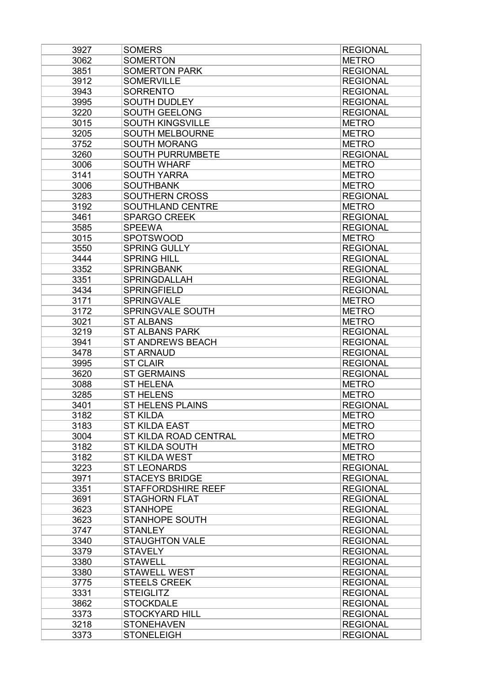| 3927 | <b>SOMERS</b>             | <b>REGIONAL</b> |
|------|---------------------------|-----------------|
| 3062 | <b>SOMERTON</b>           | <b>METRO</b>    |
| 3851 | <b>SOMERTON PARK</b>      | <b>REGIONAL</b> |
| 3912 | <b>SOMERVILLE</b>         | <b>REGIONAL</b> |
| 3943 | <b>SORRENTO</b>           | <b>REGIONAL</b> |
| 3995 | <b>SOUTH DUDLEY</b>       | <b>REGIONAL</b> |
| 3220 | <b>SOUTH GEELONG</b>      | <b>REGIONAL</b> |
| 3015 | <b>SOUTH KINGSVILLE</b>   | <b>METRO</b>    |
| 3205 | <b>SOUTH MELBOURNE</b>    | <b>METRO</b>    |
| 3752 | <b>SOUTH MORANG</b>       | <b>METRO</b>    |
| 3260 | <b>SOUTH PURRUMBETE</b>   | <b>REGIONAL</b> |
| 3006 | <b>SOUTH WHARF</b>        | <b>METRO</b>    |
| 3141 | <b>SOUTH YARRA</b>        | <b>METRO</b>    |
| 3006 | <b>SOUTHBANK</b>          | <b>METRO</b>    |
| 3283 | SOUTHERN CROSS            | <b>REGIONAL</b> |
| 3192 | SOUTHLAND CENTRE          | <b>METRO</b>    |
| 3461 | <b>SPARGO CREEK</b>       | <b>REGIONAL</b> |
| 3585 | <b>SPEEWA</b>             | <b>REGIONAL</b> |
| 3015 | <b>SPOTSWOOD</b>          | <b>METRO</b>    |
| 3550 | <b>SPRING GULLY</b>       | <b>REGIONAL</b> |
| 3444 | <b>SPRING HILL</b>        | <b>REGIONAL</b> |
| 3352 | <b>SPRINGBANK</b>         | <b>REGIONAL</b> |
| 3351 | <b>SPRINGDALLAH</b>       | <b>REGIONAL</b> |
| 3434 | <b>SPRINGFIELD</b>        | <b>REGIONAL</b> |
| 3171 | <b>SPRINGVALE</b>         | <b>METRO</b>    |
| 3172 | SPRINGVALE SOUTH          | <b>METRO</b>    |
| 3021 | <b>ST ALBANS</b>          | <b>METRO</b>    |
| 3219 | <b>ST ALBANS PARK</b>     | <b>REGIONAL</b> |
| 3941 | <b>ST ANDREWS BEACH</b>   | <b>REGIONAL</b> |
| 3478 | <b>ST ARNAUD</b>          | <b>REGIONAL</b> |
| 3995 | <b>ST CLAIR</b>           | <b>REGIONAL</b> |
| 3620 | <b>ST GERMAINS</b>        | <b>REGIONAL</b> |
| 3088 | <b>ST HELENA</b>          | <b>METRO</b>    |
| 3285 | <b>ST HELENS</b>          | <b>METRO</b>    |
| 3401 | <b>ST HELENS PLAINS</b>   | <b>REGIONAL</b> |
| 3182 | <b>ST KILDA</b>           | <b>METRO</b>    |
| 3183 | <b>ST KILDA EAST</b>      | <b>METRO</b>    |
| 3004 | ST KILDA ROAD CENTRAL     | <b>METRO</b>    |
| 3182 | <b>ST KILDA SOUTH</b>     | <b>METRO</b>    |
| 3182 | <b>ST KILDA WEST</b>      | <b>METRO</b>    |
| 3223 | <b>ST LEONARDS</b>        | <b>REGIONAL</b> |
| 3971 | <b>STACEYS BRIDGE</b>     | <b>REGIONAL</b> |
| 3351 | <b>STAFFORDSHIRE REEF</b> | <b>REGIONAL</b> |
| 3691 | <b>STAGHORN FLAT</b>      | <b>REGIONAL</b> |
| 3623 | <b>STANHOPE</b>           | <b>REGIONAL</b> |
| 3623 | <b>STANHOPE SOUTH</b>     | <b>REGIONAL</b> |
| 3747 | <b>STANLEY</b>            | <b>REGIONAL</b> |
| 3340 | <b>STAUGHTON VALE</b>     |                 |
|      | <b>STAVELY</b>            | <b>REGIONAL</b> |
| 3379 |                           | <b>REGIONAL</b> |
| 3380 | <b>STAWELL</b>            | <b>REGIONAL</b> |
| 3380 | <b>STAWELL WEST</b>       | <b>REGIONAL</b> |
| 3775 | <b>STEELS CREEK</b>       | <b>REGIONAL</b> |
| 3331 | <b>STEIGLITZ</b>          | <b>REGIONAL</b> |
| 3862 | <b>STOCKDALE</b>          | <b>REGIONAL</b> |
| 3373 | <b>STOCKYARD HILL</b>     | <b>REGIONAL</b> |
| 3218 | <b>STONEHAVEN</b>         | <b>REGIONAL</b> |
| 3373 | <b>STONELEIGH</b>         | <b>REGIONAL</b> |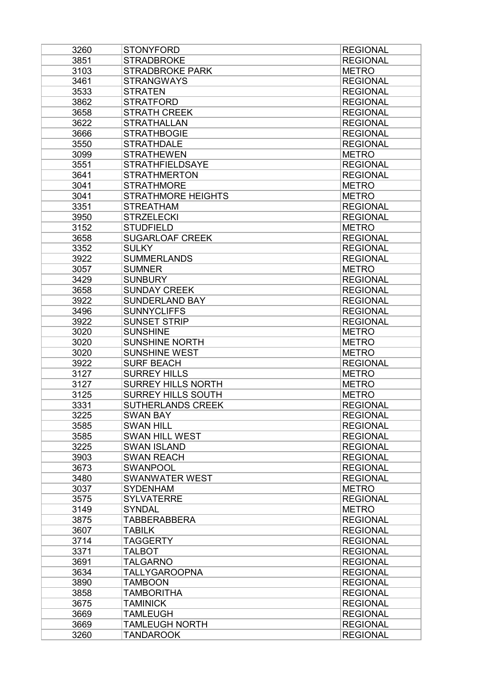| 3260 | <b>STONYFORD</b>                            | <b>REGIONAL</b> |
|------|---------------------------------------------|-----------------|
| 3851 | <b>STRADBROKE</b>                           | <b>REGIONAL</b> |
| 3103 | <b>STRADBROKE PARK</b>                      | <b>METRO</b>    |
| 3461 | <b>STRANGWAYS</b>                           | <b>REGIONAL</b> |
| 3533 | <b>STRATEN</b>                              | <b>REGIONAL</b> |
| 3862 | <b>STRATFORD</b>                            | <b>REGIONAL</b> |
| 3658 | <b>STRATH CREEK</b>                         | <b>REGIONAL</b> |
| 3622 | <b>STRATHALLAN</b>                          | <b>REGIONAL</b> |
| 3666 | <b>STRATHBOGIE</b>                          | <b>REGIONAL</b> |
| 3550 | <b>STRATHDALE</b>                           | <b>REGIONAL</b> |
| 3099 | <b>STRATHEWEN</b>                           | <b>METRO</b>    |
| 3551 | <b>STRATHFIELDSAYE</b>                      | <b>REGIONAL</b> |
| 3641 | <b>STRATHMERTON</b>                         | <b>REGIONAL</b> |
| 3041 | <b>STRATHMORE</b>                           | <b>METRO</b>    |
| 3041 | <b>STRATHMORE HEIGHTS</b>                   | <b>METRO</b>    |
| 3351 | <b>STREATHAM</b>                            | <b>REGIONAL</b> |
| 3950 | <b>STRZELECKI</b>                           | <b>REGIONAL</b> |
| 3152 | <b>STUDFIELD</b>                            | <b>METRO</b>    |
| 3658 | <b>SUGARLOAF CREEK</b>                      | <b>REGIONAL</b> |
| 3352 | <b>SULKY</b>                                | <b>REGIONAL</b> |
| 3922 | <b>SUMMERLANDS</b>                          | <b>REGIONAL</b> |
| 3057 | <b>SUMNER</b>                               | <b>METRO</b>    |
| 3429 | <b>SUNBURY</b>                              | <b>REGIONAL</b> |
| 3658 | <b>SUNDAY CREEK</b>                         | <b>REGIONAL</b> |
|      |                                             |                 |
| 3922 | <b>SUNDERLAND BAY</b><br><b>SUNNYCLIFFS</b> | <b>REGIONAL</b> |
| 3496 |                                             | <b>REGIONAL</b> |
| 3922 | <b>SUNSET STRIP</b>                         | <b>REGIONAL</b> |
| 3020 | <b>SUNSHINE</b>                             | <b>METRO</b>    |
| 3020 | <b>SUNSHINE NORTH</b>                       | <b>METRO</b>    |
| 3020 | <b>SUNSHINE WEST</b>                        | <b>METRO</b>    |
| 3922 | <b>SURF BEACH</b>                           | <b>REGIONAL</b> |
| 3127 | <b>SURREY HILLS</b>                         | <b>METRO</b>    |
| 3127 | <b>SURREY HILLS NORTH</b>                   | <b>METRO</b>    |
| 3125 | <b>SURREY HILLS SOUTH</b>                   | <b>METRO</b>    |
| 3331 | SUTHERLANDS CREEK                           | <b>REGIONAL</b> |
| 3225 | <b>SWAN BAY</b>                             | <b>REGIONAL</b> |
| 3585 | <b>SWAN HILL</b>                            | <b>REGIONAL</b> |
| 3585 | <b>SWAN HILL WEST</b>                       | <b>REGIONAL</b> |
| 3225 | <b>SWAN ISLAND</b>                          | <b>REGIONAL</b> |
| 3903 | <b>SWAN REACH</b>                           | <b>REGIONAL</b> |
| 3673 | <b>SWANPOOL</b>                             | <b>REGIONAL</b> |
| 3480 | <b>SWANWATER WEST</b>                       | <b>REGIONAL</b> |
| 3037 | <b>SYDENHAM</b>                             | <b>METRO</b>    |
| 3575 | <b>SYLVATERRE</b>                           | <b>REGIONAL</b> |
| 3149 | <b>SYNDAL</b>                               | <b>METRO</b>    |
| 3875 | TABBERABBERA                                | <b>REGIONAL</b> |
| 3607 | <b>TABILK</b>                               | <b>REGIONAL</b> |
| 3714 | <b>TAGGERTY</b>                             | <b>REGIONAL</b> |
| 3371 | <b>TALBOT</b>                               | <b>REGIONAL</b> |
| 3691 | <b>TALGARNO</b>                             | <b>REGIONAL</b> |
| 3634 | <b>TALLYGAROOPNA</b>                        | <b>REGIONAL</b> |
| 3890 | <b>TAMBOON</b>                              | <b>REGIONAL</b> |
| 3858 | <b>TAMBORITHA</b>                           | <b>REGIONAL</b> |
| 3675 | <b>TAMINICK</b>                             | <b>REGIONAL</b> |
| 3669 | <b>TAMLEUGH</b>                             | <b>REGIONAL</b> |
| 3669 | <b>TAMLEUGH NORTH</b>                       | <b>REGIONAL</b> |
| 3260 | <b>TANDAROOK</b>                            | <b>REGIONAL</b> |
|      |                                             |                 |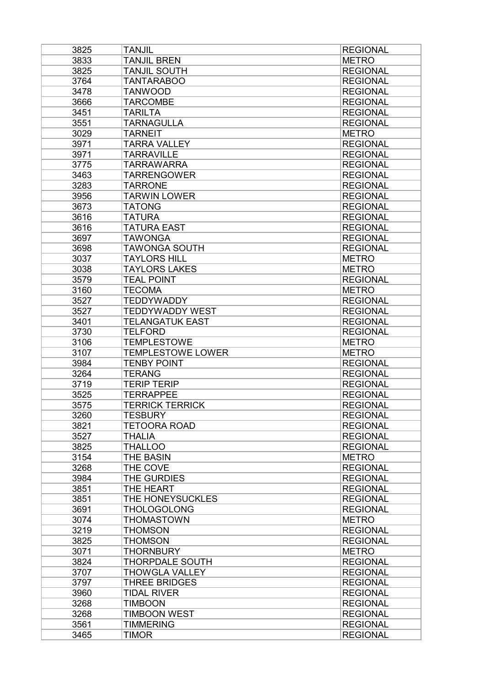| 3825         | <b>TANJIL</b>                              | <b>REGIONAL</b>                 |
|--------------|--------------------------------------------|---------------------------------|
| 3833         | <b>TANJIL BREN</b>                         | <b>METRO</b>                    |
| 3825         | <b>TANJIL SOUTH</b>                        | <b>REGIONAL</b>                 |
| 3764         | <b>TANTARABOO</b>                          | <b>REGIONAL</b>                 |
| 3478         | <b>TANWOOD</b>                             | <b>REGIONAL</b>                 |
| 3666         | <b>TARCOMBE</b>                            | <b>REGIONAL</b>                 |
| 3451         | <b>TARILTA</b>                             | <b>REGIONAL</b>                 |
| 3551         | <b>TARNAGULLA</b>                          | <b>REGIONAL</b>                 |
| 3029         | <b>TARNEIT</b>                             | <b>METRO</b>                    |
| 3971         | <b>TARRA VALLEY</b>                        | <b>REGIONAL</b>                 |
| 3971         | <b>TARRAVILLE</b>                          | <b>REGIONAL</b>                 |
| 3775         | <b>TARRAWARRA</b>                          | <b>REGIONAL</b>                 |
| 3463         | <b>TARRENGOWER</b>                         | <b>REGIONAL</b>                 |
| 3283         | <b>TARRONE</b>                             | <b>REGIONAL</b>                 |
| 3956         | <b>TARWIN LOWER</b>                        | <b>REGIONAL</b>                 |
| 3673         | <b>TATONG</b>                              | <b>REGIONAL</b>                 |
| 3616         | <b>TATURA</b>                              | <b>REGIONAL</b>                 |
| 3616         | <b>TATURA EAST</b>                         | <b>REGIONAL</b>                 |
| 3697         | <b>TAWONGA</b>                             | <b>REGIONAL</b>                 |
| 3698         | <b>TAWONGA SOUTH</b>                       | <b>REGIONAL</b>                 |
| 3037         | <b>TAYLORS HILL</b>                        | <b>METRO</b>                    |
| 3038         | <b>TAYLORS LAKES</b>                       | <b>METRO</b>                    |
| 3579         | <b>TEAL POINT</b>                          | <b>REGIONAL</b>                 |
| 3160         | <b>TECOMA</b>                              | <b>METRO</b>                    |
| 3527         | <b>TEDDYWADDY</b>                          | <b>REGIONAL</b>                 |
| 3527         | <b>TEDDYWADDY WEST</b>                     | <b>REGIONAL</b>                 |
| 3401         | <b>TELANGATUK EAST</b>                     | <b>REGIONAL</b>                 |
| 3730         | <b>TELFORD</b>                             | <b>REGIONAL</b>                 |
| 3106         | <b>TEMPLESTOWE</b>                         | <b>METRO</b>                    |
| 3107         | <b>TEMPLESTOWE LOWER</b>                   | <b>METRO</b>                    |
| 3984         | <b>TENBY POINT</b>                         | <b>REGIONAL</b>                 |
| 3264         | <b>TERANG</b>                              | <b>REGIONAL</b>                 |
| 3719         | <b>TERIP TERIP</b>                         | <b>REGIONAL</b>                 |
| 3525         | <b>TERRAPPEE</b>                           | <b>REGIONAL</b>                 |
| 3575         | <b>TERRICK TERRICK</b>                     | <b>REGIONAL</b>                 |
| 3260         | <b>TESBURY</b>                             | <b>REGIONAL</b>                 |
| 3821         | <b>TETOORA ROAD</b>                        | <b>REGIONAL</b>                 |
| 3527         | <b>THALIA</b>                              | <b>REGIONAL</b>                 |
| 3825         | <b>THALLOO</b>                             | <b>REGIONAL</b>                 |
| 3154         | THE BASIN                                  | <b>METRO</b>                    |
| 3268         | THE COVE                                   | <b>REGIONAL</b>                 |
| 3984         | THE GURDIES                                | <b>REGIONAL</b>                 |
| 3851         | THE HEART                                  | <b>REGIONAL</b>                 |
| 3851         | THE HONEYSUCKLES                           | <b>REGIONAL</b>                 |
| 3691         | <b>THOLOGOLONG</b>                         | <b>REGIONAL</b>                 |
| 3074         | <b>THOMASTOWN</b>                          | <b>METRO</b>                    |
|              |                                            |                                 |
| 3219         | <b>THOMSON</b>                             | <b>REGIONAL</b>                 |
| 3825         | <b>THOMSON</b>                             | <b>REGIONAL</b>                 |
| 3071<br>3824 | <b>THORNBURY</b><br><b>THORPDALE SOUTH</b> | <b>METRO</b><br><b>REGIONAL</b> |
|              |                                            |                                 |
| 3707         | <b>THOWGLA VALLEY</b>                      | <b>REGIONAL</b>                 |
| 3797         | <b>THREE BRIDGES</b>                       | <b>REGIONAL</b>                 |
| 3960         | <b>TIDAL RIVER</b>                         | <b>REGIONAL</b>                 |
| 3268         | <b>TIMBOON</b>                             | <b>REGIONAL</b>                 |
| 3268         | <b>TIMBOON WEST</b>                        | <b>REGIONAL</b>                 |
| 3561         | <b>TIMMERING</b>                           | <b>REGIONAL</b>                 |
| 3465         | <b>TIMOR</b>                               | <b>REGIONAL</b>                 |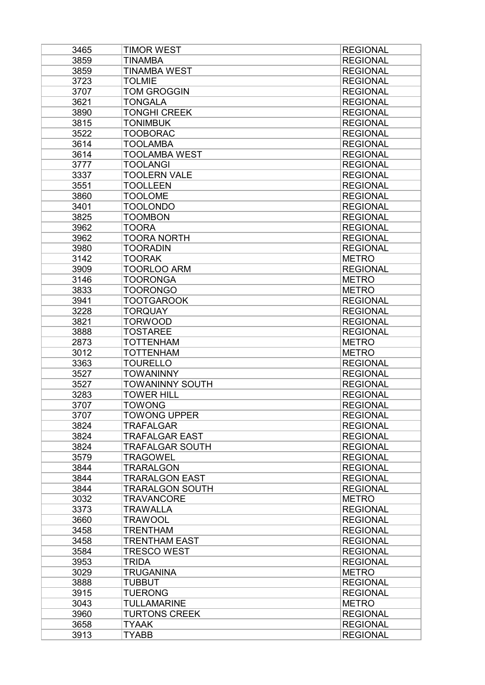| 3465         | TIMOR WEST             | <b>REGIONAL</b>                    |
|--------------|------------------------|------------------------------------|
| 3859         | <b>TINAMBA</b>         | <b>REGIONAL</b>                    |
| 3859         | <b>TINAMBA WEST</b>    | <b>REGIONAL</b>                    |
| 3723         | <b>TOLMIE</b>          | <b>REGIONAL</b>                    |
| 3707         | <b>TOM GROGGIN</b>     | <b>REGIONAL</b>                    |
| 3621         | <b>TONGALA</b>         | <b>REGIONAL</b>                    |
| 3890         | <b>TONGHI CREEK</b>    | <b>REGIONAL</b>                    |
| 3815         | <b>TONIMBUK</b>        | <b>REGIONAL</b>                    |
| 3522         | <b>TOOBORAC</b>        | <b>REGIONAL</b>                    |
| 3614         | TOOLAMBA               | <b>REGIONAL</b>                    |
| 3614         | <b>TOOLAMBA WEST</b>   | <b>REGIONAL</b>                    |
| 3777         | <b>TOOLANGI</b>        | <b>REGIONAL</b>                    |
| 3337         | <b>TOOLERN VALE</b>    | <b>REGIONAL</b>                    |
| 3551         | <b>TOOLLEEN</b>        | <b>REGIONAL</b>                    |
| 3860         | <b>TOOLOME</b>         | <b>REGIONAL</b>                    |
| 3401         | <b>TOOLONDO</b>        | <b>REGIONAL</b>                    |
| 3825         | <b>TOOMBON</b>         | <b>REGIONAL</b>                    |
| 3962         | <b>TOORA</b>           | <b>REGIONAL</b>                    |
| 3962         | <b>TOORA NORTH</b>     | <b>REGIONAL</b>                    |
| 3980         | <b>TOORADIN</b>        | <b>REGIONAL</b>                    |
| 3142         | <b>TOORAK</b>          | <b>METRO</b>                       |
| 3909         | <b>TOORLOO ARM</b>     | <b>REGIONAL</b>                    |
| 3146         | <b>TOORONGA</b>        | <b>METRO</b>                       |
| 3833         | <b>TOORONGO</b>        | <b>METRO</b>                       |
| 3941         | <b>TOOTGAROOK</b>      | <b>REGIONAL</b>                    |
| 3228         | <b>TORQUAY</b>         | <b>REGIONAL</b>                    |
| 3821         | <b>TORWOOD</b>         | <b>REGIONAL</b>                    |
| 3888         | <b>TOSTAREE</b>        | <b>REGIONAL</b>                    |
| 2873         | <b>TOTTENHAM</b>       | <b>METRO</b>                       |
| 3012         | <b>TOTTENHAM</b>       | <b>METRO</b>                       |
| 3363         | <b>TOURELLO</b>        | <b>REGIONAL</b>                    |
| 3527         | <b>TOWANINNY</b>       | <b>REGIONAL</b>                    |
| 3527         | TOWANINNY SOUTH        | <b>REGIONAL</b>                    |
| 3283         | <b>TOWER HILL</b>      | <b>REGIONAL</b>                    |
| 3707         | <b>TOWONG</b>          | <b>REGIONAL</b>                    |
| 3707         | <b>TOWONG UPPER</b>    | <b>REGIONAL</b>                    |
| 3824         | <b>TRAFALGAR</b>       | <b>REGIONAL</b>                    |
| 3824         | <b>TRAFALGAR EAST</b>  | <b>REGIONAL</b>                    |
| 3824         | <b>TRAFALGAR SOUTH</b> | <b>REGIONAL</b>                    |
| 3579         | TRAGOWEL               | <b>REGIONAL</b>                    |
| 3844         | <b>TRARALGON</b>       | <b>REGIONAL</b>                    |
| 3844         | <b>TRARALGON EAST</b>  | <b>REGIONAL</b>                    |
| 3844         | <b>TRARALGON SOUTH</b> | <b>REGIONAL</b>                    |
| 3032         | <b>TRAVANCORE</b>      | <b>METRO</b>                       |
| 3373         | TRAWALLA               | <b>REGIONAL</b>                    |
| 3660         | TRAWOOL                | <b>REGIONAL</b>                    |
| 3458         | <b>TRENTHAM</b>        | <b>REGIONAL</b>                    |
| 3458         | <b>TRENTHAM EAST</b>   | <b>REGIONAL</b>                    |
| 3584         | TRESCO WEST            | <b>REGIONAL</b>                    |
| 3953         | TRIDA                  | <b>REGIONAL</b>                    |
|              |                        |                                    |
| 3029<br>3888 | TRUGANINA              | <b>METRO</b>                       |
|              | <b>TUBBUT</b>          | <b>REGIONAL</b><br><b>REGIONAL</b> |
| 3915         | TUERONG                |                                    |
| 3043         | <b>TULLAMARINE</b>     | <b>METRO</b>                       |
| 3960         | <b>TURTONS CREEK</b>   | <b>REGIONAL</b>                    |
| 3658         | <b>TYAAK</b>           | <b>REGIONAL</b>                    |
| 3913         | <b>TYABB</b>           | <b>REGIONAL</b>                    |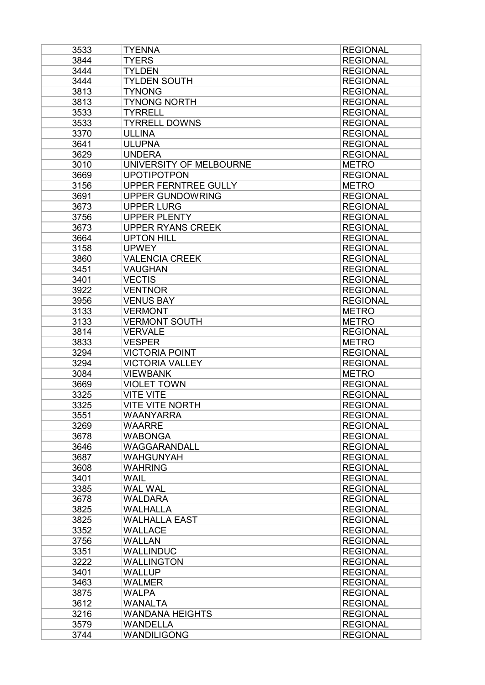| 3533         | <b>TYENNA</b>            | <b>REGIONAL</b> |
|--------------|--------------------------|-----------------|
| 3844         | <b>TYERS</b>             | <b>REGIONAL</b> |
| 3444         | <b>TYLDEN</b>            | <b>REGIONAL</b> |
| 3444         | <b>TYLDEN SOUTH</b>      | <b>REGIONAL</b> |
| 3813         | <b>TYNONG</b>            | <b>REGIONAL</b> |
| 3813         | <b>TYNONG NORTH</b>      | <b>REGIONAL</b> |
| 3533         | <b>TYRRELL</b>           | <b>REGIONAL</b> |
| 3533         | <b>TYRRELL DOWNS</b>     | <b>REGIONAL</b> |
| 3370         | <b>ULLINA</b>            | <b>REGIONAL</b> |
| 3641         | <b>ULUPNA</b>            | <b>REGIONAL</b> |
| 3629         | <b>UNDERA</b>            | <b>REGIONAL</b> |
| 3010         | UNIVERSITY OF MELBOURNE  | <b>METRO</b>    |
| 3669         | <b>UPOTIPOTPON</b>       | <b>REGIONAL</b> |
| 3156         | UPPER FERNTREE GULLY     | <b>METRO</b>    |
| 3691         | <b>UPPER GUNDOWRING</b>  | <b>REGIONAL</b> |
| 3673         | <b>UPPER LURG</b>        | <b>REGIONAL</b> |
| 3756         | <b>UPPER PLENTY</b>      | <b>REGIONAL</b> |
| 3673         | <b>UPPER RYANS CREEK</b> | <b>REGIONAL</b> |
| 3664         | <b>UPTON HILL</b>        | <b>REGIONAL</b> |
|              | <b>UPWEY</b>             |                 |
| 3158<br>3860 | <b>VALENCIA CREEK</b>    | <b>REGIONAL</b> |
|              | <b>VAUGHAN</b>           | <b>REGIONAL</b> |
| 3451         |                          | <b>REGIONAL</b> |
| 3401         | <b>VECTIS</b>            | <b>REGIONAL</b> |
| 3922         | <b>VENTNOR</b>           | <b>REGIONAL</b> |
| 3956         | <b>VENUS BAY</b>         | <b>REGIONAL</b> |
| 3133         | <b>VERMONT</b>           | <b>METRO</b>    |
| 3133         | <b>VERMONT SOUTH</b>     | <b>METRO</b>    |
| 3814         | <b>VERVALE</b>           | <b>REGIONAL</b> |
| 3833         | <b>VESPER</b>            | <b>METRO</b>    |
| 3294         | <b>VICTORIA POINT</b>    | <b>REGIONAL</b> |
| 3294         | <b>VICTORIA VALLEY</b>   | <b>REGIONAL</b> |
| 3084         | <b>VIEWBANK</b>          | <b>METRO</b>    |
| 3669         | <b>VIOLET TOWN</b>       | <b>REGIONAL</b> |
| 3325         | <b>VITE VITE</b>         | <b>REGIONAL</b> |
| 3325         | <b>VITE VITE NORTH</b>   | <b>REGIONAL</b> |
| 3551         | <b>WAANYARRA</b>         | <b>REGIONAL</b> |
| 3269         | <b>WAARRE</b>            | <b>REGIONAL</b> |
| 3678         | <b>WABONGA</b>           | <b>REGIONAL</b> |
| 3646         | WAGGARANDALL             | <b>REGIONAL</b> |
| 3687         | <b>WAHGUNYAH</b>         | <b>REGIONAL</b> |
| 3608         | <b>WAHRING</b>           | <b>REGIONAL</b> |
| 3401         | <b>WAIL</b>              | <b>REGIONAL</b> |
| 3385         | <b>WAL WAL</b>           | <b>REGIONAL</b> |
| 3678         | <b>WALDARA</b>           | <b>REGIONAL</b> |
| 3825         | <b>WALHALLA</b>          | <b>REGIONAL</b> |
| 3825         | <b>WALHALLA EAST</b>     | <b>REGIONAL</b> |
| 3352         | <b>WALLACE</b>           | <b>REGIONAL</b> |
| 3756         | <b>WALLAN</b>            | <b>REGIONAL</b> |
| 3351         | <b>WALLINDUC</b>         | <b>REGIONAL</b> |
| 3222         | <b>WALLINGTON</b>        | <b>REGIONAL</b> |
| 3401         | <b>WALLUP</b>            | <b>REGIONAL</b> |
| 3463         | <b>WALMER</b>            | <b>REGIONAL</b> |
| 3875         | <b>WALPA</b>             | <b>REGIONAL</b> |
| 3612         | <b>WANALTA</b>           | <b>REGIONAL</b> |
| 3216         | <b>WANDANA HEIGHTS</b>   | <b>REGIONAL</b> |
| 3579         | <b>WANDELLA</b>          | <b>REGIONAL</b> |
| 3744         | <b>WANDILIGONG</b>       | <b>REGIONAL</b> |
|              |                          |                 |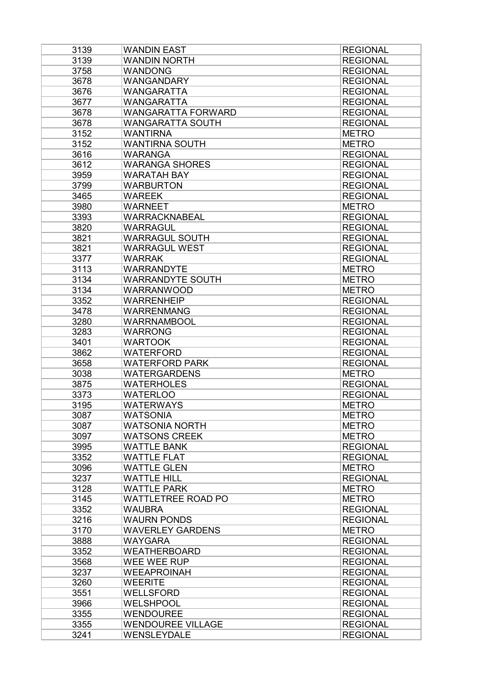| 3139 | <b>WANDIN EAST</b>        | <b>REGIONAL</b> |
|------|---------------------------|-----------------|
| 3139 | <b>WANDIN NORTH</b>       | <b>REGIONAL</b> |
| 3758 | <b>WANDONG</b>            | <b>REGIONAL</b> |
| 3678 | <b>WANGANDARY</b>         | <b>REGIONAL</b> |
| 3676 | <b>WANGARATTA</b>         | <b>REGIONAL</b> |
| 3677 | WANGARATTA                | <b>REGIONAL</b> |
| 3678 | <b>WANGARATTA FORWARD</b> | <b>REGIONAL</b> |
| 3678 | <b>WANGARATTA SOUTH</b>   | <b>REGIONAL</b> |
| 3152 | <b>WANTIRNA</b>           | <b>METRO</b>    |
| 3152 | <b>WANTIRNA SOUTH</b>     | <b>METRO</b>    |
| 3616 | <b>WARANGA</b>            | <b>REGIONAL</b> |
| 3612 | <b>WARANGA SHORES</b>     | <b>REGIONAL</b> |
| 3959 | <b>WARATAH BAY</b>        | <b>REGIONAL</b> |
| 3799 | <b>WARBURTON</b>          | <b>REGIONAL</b> |
| 3465 | <b>WAREEK</b>             | <b>REGIONAL</b> |
| 3980 | <b>WARNEET</b>            | <b>METRO</b>    |
| 3393 | WARRACKNABEAL             | <b>REGIONAL</b> |
| 3820 | <b>WARRAGUL</b>           | <b>REGIONAL</b> |
|      |                           |                 |
| 3821 | <b>WARRAGUL SOUTH</b>     | <b>REGIONAL</b> |
| 3821 | <b>WARRAGUL WEST</b>      | <b>REGIONAL</b> |
| 3377 | <b>WARRAK</b>             | <b>REGIONAL</b> |
| 3113 | <b>WARRANDYTE</b>         | <b>METRO</b>    |
| 3134 | <b>WARRANDYTE SOUTH</b>   | <b>METRO</b>    |
| 3134 | <b>WARRANWOOD</b>         | <b>METRO</b>    |
| 3352 | <b>WARRENHEIP</b>         | <b>REGIONAL</b> |
| 3478 | <b>WARRENMANG</b>         | <b>REGIONAL</b> |
| 3280 | <b>WARRNAMBOOL</b>        | <b>REGIONAL</b> |
| 3283 | <b>WARRONG</b>            | <b>REGIONAL</b> |
| 3401 | <b>WARTOOK</b>            | <b>REGIONAL</b> |
| 3862 | <b>WATERFORD</b>          | <b>REGIONAL</b> |
| 3658 | <b>WATERFORD PARK</b>     | <b>REGIONAL</b> |
| 3038 | <b>WATERGARDENS</b>       | <b>METRO</b>    |
| 3875 | <b>WATERHOLES</b>         | <b>REGIONAL</b> |
| 3373 | <b>WATERLOO</b>           | <b>REGIONAL</b> |
| 3195 | <b>WATERWAYS</b>          | <b>METRO</b>    |
| 3087 | <b>WATSONIA</b>           | <b>METRO</b>    |
| 3087 | <b>WATSONIA NORTH</b>     | <b>METRO</b>    |
| 3097 | <b>WATSONS CREEK</b>      | <b>METRO</b>    |
| 3995 | <b>WATTLE BANK</b>        | <b>REGIONAL</b> |
| 3352 | <b>WATTLE FLAT</b>        | <b>REGIONAL</b> |
| 3096 | <b>WATTLE GLEN</b>        | <b>METRO</b>    |
| 3237 | <b>WATTLE HILL</b>        | <b>REGIONAL</b> |
| 3128 | <b>WATTLE PARK</b>        | <b>METRO</b>    |
| 3145 | <b>WATTLETREE ROAD PO</b> | <b>METRO</b>    |
| 3352 | <b>WAUBRA</b>             | <b>REGIONAL</b> |
| 3216 | <b>WAURN PONDS</b>        | <b>REGIONAL</b> |
| 3170 | <b>WAVERLEY GARDENS</b>   | <b>METRO</b>    |
| 3888 | <b>WAYGARA</b>            | <b>REGIONAL</b> |
| 3352 | <b>WEATHERBOARD</b>       | <b>REGIONAL</b> |
| 3568 | WEE WEE RUP               | <b>REGIONAL</b> |
| 3237 | <b>WEEAPROINAH</b>        | <b>REGIONAL</b> |
| 3260 | <b>WEERITE</b>            | <b>REGIONAL</b> |
| 3551 | <b>WELLSFORD</b>          | <b>REGIONAL</b> |
|      |                           |                 |
| 3966 | <b>WELSHPOOL</b>          | <b>REGIONAL</b> |
| 3355 | <b>WENDOUREE</b>          | <b>REGIONAL</b> |
| 3355 | <b>WENDOUREE VILLAGE</b>  | <b>REGIONAL</b> |
| 3241 | <b>WENSLEYDALE</b>        | <b>REGIONAL</b> |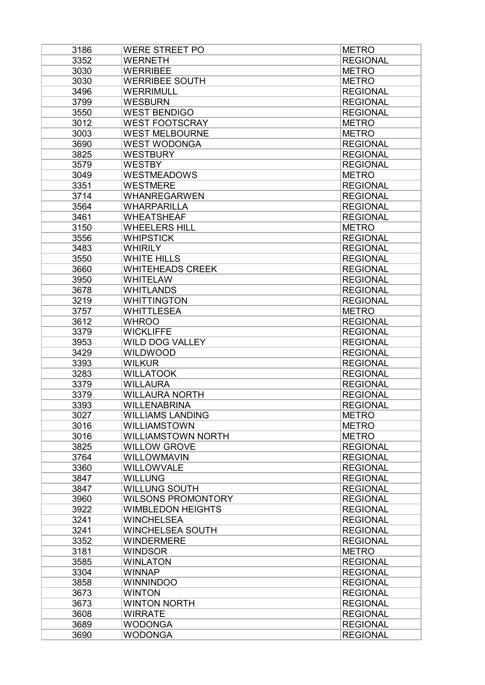| 3186 | <b>WERE STREET PO</b>     | <b>METRO</b>    |
|------|---------------------------|-----------------|
| 3352 | <b>WERNETH</b>            | <b>REGIONAL</b> |
| 3030 | <b>WERRIBEE</b>           | <b>METRO</b>    |
| 3030 | <b>WERRIBEE SOUTH</b>     | <b>METRO</b>    |
| 3496 | <b>WERRIMULL</b>          | <b>REGIONAL</b> |
| 3799 | <b>WESBURN</b>            | <b>REGIONAL</b> |
| 3550 | <b>WEST BENDIGO</b>       | <b>REGIONAL</b> |
| 3012 | <b>WEST FOOTSCRAY</b>     | <b>METRO</b>    |
| 3003 | <b>WEST MELBOURNE</b>     | <b>METRO</b>    |
| 3690 | <b>WEST WODONGA</b>       | <b>REGIONAL</b> |
| 3825 | <b>WESTBURY</b>           | <b>REGIONAL</b> |
| 3579 | <b>WESTBY</b>             | <b>REGIONAL</b> |
| 3049 | <b>WESTMEADOWS</b>        | <b>METRO</b>    |
| 3351 | <b>WESTMERE</b>           | <b>REGIONAL</b> |
| 3714 | <b>WHANREGARWEN</b>       | <b>REGIONAL</b> |
| 3564 | <b>WHARPARILLA</b>        | <b>REGIONAL</b> |
| 3461 | <b>WHEATSHEAF</b>         | <b>REGIONAL</b> |
| 3150 | <b>WHEELERS HILL</b>      | <b>METRO</b>    |
| 3556 | <b>WHIPSTICK</b>          | <b>REGIONAL</b> |
| 3483 | <b>WHIRILY</b>            | <b>REGIONAL</b> |
| 3550 | <b>WHITE HILLS</b>        | <b>REGIONAL</b> |
| 3660 | <b>WHITEHEADS CREEK</b>   | <b>REGIONAL</b> |
| 3950 | <b>WHITELAW</b>           | <b>REGIONAL</b> |
| 3678 | <b>WHITLANDS</b>          | <b>REGIONAL</b> |
| 3219 | <b>WHITTINGTON</b>        | <b>REGIONAL</b> |
| 3757 | <b>WHITTLESEA</b>         | <b>METRO</b>    |
| 3612 | <b>WHROO</b>              | <b>REGIONAL</b> |
| 3379 | <b>WICKLIFFE</b>          | <b>REGIONAL</b> |
| 3953 | <b>WILD DOG VALLEY</b>    | <b>REGIONAL</b> |
| 3429 | <b>WILDWOOD</b>           | <b>REGIONAL</b> |
| 3393 | <b>WILKUR</b>             | <b>REGIONAL</b> |
| 3283 | <b>WILLATOOK</b>          | <b>REGIONAL</b> |
| 3379 | <b>WILLAURA</b>           | <b>REGIONAL</b> |
| 3379 | <b>WILLAURA NORTH</b>     | <b>REGIONAL</b> |
| 3393 | <b>WILLENABRINA</b>       | <b>REGIONAL</b> |
| 3027 | <b>WILLIAMS LANDING</b>   | <b>METRO</b>    |
| 3016 | <b>WILLIAMSTOWN</b>       | <b>METRO</b>    |
| 3016 | <b>WILLIAMSTOWN NORTH</b> | <b>METRO</b>    |
| 3825 | <b>WILLOW GROVE</b>       | <b>REGIONAL</b> |
| 3764 | <b>WILLOWMAVIN</b>        | <b>REGIONAL</b> |
| 3360 | <b>WILLOWVALE</b>         | <b>REGIONAL</b> |
| 3847 | <b>WILLUNG</b>            | <b>REGIONAL</b> |
| 3847 | <b>WILLUNG SOUTH</b>      | <b>REGIONAL</b> |
| 3960 | <b>WILSONS PROMONTORY</b> | <b>REGIONAL</b> |
| 3922 | <b>WIMBLEDON HEIGHTS</b>  | <b>REGIONAL</b> |
| 3241 | <b>WINCHELSEA</b>         | <b>REGIONAL</b> |
| 3241 | <b>WINCHELSEA SOUTH</b>   | <b>REGIONAL</b> |
| 3352 | <b>WINDERMERE</b>         | <b>REGIONAL</b> |
| 3181 | <b>WINDSOR</b>            | <b>METRO</b>    |
| 3585 | <b>WINLATON</b>           | <b>REGIONAL</b> |
| 3304 | <b>WINNAP</b>             | <b>REGIONAL</b> |
| 3858 | <b>WINNINDOO</b>          | <b>REGIONAL</b> |
| 3673 | <b>WINTON</b>             | <b>REGIONAL</b> |
| 3673 | <b>WINTON NORTH</b>       | <b>REGIONAL</b> |
| 3608 | <b>WIRRATE</b>            | <b>REGIONAL</b> |
| 3689 | <b>WODONGA</b>            | <b>REGIONAL</b> |
| 3690 | <b>WODONGA</b>            | <b>REGIONAL</b> |
|      |                           |                 |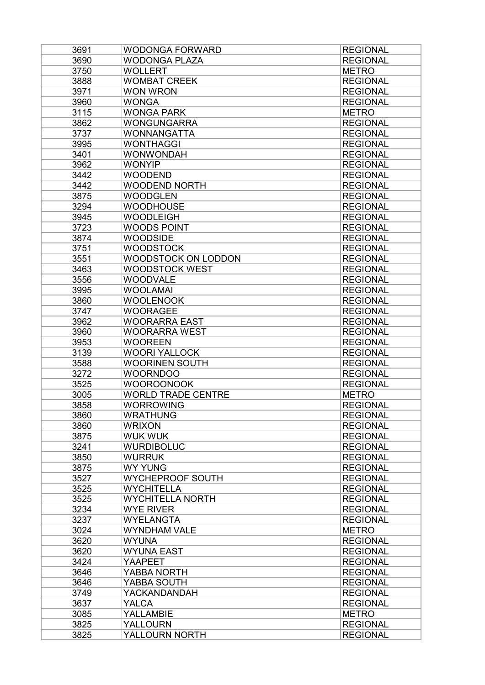| 3691 | <b>WODONGA FORWARD</b>     | <b>REGIONAL</b> |
|------|----------------------------|-----------------|
| 3690 | <b>WODONGA PLAZA</b>       | <b>REGIONAL</b> |
| 3750 | <b>WOLLERT</b>             | <b>METRO</b>    |
| 3888 | <b>WOMBAT CREEK</b>        | <b>REGIONAL</b> |
| 3971 | <b>WON WRON</b>            | <b>REGIONAL</b> |
| 3960 | <b>WONGA</b>               | <b>REGIONAL</b> |
| 3115 | <b>WONGA PARK</b>          | <b>METRO</b>    |
| 3862 | <b>WONGUNGARRA</b>         | <b>REGIONAL</b> |
| 3737 | <b>WONNANGATTA</b>         | <b>REGIONAL</b> |
| 3995 | <b>WONTHAGGI</b>           | <b>REGIONAL</b> |
| 3401 | <b>WONWONDAH</b>           | <b>REGIONAL</b> |
| 3962 | <b>WONYIP</b>              | <b>REGIONAL</b> |
| 3442 | <b>WOODEND</b>             | <b>REGIONAL</b> |
| 3442 | <b>WOODEND NORTH</b>       | <b>REGIONAL</b> |
| 3875 | <b>WOODGLEN</b>            | <b>REGIONAL</b> |
| 3294 | <b>WOODHOUSE</b>           | <b>REGIONAL</b> |
| 3945 | <b>WOODLEIGH</b>           | <b>REGIONAL</b> |
| 3723 | <b>WOODS POINT</b>         | <b>REGIONAL</b> |
| 3874 | <b>WOODSIDE</b>            | <b>REGIONAL</b> |
| 3751 | <b>WOODSTOCK</b>           | <b>REGIONAL</b> |
| 3551 | <b>WOODSTOCK ON LODDON</b> | <b>REGIONAL</b> |
| 3463 | <b>WOODSTOCK WEST</b>      | <b>REGIONAL</b> |
| 3556 | <b>WOODVALE</b>            | <b>REGIONAL</b> |
| 3995 | <b>WOOLAMAI</b>            | <b>REGIONAL</b> |
| 3860 | <b>WOOLENOOK</b>           | <b>REGIONAL</b> |
| 3747 | <b>WOORAGEE</b>            | <b>REGIONAL</b> |
|      |                            |                 |
| 3962 | <b>WOORARRA EAST</b>       | <b>REGIONAL</b> |
| 3960 | <b>WOORARRA WEST</b>       | <b>REGIONAL</b> |
| 3953 | <b>WOOREEN</b>             | <b>REGIONAL</b> |
| 3139 | <b>WOORI YALLOCK</b>       | <b>REGIONAL</b> |
| 3588 | <b>WOORINEN SOUTH</b>      | <b>REGIONAL</b> |
| 3272 | <b>WOORNDOO</b>            | <b>REGIONAL</b> |
| 3525 | <b>WOOROONOOK</b>          | <b>REGIONAL</b> |
| 3005 | <b>WORLD TRADE CENTRE</b>  | <b>METRO</b>    |
| 3858 | <b>WORROWING</b>           | <b>REGIONAL</b> |
| 3860 | <b>WRATHUNG</b>            | <b>REGIONAL</b> |
| 3860 | <b>WRIXON</b>              | <b>REGIONAL</b> |
| 3875 | <b>WUK WUK</b>             | <b>REGIONAL</b> |
| 3241 | <b>WURDIBOLUC</b>          | <b>REGIONAL</b> |
| 3850 | <b>WURRUK</b>              | <b>REGIONAL</b> |
| 3875 | <b>WY YUNG</b>             | <b>REGIONAL</b> |
| 3527 | WYCHEPROOF SOUTH           | <b>REGIONAL</b> |
| 3525 | <b>WYCHITELLA</b>          | <b>REGIONAL</b> |
| 3525 | <b>WYCHITELLA NORTH</b>    | <b>REGIONAL</b> |
| 3234 | <b>WYE RIVER</b>           | <b>REGIONAL</b> |
| 3237 | <b>WYELANGTA</b>           | <b>REGIONAL</b> |
| 3024 | <b>WYNDHAM VALE</b>        | <b>METRO</b>    |
| 3620 | <b>WYUNA</b>               | <b>REGIONAL</b> |
| 3620 | <b>WYUNA EAST</b>          | <b>REGIONAL</b> |
| 3424 | <b>YAAPEET</b>             | <b>REGIONAL</b> |
| 3646 | YABBA NORTH                | <b>REGIONAL</b> |
| 3646 | YABBA SOUTH                | <b>REGIONAL</b> |
| 3749 | YACKANDANDAH               | <b>REGIONAL</b> |
| 3637 | YALCA                      | <b>REGIONAL</b> |
| 3085 | YALLAMBIE                  | <b>METRO</b>    |
| 3825 | <b>YALLOURN</b>            | <b>REGIONAL</b> |
| 3825 | YALLOURN NORTH             | <b>REGIONAL</b> |